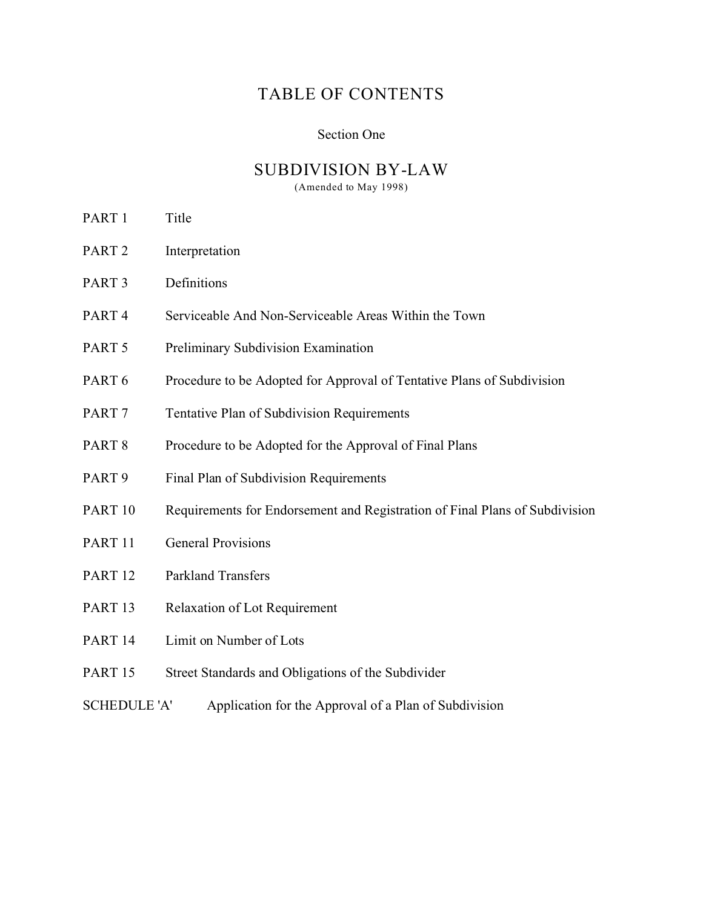# TABLE OF CONTENTS

#### Section One

# SUBDIVISION BY-LAW

(Amended to May 1998)

- PART 1 Title
- PART 2 Interpretation
- PART 3 Definitions
- PART 4 Serviceable And Non-Serviceable Areas Within the Town
- PART 5 Preliminary Subdivision Examination
- PART 6 Procedure to be Adopted for Approval of Tentative Plans of Subdivision
- PART 7 Tentative Plan of Subdivision Requirements
- PART 8 Procedure to be Adopted for the Approval of Final Plans
- PART 9 Final Plan of Subdivision Requirements
- PART 10 Requirements for Endorsement and Registration of Final Plans of Subdivision
- PART 11 General Provisions
- PART 12 Parkland Transfers
- PART 13 Relaxation of Lot Requirement
- PART 14 Limit on Number of Lots
- PART 15 Street Standards and Obligations of the Subdivider
- SCHEDULE 'A' Application for the Approval of a Plan of Subdivision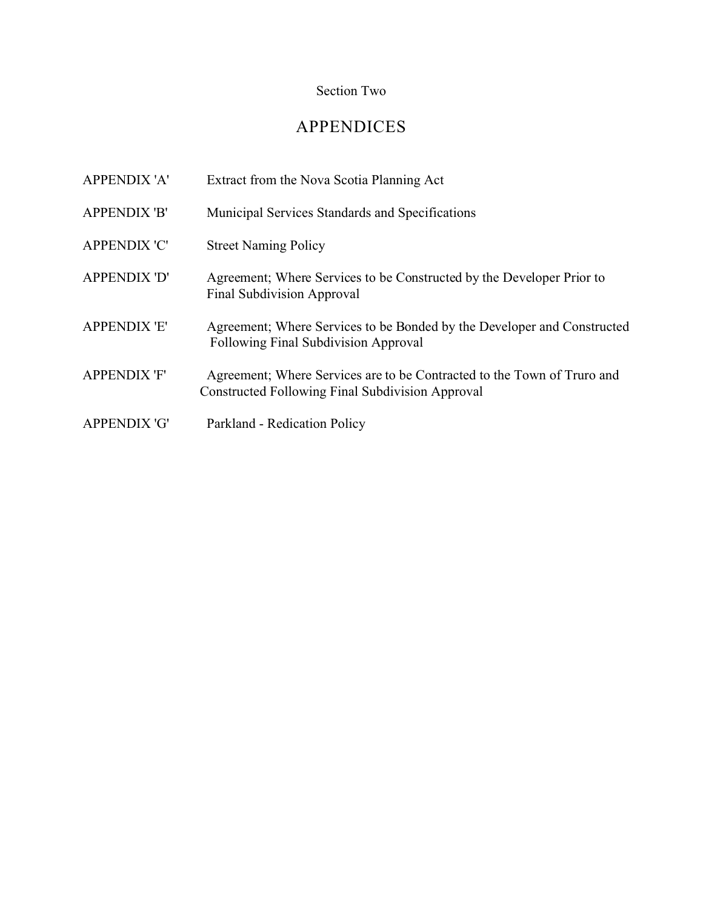# Section Two

# APPENDICES

| <b>APPENDIX 'A'</b> | Extract from the Nova Scotia Planning Act                                                                                          |
|---------------------|------------------------------------------------------------------------------------------------------------------------------------|
| <b>APPENDIX 'B'</b> | Municipal Services Standards and Specifications                                                                                    |
| <b>APPENDIX 'C'</b> | <b>Street Naming Policy</b>                                                                                                        |
| <b>APPENDIX 'D'</b> | Agreement; Where Services to be Constructed by the Developer Prior to<br><b>Final Subdivision Approval</b>                         |
| <b>APPENDIX 'E'</b> | Agreement; Where Services to be Bonded by the Developer and Constructed<br><b>Following Final Subdivision Approval</b>             |
| <b>APPENDIX 'F'</b> | Agreement; Where Services are to be Contracted to the Town of Truro and<br><b>Constructed Following Final Subdivision Approval</b> |
| <b>APPENDIX 'G'</b> | Parkland - Redication Policy                                                                                                       |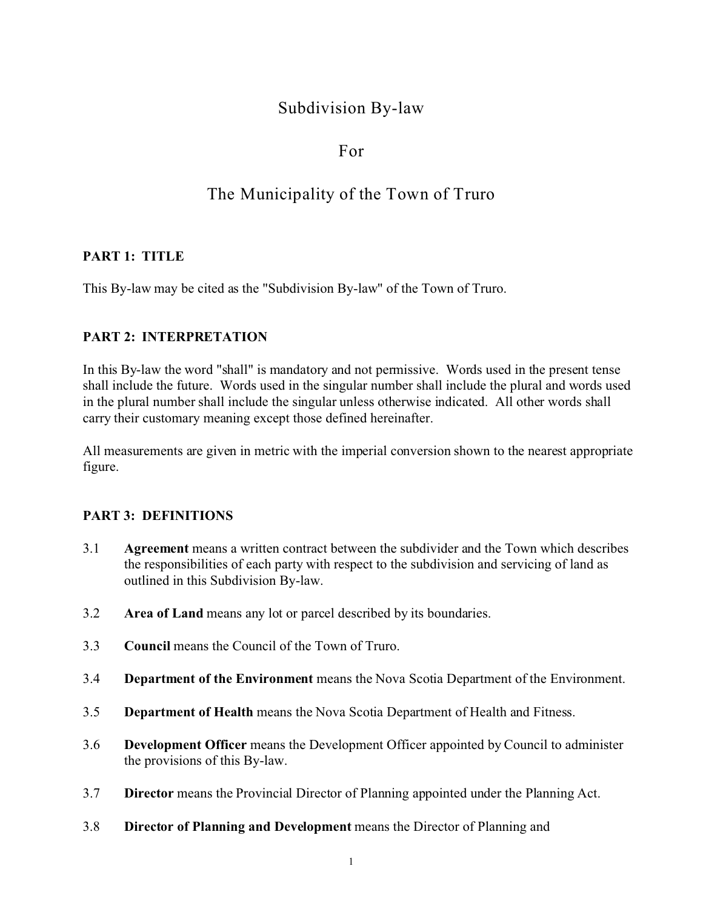# Subdivision By-law

# For

# The Municipality of the Town of Truro

## **PART 1: TITLE**

This By-law may be cited as the "Subdivision By-law" of the Town of Truro.

# **PART 2: INTERPRETATION**

In this By-law the word "shall" is mandatory and not permissive. Words used in the present tense shall include the future. Words used in the singular number shall include the plural and words used in the plural number shall include the singular unless otherwise indicated. All other words shall carry their customary meaning except those defined hereinafter.

All measurements are given in metric with the imperial conversion shown to the nearest appropriate figure.

#### **PART 3: DEFINITIONS**

- 3.1 **Agreement** means a written contract between the subdivider and the Town which describes the responsibilities of each party with respect to the subdivision and servicing of land as outlined in this Subdivision By-law.
- 3.2 **Area of Land** means any lot or parcel described by its boundaries.
- 3.3 **Council** means the Council of the Town of Truro.
- 3.4 **Department of the Environment** means the Nova Scotia Department of the Environment.
- 3.5 **Department of Health** means the Nova Scotia Department of Health and Fitness.
- 3.6 **Development Officer** means the Development Officer appointed by Council to administer the provisions of this By-law.
- 3.7 **Director** means the Provincial Director of Planning appointed under the Planning Act.
- 3.8 **Director of Planning and Development** means the Director of Planning and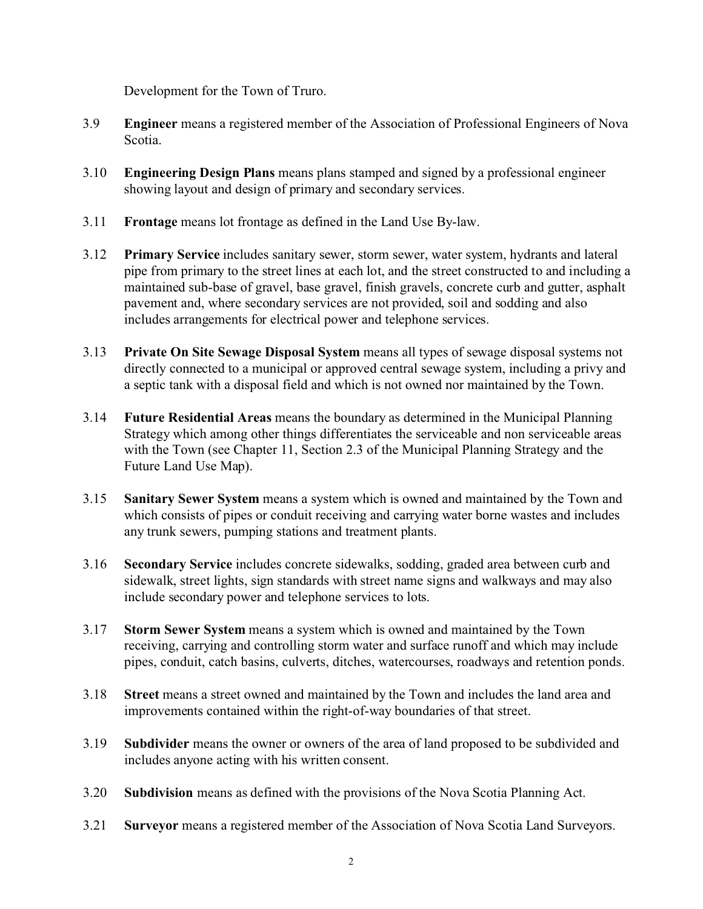Development for the Town of Truro.

- 3.9 **Engineer** means a registered member of the Association of Professional Engineers of Nova Scotia.
- 3.10 **Engineering Design Plans** means plans stamped and signed by a professional engineer showing layout and design of primary and secondary services.
- 3.11 **Frontage** means lot frontage as defined in the Land Use By-law.
- 3.12 **Primary Service** includes sanitary sewer, storm sewer, water system, hydrants and lateral pipe from primary to the street lines at each lot, and the street constructed to and including a maintained sub-base of gravel, base gravel, finish gravels, concrete curb and gutter, asphalt pavement and, where secondary services are not provided, soil and sodding and also includes arrangements for electrical power and telephone services.
- 3.13 **Private On Site Sewage Disposal System** means all types of sewage disposal systems not directly connected to a municipal or approved central sewage system, including a privy and a septic tank with a disposal field and which is not owned nor maintained by the Town.
- 3.14 **Future Residential Areas** means the boundary as determined in the Municipal Planning Strategy which among other things differentiates the serviceable and non serviceable areas with the Town (see Chapter 11, Section 2.3 of the Municipal Planning Strategy and the Future Land Use Map).
- 3.15 **Sanitary Sewer System** means a system which is owned and maintained by the Town and which consists of pipes or conduit receiving and carrying water borne wastes and includes any trunk sewers, pumping stations and treatment plants.
- 3.16 **Secondary Service** includes concrete sidewalks, sodding, graded area between curb and sidewalk, street lights, sign standards with street name signs and walkways and may also include secondary power and telephone services to lots.
- 3.17 **Storm Sewer System** means a system which is owned and maintained by the Town receiving, carrying and controlling storm water and surface runoff and which may include pipes, conduit, catch basins, culverts, ditches, watercourses, roadways and retention ponds.
- 3.18 **Street** means a street owned and maintained by the Town and includes the land area and improvements contained within the right-of-way boundaries of that street.
- 3.19 **Subdivider** means the owner or owners of the area of land proposed to be subdivided and includes anyone acting with his written consent.
- 3.20 **Subdivision** means as defined with the provisions of the Nova Scotia Planning Act.
- 3.21 **Surveyor** means a registered member of the Association of Nova Scotia Land Surveyors.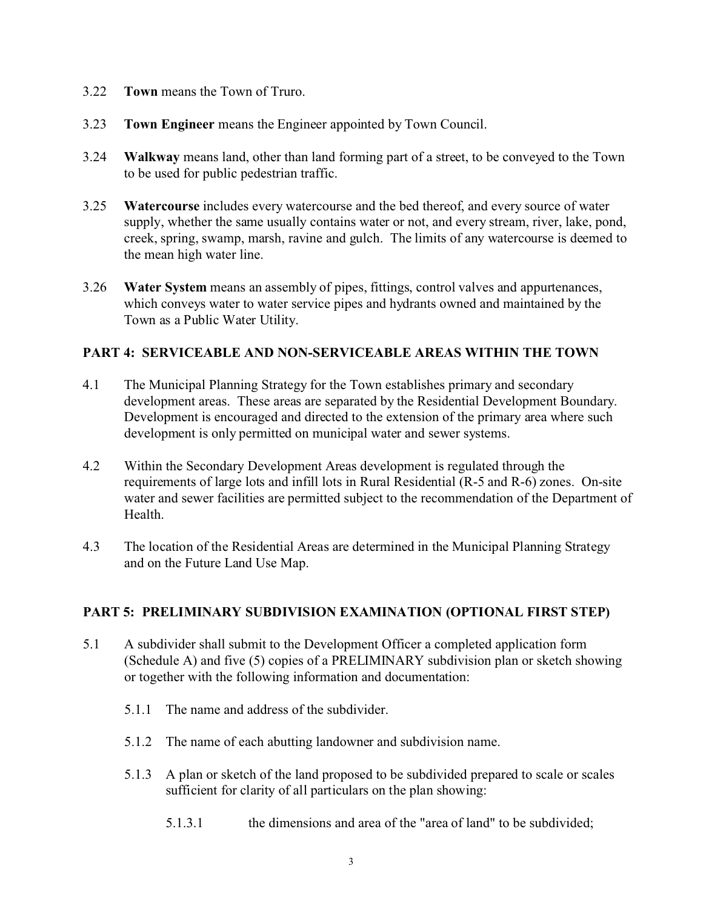- 3.22 **Town** means the Town of Truro.
- 3.23 **Town Engineer** means the Engineer appointed by Town Council.
- 3.24 **Walkway** means land, other than land forming part of a street, to be conveyed to the Town to be used for public pedestrian traffic.
- 3.25 **Watercourse** includes every watercourse and the bed thereof, and every source of water supply, whether the same usually contains water or not, and every stream, river, lake, pond, creek, spring, swamp, marsh, ravine and gulch. The limits of any watercourse is deemed to the mean high water line.
- 3.26 **Water System** means an assembly of pipes, fittings, control valves and appurtenances, which conveys water to water service pipes and hydrants owned and maintained by the Town as a Public Water Utility.

## **PART 4: SERVICEABLE AND NON-SERVICEABLE AREAS WITHIN THE TOWN**

- 4.1 The Municipal Planning Strategy for the Town establishes primary and secondary development areas. These areas are separated by the Residential Development Boundary. Development is encouraged and directed to the extension of the primary area where such development is only permitted on municipal water and sewer systems.
- 4.2 Within the Secondary Development Areas development is regulated through the requirements of large lots and infill lots in Rural Residential (R-5 and R-6) zones. On-site water and sewer facilities are permitted subject to the recommendation of the Department of Health.
- 4.3 The location of the Residential Areas are determined in the Municipal Planning Strategy and on the Future Land Use Map.

#### **PART 5: PRELIMINARY SUBDIVISION EXAMINATION (OPTIONAL FIRST STEP)**

- 5.1 A subdivider shall submit to the Development Officer a completed application form (Schedule A) and five (5) copies of a PRELIMINARY subdivision plan or sketch showing or together with the following information and documentation:
	- 5.1.1 The name and address of the subdivider.
	- 5.1.2 The name of each abutting landowner and subdivision name.
	- 5.1.3 A plan or sketch of the land proposed to be subdivided prepared to scale or scales sufficient for clarity of all particulars on the plan showing:
		- 5.1.3.1 the dimensions and area of the "area of land" to be subdivided;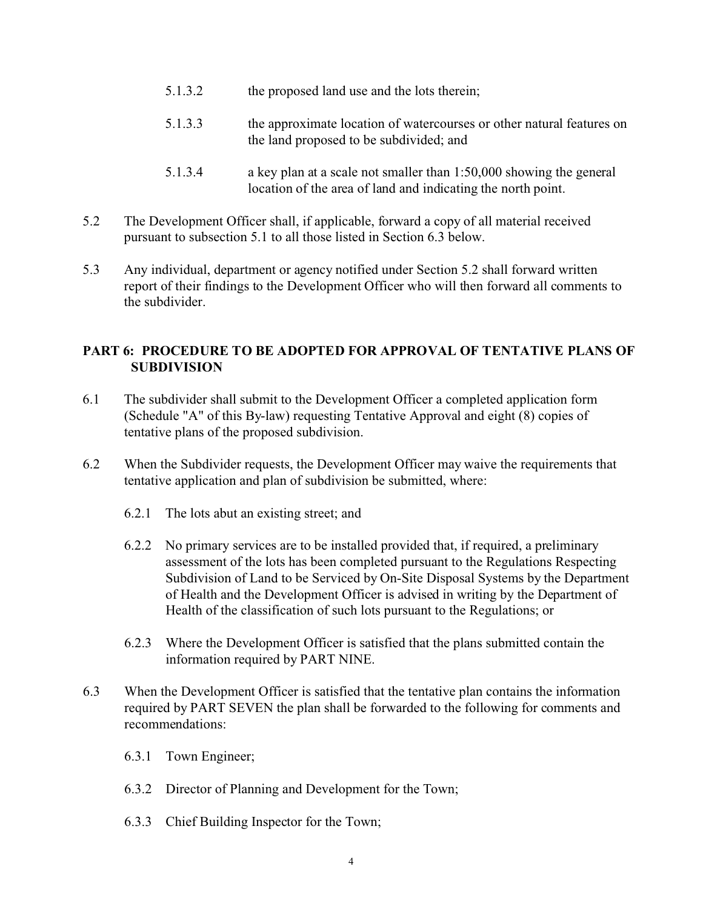- 5.1.3.2 the proposed land use and the lots therein;
- 5.1.3.3 the approximate location of watercourses or other natural features on the land proposed to be subdivided; and
- 5.1.3.4 a key plan at a scale not smaller than 1:50,000 showing the general location of the area of land and indicating the north point.
- 5.2 The Development Officer shall, if applicable, forward a copy of all material received pursuant to subsection 5.1 to all those listed in Section 6.3 below.
- 5.3 Any individual, department or agency notified under Section 5.2 shall forward written report of their findings to the Development Officer who will then forward all comments to the subdivider.

# **PART 6: PROCEDURE TO BE ADOPTED FOR APPROVAL OF TENTATIVE PLANS OF SUBDIVISION**

- 6.1 The subdivider shall submit to the Development Officer a completed application form (Schedule "A" of this By-law) requesting Tentative Approval and eight (8) copies of tentative plans of the proposed subdivision.
- 6.2 When the Subdivider requests, the Development Officer may waive the requirements that tentative application and plan of subdivision be submitted, where:
	- 6.2.1 The lots abut an existing street; and
	- 6.2.2 No primary services are to be installed provided that, if required, a preliminary assessment of the lots has been completed pursuant to the Regulations Respecting Subdivision of Land to be Serviced by On-Site Disposal Systems by the Department of Health and the Development Officer is advised in writing by the Department of Health of the classification of such lots pursuant to the Regulations; or
	- 6.2.3 Where the Development Officer is satisfied that the plans submitted contain the information required by PART NINE.
- 6.3 When the Development Officer is satisfied that the tentative plan contains the information required by PART SEVEN the plan shall be forwarded to the following for comments and recommendations:
	- 6.3.1 Town Engineer;
	- 6.3.2 Director of Planning and Development for the Town;
	- 6.3.3 Chief Building Inspector for the Town;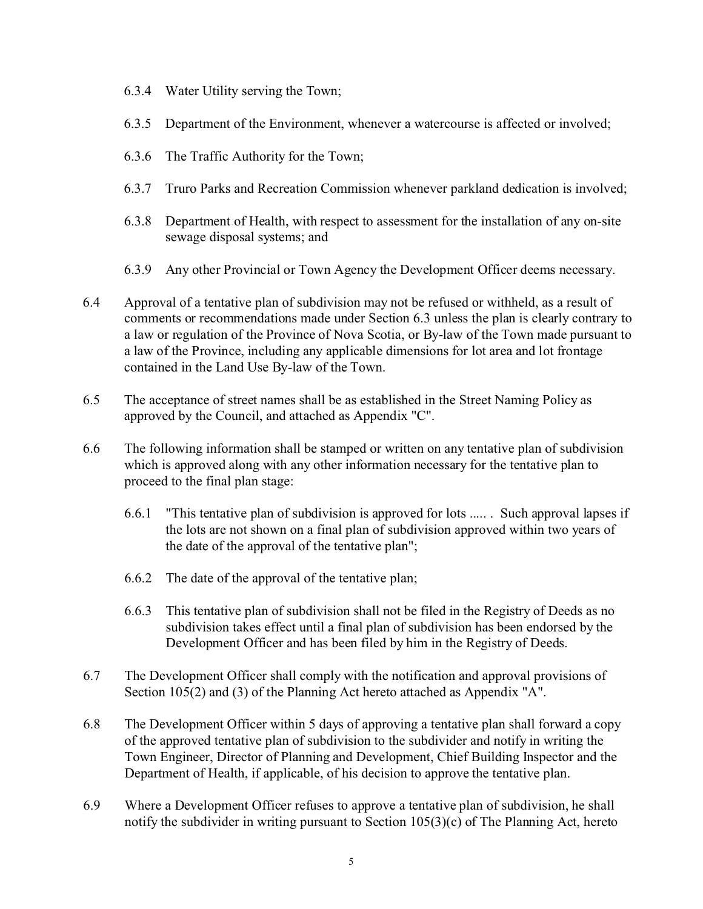- 6.3.4 Water Utility serving the Town;
- 6.3.5 Department of the Environment, whenever a watercourse is affected or involved;
- 6.3.6 The Traffic Authority for the Town;
- 6.3.7 Truro Parks and Recreation Commission whenever parkland dedication is involved;
- 6.3.8 Department of Health, with respect to assessment for the installation of any on-site sewage disposal systems; and
- 6.3.9 Any other Provincial or Town Agency the Development Officer deems necessary.
- 6.4 Approval of a tentative plan of subdivision may not be refused or withheld, as a result of comments or recommendations made under Section 6.3 unless the plan is clearly contrary to a law or regulation of the Province of Nova Scotia, or By-law of the Town made pursuant to a law of the Province, including any applicable dimensions for lot area and lot frontage contained in the Land Use By-law of the Town.
- 6.5 The acceptance of street names shall be as established in the Street Naming Policy as approved by the Council, and attached as Appendix "C".
- 6.6 The following information shall be stamped or written on any tentative plan of subdivision which is approved along with any other information necessary for the tentative plan to proceed to the final plan stage:
	- 6.6.1 "This tentative plan of subdivision is approved for lots ..... . Such approval lapses if the lots are not shown on a final plan of subdivision approved within two years of the date of the approval of the tentative plan";
	- 6.6.2 The date of the approval of the tentative plan;
	- 6.6.3 This tentative plan of subdivision shall not be filed in the Registry of Deeds as no subdivision takes effect until a final plan of subdivision has been endorsed by the Development Officer and has been filed by him in the Registry of Deeds.
- 6.7 The Development Officer shall comply with the notification and approval provisions of Section 105(2) and (3) of the Planning Act hereto attached as Appendix "A".
- 6.8 The Development Officer within 5 days of approving a tentative plan shall forward a copy of the approved tentative plan of subdivision to the subdivider and notify in writing the Town Engineer, Director of Planning and Development, Chief Building Inspector and the Department of Health, if applicable, of his decision to approve the tentative plan.
- 6.9 Where a Development Officer refuses to approve a tentative plan of subdivision, he shall notify the subdivider in writing pursuant to Section 105(3)(c) of The Planning Act, hereto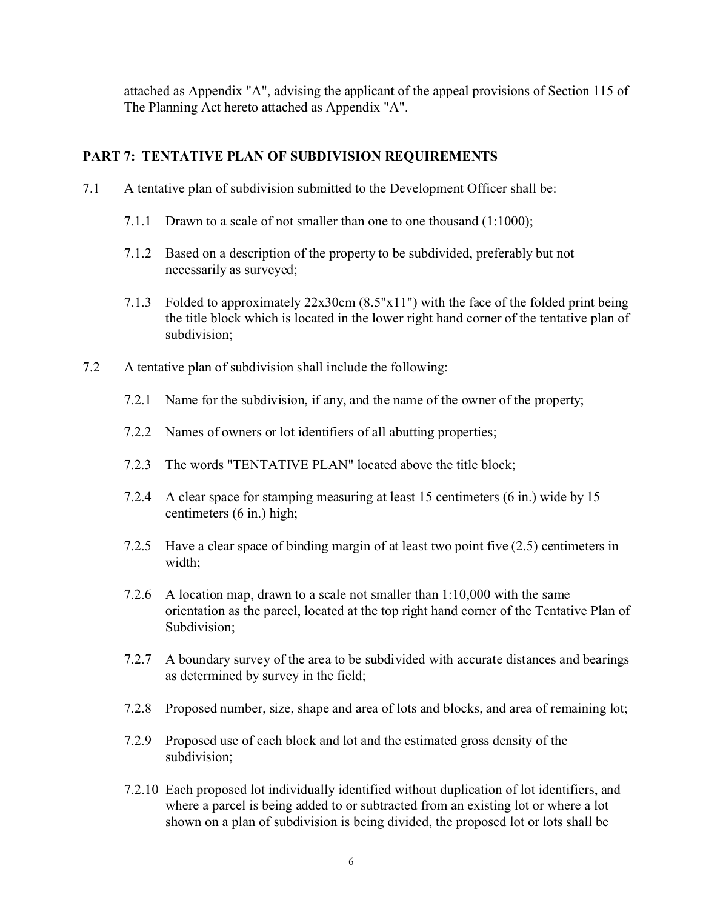attached as Appendix "A", advising the applicant of the appeal provisions of Section 115 of The Planning Act hereto attached as Appendix "A".

# **PART 7: TENTATIVE PLAN OF SUBDIVISION REQUIREMENTS**

- 7.1 A tentative plan of subdivision submitted to the Development Officer shall be:
	- 7.1.1 Drawn to a scale of not smaller than one to one thousand (1:1000);
	- 7.1.2 Based on a description of the property to be subdivided, preferably but not necessarily as surveyed;
	- 7.1.3 Folded to approximately 22x30cm (8.5"x11") with the face of the folded print being the title block which is located in the lower right hand corner of the tentative plan of subdivision;
- 7.2 A tentative plan of subdivision shall include the following:
	- 7.2.1 Name for the subdivision, if any, and the name of the owner of the property;
	- 7.2.2 Names of owners or lot identifiers of all abutting properties;
	- 7.2.3 The words "TENTATIVE PLAN" located above the title block;
	- 7.2.4 A clear space for stamping measuring at least 15 centimeters (6 in.) wide by 15 centimeters (6 in.) high;
	- 7.2.5 Have a clear space of binding margin of at least two point five (2.5) centimeters in width;
	- 7.2.6 A location map, drawn to a scale not smaller than 1:10,000 with the same orientation as the parcel, located at the top right hand corner of the Tentative Plan of Subdivision;
	- 7.2.7 A boundary survey of the area to be subdivided with accurate distances and bearings as determined by survey in the field;
	- 7.2.8 Proposed number, size, shape and area of lots and blocks, and area of remaining lot;
	- 7.2.9 Proposed use of each block and lot and the estimated gross density of the subdivision;
	- 7.2.10 Each proposed lot individually identified without duplication of lot identifiers, and where a parcel is being added to or subtracted from an existing lot or where a lot shown on a plan of subdivision is being divided, the proposed lot or lots shall be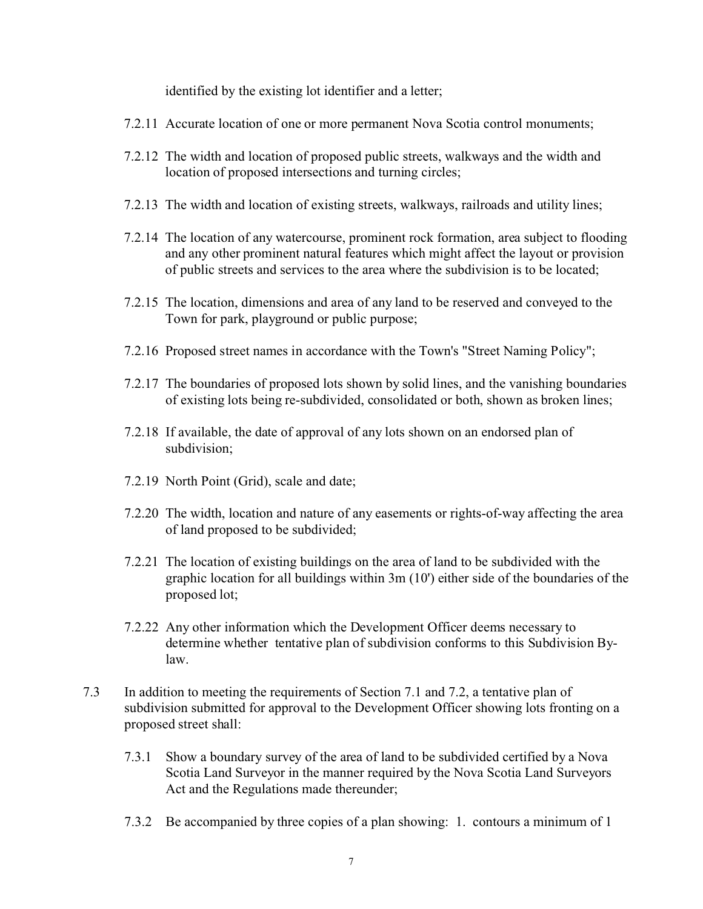identified by the existing lot identifier and a letter;

- 7.2.11 Accurate location of one or more permanent Nova Scotia control monuments;
- 7.2.12 The width and location of proposed public streets, walkways and the width and location of proposed intersections and turning circles;
- 7.2.13 The width and location of existing streets, walkways, railroads and utility lines;
- 7.2.14 The location of any watercourse, prominent rock formation, area subject to flooding and any other prominent natural features which might affect the layout or provision of public streets and services to the area where the subdivision is to be located;
- 7.2.15 The location, dimensions and area of any land to be reserved and conveyed to the Town for park, playground or public purpose;
- 7.2.16 Proposed street names in accordance with the Town's "Street Naming Policy";
- 7.2.17 The boundaries of proposed lots shown by solid lines, and the vanishing boundaries of existing lots being re-subdivided, consolidated or both, shown as broken lines;
- 7.2.18 If available, the date of approval of any lots shown on an endorsed plan of subdivision;
- 7.2.19 North Point (Grid), scale and date;
- 7.2.20 The width, location and nature of any easements or rights-of-way affecting the area of land proposed to be subdivided;
- 7.2.21 The location of existing buildings on the area of land to be subdivided with the graphic location for all buildings within 3m (10') either side of the boundaries of the proposed lot;
- 7.2.22 Any other information which the Development Officer deems necessary to determine whether tentative plan of subdivision conforms to this Subdivision Bylaw.
- 7.3 In addition to meeting the requirements of Section 7.1 and 7.2, a tentative plan of subdivision submitted for approval to the Development Officer showing lots fronting on a proposed street shall:
	- 7.3.1 Show a boundary survey of the area of land to be subdivided certified by a Nova Scotia Land Surveyor in the manner required by the Nova Scotia Land Surveyors Act and the Regulations made thereunder;
	- 7.3.2 Be accompanied by three copies of a plan showing: 1. contours a minimum of 1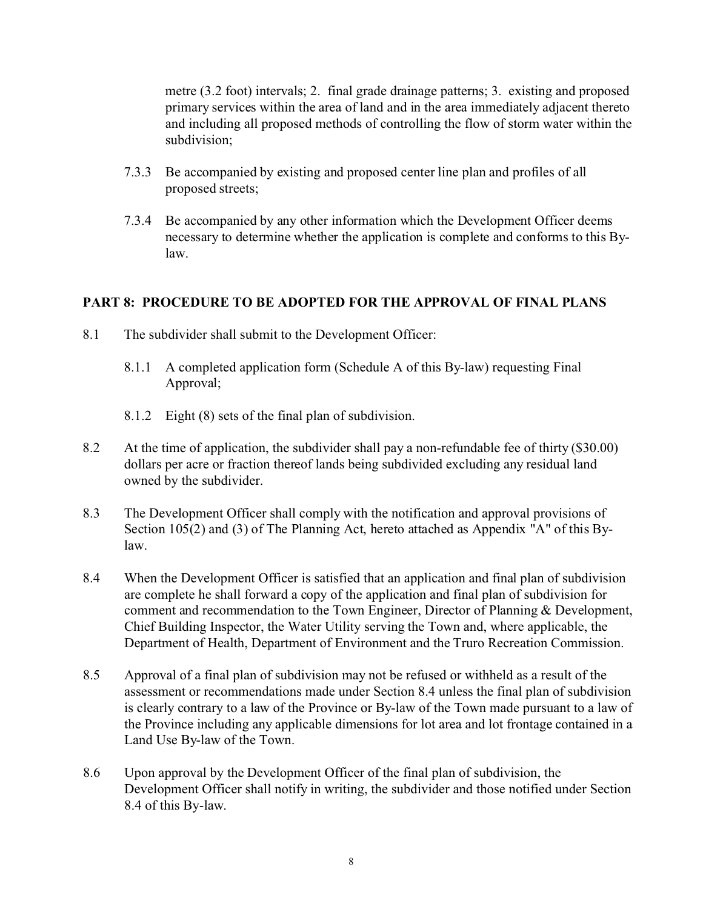metre (3.2 foot) intervals; 2. final grade drainage patterns; 3. existing and proposed primary services within the area of land and in the area immediately adjacent thereto and including all proposed methods of controlling the flow of storm water within the subdivision;

- 7.3.3 Be accompanied by existing and proposed center line plan and profiles of all proposed streets;
- 7.3.4 Be accompanied by any other information which the Development Officer deems necessary to determine whether the application is complete and conforms to this Bylaw.

## **PART 8: PROCEDURE TO BE ADOPTED FOR THE APPROVAL OF FINAL PLANS**

- 8.1 The subdivider shall submit to the Development Officer:
	- 8.1.1 A completed application form (Schedule A of this By-law) requesting Final Approval;
	- 8.1.2 Eight (8) sets of the final plan of subdivision.
- 8.2 At the time of application, the subdivider shall pay a non-refundable fee of thirty (\$30.00) dollars per acre or fraction thereof lands being subdivided excluding any residual land owned by the subdivider.
- 8.3 The Development Officer shall comply with the notification and approval provisions of Section 105(2) and (3) of The Planning Act, hereto attached as Appendix "A" of this Bylaw.
- 8.4 When the Development Officer is satisfied that an application and final plan of subdivision are complete he shall forward a copy of the application and final plan of subdivision for comment and recommendation to the Town Engineer, Director of Planning & Development, Chief Building Inspector, the Water Utility serving the Town and, where applicable, the Department of Health, Department of Environment and the Truro Recreation Commission.
- 8.5 Approval of a final plan of subdivision may not be refused or withheld as a result of the assessment or recommendations made under Section 8.4 unless the final plan of subdivision is clearly contrary to a law of the Province or By-law of the Town made pursuant to a law of the Province including any applicable dimensions for lot area and lot frontage contained in a Land Use By-law of the Town.
- 8.6 Upon approval by the Development Officer of the final plan of subdivision, the Development Officer shall notify in writing, the subdivider and those notified under Section 8.4 of this By-law.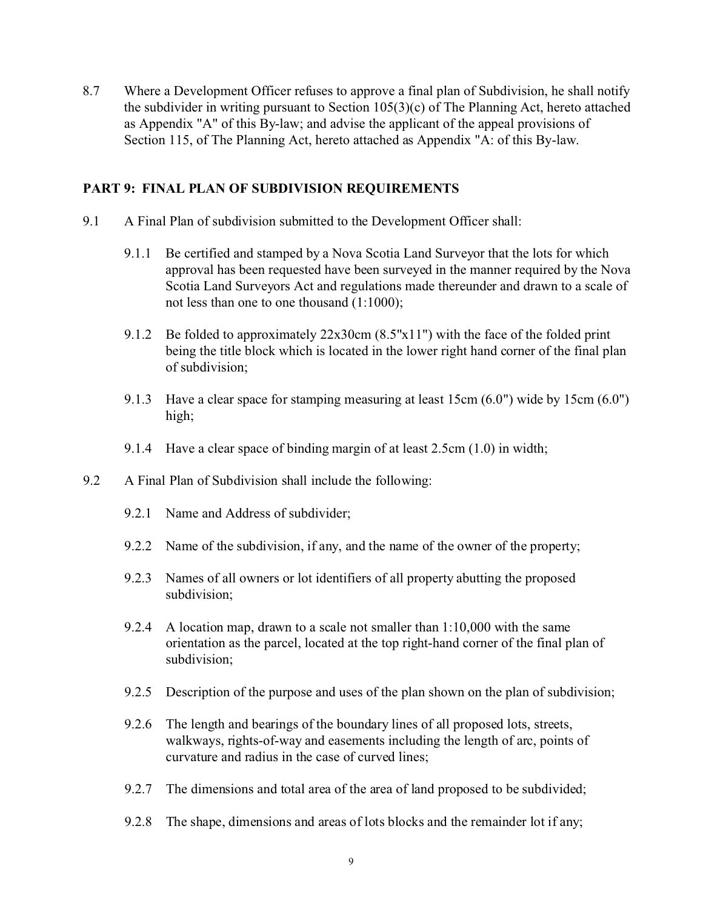8.7 Where a Development Officer refuses to approve a final plan of Subdivision, he shall notify the subdivider in writing pursuant to Section 105(3)(c) of The Planning Act, hereto attached as Appendix "A" of this By-law; and advise the applicant of the appeal provisions of Section 115, of The Planning Act, hereto attached as Appendix "A: of this By-law.

#### **PART 9: FINAL PLAN OF SUBDIVISION REQUIREMENTS**

- 9.1 A Final Plan of subdivision submitted to the Development Officer shall:
	- 9.1.1 Be certified and stamped by a Nova Scotia Land Surveyor that the lots for which approval has been requested have been surveyed in the manner required by the Nova Scotia Land Surveyors Act and regulations made thereunder and drawn to a scale of not less than one to one thousand (1:1000);
	- 9.1.2 Be folded to approximately 22x30cm (8.5"x11") with the face of the folded print being the title block which is located in the lower right hand corner of the final plan of subdivision;
	- 9.1.3 Have a clear space for stamping measuring at least 15cm (6.0") wide by 15cm (6.0") high;
	- 9.1.4 Have a clear space of binding margin of at least 2.5cm (1.0) in width;
- 9.2 A Final Plan of Subdivision shall include the following:
	- 9.2.1 Name and Address of subdivider;
	- 9.2.2 Name of the subdivision, if any, and the name of the owner of the property;
	- 9.2.3 Names of all owners or lot identifiers of all property abutting the proposed subdivision;
	- 9.2.4 A location map, drawn to a scale not smaller than 1:10,000 with the same orientation as the parcel, located at the top right-hand corner of the final plan of subdivision;
	- 9.2.5 Description of the purpose and uses of the plan shown on the plan of subdivision;
	- 9.2.6 The length and bearings of the boundary lines of all proposed lots, streets, walkways, rights-of-way and easements including the length of arc, points of curvature and radius in the case of curved lines;
	- 9.2.7 The dimensions and total area of the area of land proposed to be subdivided;
	- 9.2.8 The shape, dimensions and areas of lots blocks and the remainder lot if any;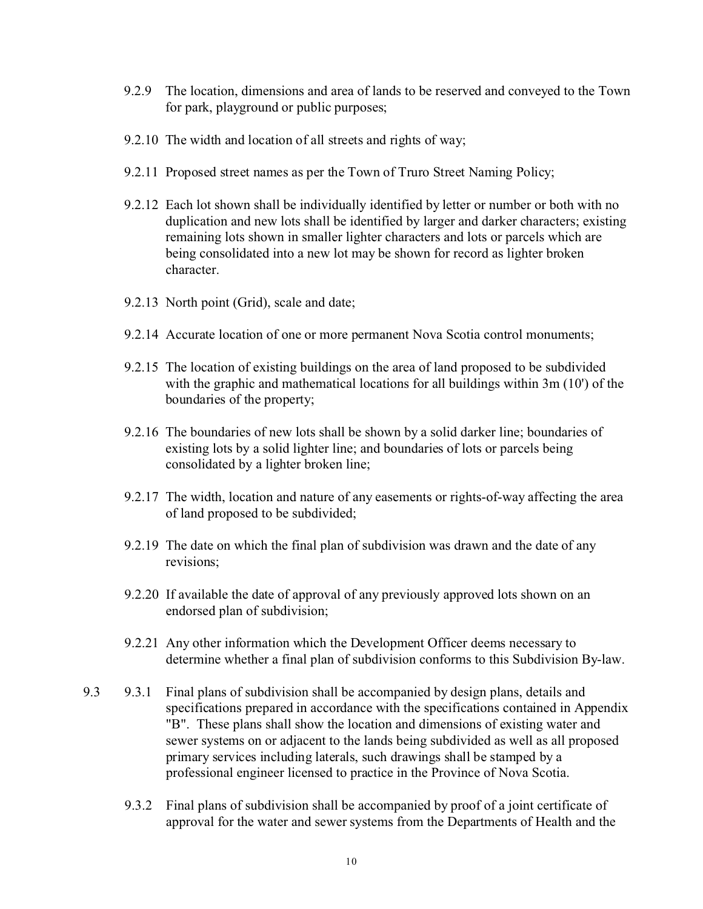- 9.2.9 The location, dimensions and area of lands to be reserved and conveyed to the Town for park, playground or public purposes;
- 9.2.10 The width and location of all streets and rights of way;
- 9.2.11 Proposed street names as per the Town of Truro Street Naming Policy;
- 9.2.12 Each lot shown shall be individually identified by letter or number or both with no duplication and new lots shall be identified by larger and darker characters; existing remaining lots shown in smaller lighter characters and lots or parcels which are being consolidated into a new lot may be shown for record as lighter broken character.
- 9.2.13 North point (Grid), scale and date;
- 9.2.14 Accurate location of one or more permanent Nova Scotia control monuments;
- 9.2.15 The location of existing buildings on the area of land proposed to be subdivided with the graphic and mathematical locations for all buildings within 3m (10') of the boundaries of the property;
- 9.2.16 The boundaries of new lots shall be shown by a solid darker line; boundaries of existing lots by a solid lighter line; and boundaries of lots or parcels being consolidated by a lighter broken line;
- 9.2.17 The width, location and nature of any easements or rights-of-way affecting the area of land proposed to be subdivided;
- 9.2.19 The date on which the final plan of subdivision was drawn and the date of any revisions;
- 9.2.20 If available the date of approval of any previously approved lots shown on an endorsed plan of subdivision;
- 9.2.21 Any other information which the Development Officer deems necessary to determine whether a final plan of subdivision conforms to this Subdivision By-law.
- 9.3 9.3.1 Final plans of subdivision shall be accompanied by design plans, details and specifications prepared in accordance with the specifications contained in Appendix "B". These plans shall show the location and dimensions of existing water and sewer systems on or adjacent to the lands being subdivided as well as all proposed primary services including laterals, such drawings shall be stamped by a professional engineer licensed to practice in the Province of Nova Scotia.
	- 9.3.2 Final plans of subdivision shall be accompanied by proof of a joint certificate of approval for the water and sewer systems from the Departments of Health and the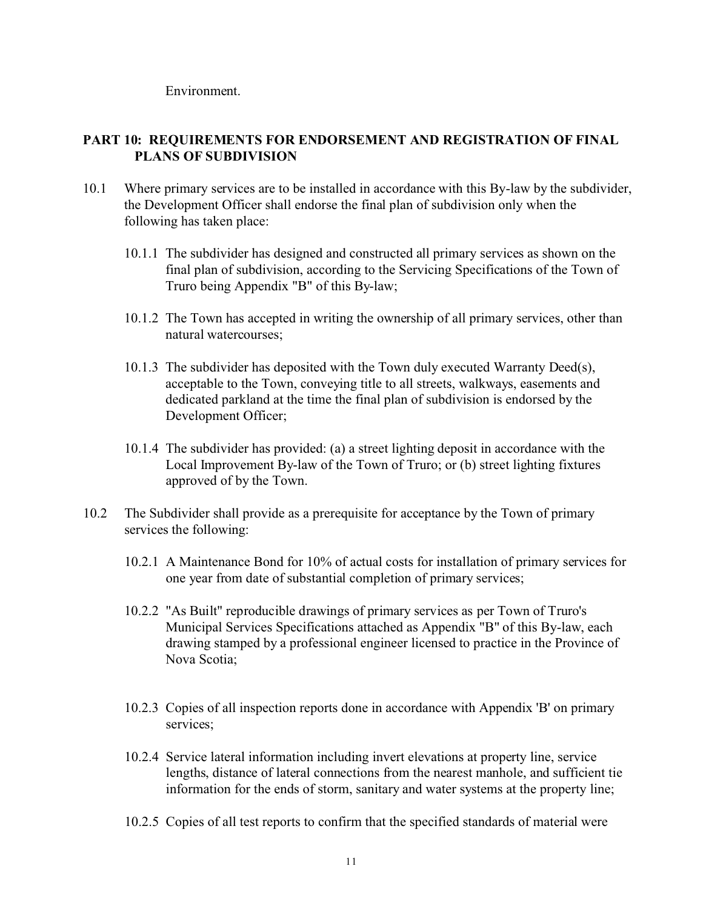Environment.

# **PART 10: REQUIREMENTS FOR ENDORSEMENT AND REGISTRATION OF FINAL PLANS OF SUBDIVISION**

- 10.1 Where primary services are to be installed in accordance with this By-law by the subdivider, the Development Officer shall endorse the final plan of subdivision only when the following has taken place:
	- 10.1.1 The subdivider has designed and constructed all primary services as shown on the final plan of subdivision, according to the Servicing Specifications of the Town of Truro being Appendix "B" of this By-law;
	- 10.1.2 The Town has accepted in writing the ownership of all primary services, other than natural watercourses;
	- 10.1.3 The subdivider has deposited with the Town duly executed Warranty Deed(s), acceptable to the Town, conveying title to all streets, walkways, easements and dedicated parkland at the time the final plan of subdivision is endorsed by the Development Officer;
	- 10.1.4 The subdivider has provided: (a) a street lighting deposit in accordance with the Local Improvement By-law of the Town of Truro; or (b) street lighting fixtures approved of by the Town.
- 10.2 The Subdivider shall provide as a prerequisite for acceptance by the Town of primary services the following:
	- 10.2.1 A Maintenance Bond for 10% of actual costs for installation of primary services for one year from date of substantial completion of primary services;
	- 10.2.2 "As Built" reproducible drawings of primary services as per Town of Truro's Municipal Services Specifications attached as Appendix "B" of this By-law, each drawing stamped by a professional engineer licensed to practice in the Province of Nova Scotia;
	- 10.2.3 Copies of all inspection reports done in accordance with Appendix 'B' on primary services;
	- 10.2.4 Service lateral information including invert elevations at property line, service lengths, distance of lateral connections from the nearest manhole, and sufficient tie information for the ends of storm, sanitary and water systems at the property line;
	- 10.2.5 Copies of all test reports to confirm that the specified standards of material were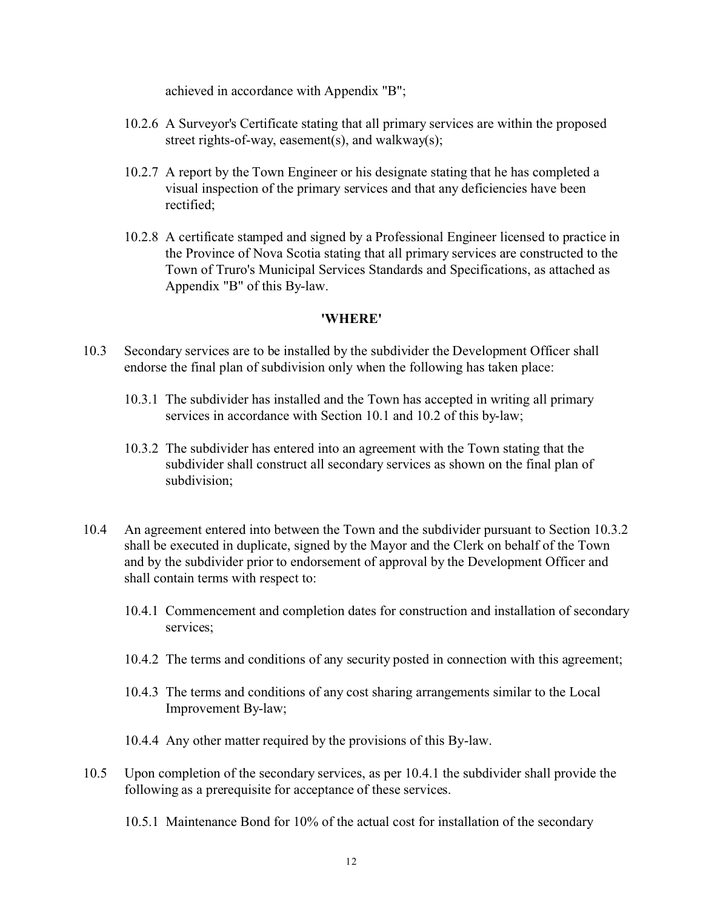achieved in accordance with Appendix "B";

- 10.2.6 A Surveyor's Certificate stating that all primary services are within the proposed street rights-of-way, easement(s), and walkway(s);
- 10.2.7 A report by the Town Engineer or his designate stating that he has completed a visual inspection of the primary services and that any deficiencies have been rectified;
- 10.2.8 A certificate stamped and signed by a Professional Engineer licensed to practice in the Province of Nova Scotia stating that all primary services are constructed to the Town of Truro's Municipal Services Standards and Specifications, as attached as Appendix "B" of this By-law.

#### **'WHERE'**

- 10.3 Secondary services are to be installed by the subdivider the Development Officer shall endorse the final plan of subdivision only when the following has taken place:
	- 10.3.1 The subdivider has installed and the Town has accepted in writing all primary services in accordance with Section 10.1 and 10.2 of this by-law;
	- 10.3.2 The subdivider has entered into an agreement with the Town stating that the subdivider shall construct all secondary services as shown on the final plan of subdivision;
- 10.4 An agreement entered into between the Town and the subdivider pursuant to Section 10.3.2 shall be executed in duplicate, signed by the Mayor and the Clerk on behalf of the Town and by the subdivider prior to endorsement of approval by the Development Officer and shall contain terms with respect to:
	- 10.4.1 Commencement and completion dates for construction and installation of secondary services;
	- 10.4.2 The terms and conditions of any security posted in connection with this agreement;
	- 10.4.3 The terms and conditions of any cost sharing arrangements similar to the Local Improvement By-law;
	- 10.4.4 Any other matter required by the provisions of this By-law.
- 10.5 Upon completion of the secondary services, as per 10.4.1 the subdivider shall provide the following as a prerequisite for acceptance of these services.
	- 10.5.1 Maintenance Bond for 10% of the actual cost for installation of the secondary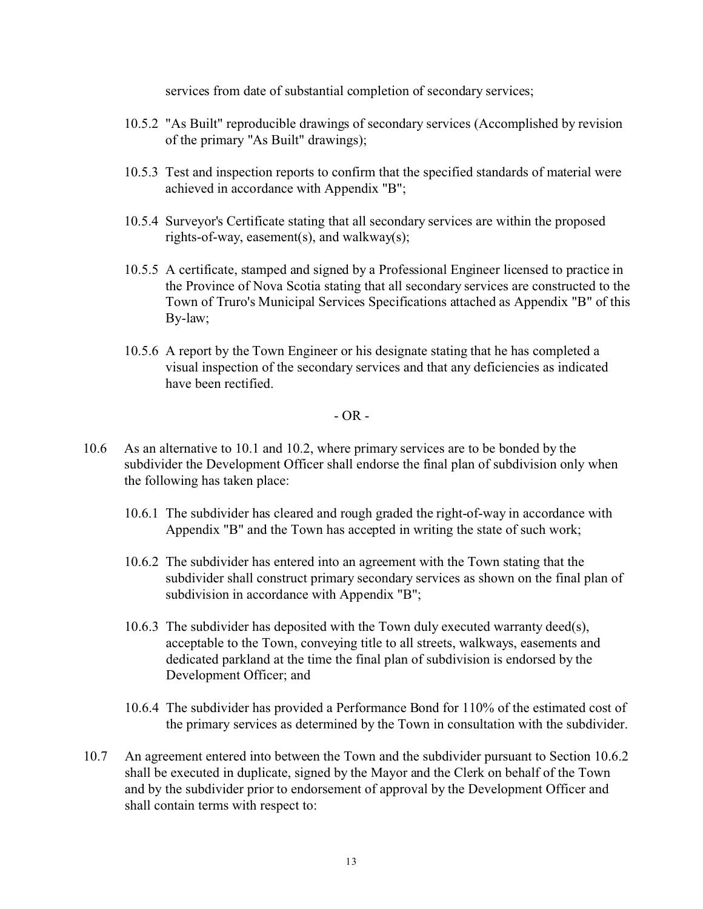services from date of substantial completion of secondary services;

- 10.5.2 "As Built" reproducible drawings of secondary services (Accomplished by revision of the primary "As Built" drawings);
- 10.5.3 Test and inspection reports to confirm that the specified standards of material were achieved in accordance with Appendix "B";
- 10.5.4 Surveyor's Certificate stating that all secondary services are within the proposed rights-of-way, easement(s), and walkway(s);
- 10.5.5 A certificate, stamped and signed by a Professional Engineer licensed to practice in the Province of Nova Scotia stating that all secondary services are constructed to the Town of Truro's Municipal Services Specifications attached as Appendix "B" of this By-law;
- 10.5.6 A report by the Town Engineer or his designate stating that he has completed a visual inspection of the secondary services and that any deficiencies as indicated have been rectified.

 $-$  OR  $-$ 

- 10.6 As an alternative to 10.1 and 10.2, where primary services are to be bonded by the subdivider the Development Officer shall endorse the final plan of subdivision only when the following has taken place:
	- 10.6.1 The subdivider has cleared and rough graded the right-of-way in accordance with Appendix "B" and the Town has accepted in writing the state of such work;
	- 10.6.2 The subdivider has entered into an agreement with the Town stating that the subdivider shall construct primary secondary services as shown on the final plan of subdivision in accordance with Appendix "B";
	- 10.6.3 The subdivider has deposited with the Town duly executed warranty deed(s), acceptable to the Town, conveying title to all streets, walkways, easements and dedicated parkland at the time the final plan of subdivision is endorsed by the Development Officer; and
	- 10.6.4 The subdivider has provided a Performance Bond for 110% of the estimated cost of the primary services as determined by the Town in consultation with the subdivider.
- 10.7 An agreement entered into between the Town and the subdivider pursuant to Section 10.6.2 shall be executed in duplicate, signed by the Mayor and the Clerk on behalf of the Town and by the subdivider prior to endorsement of approval by the Development Officer and shall contain terms with respect to: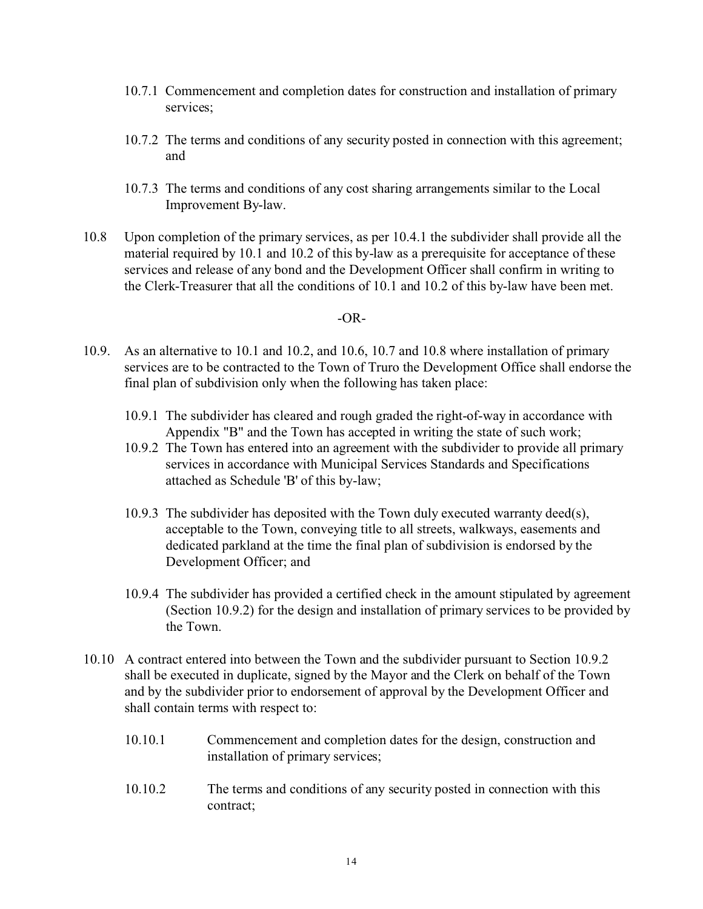- 10.7.1 Commencement and completion dates for construction and installation of primary services;
- 10.7.2 The terms and conditions of any security posted in connection with this agreement; and
- 10.7.3 The terms and conditions of any cost sharing arrangements similar to the Local Improvement By-law.
- 10.8 Upon completion of the primary services, as per 10.4.1 the subdivider shall provide all the material required by 10.1 and 10.2 of this by-law as a prerequisite for acceptance of these services and release of any bond and the Development Officer shall confirm in writing to the Clerk-Treasurer that all the conditions of 10.1 and 10.2 of this by-law have been met.

#### $-OR-$

- 10.9. As an alternative to 10.1 and 10.2, and 10.6, 10.7 and 10.8 where installation of primary services are to be contracted to the Town of Truro the Development Office shall endorse the final plan of subdivision only when the following has taken place:
	- 10.9.1 The subdivider has cleared and rough graded the right-of-way in accordance with Appendix "B" and the Town has accepted in writing the state of such work;
	- 10.9.2 The Town has entered into an agreement with the subdivider to provide all primary services in accordance with Municipal Services Standards and Specifications attached as Schedule 'B' of this by-law;
	- 10.9.3 The subdivider has deposited with the Town duly executed warranty deed(s), acceptable to the Town, conveying title to all streets, walkways, easements and dedicated parkland at the time the final plan of subdivision is endorsed by the Development Officer; and
	- 10.9.4 The subdivider has provided a certified check in the amount stipulated by agreement (Section 10.9.2) for the design and installation of primary services to be provided by the Town.
- 10.10 A contract entered into between the Town and the subdivider pursuant to Section 10.9.2 shall be executed in duplicate, signed by the Mayor and the Clerk on behalf of the Town and by the subdivider prior to endorsement of approval by the Development Officer and shall contain terms with respect to:
	- 10.10.1 Commencement and completion dates for the design, construction and installation of primary services;
	- 10.10.2 The terms and conditions of any security posted in connection with this contract;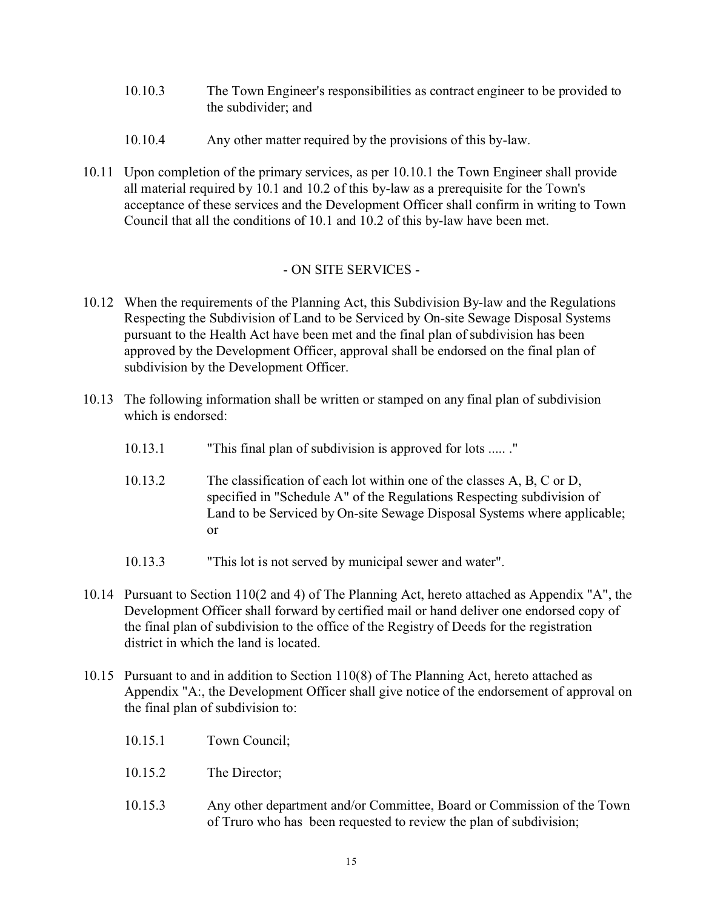- 10.10.3 The Town Engineer's responsibilities as contract engineer to be provided to the subdivider; and
- 10.10.4 Any other matter required by the provisions of this by-law.
- 10.11 Upon completion of the primary services, as per 10.10.1 the Town Engineer shall provide all material required by 10.1 and 10.2 of this by-law as a prerequisite for the Town's acceptance of these services and the Development Officer shall confirm in writing to Town Council that all the conditions of 10.1 and 10.2 of this by-law have been met.

# - ON SITE SERVICES -

- 10.12 When the requirements of the Planning Act, this Subdivision By-law and the Regulations Respecting the Subdivision of Land to be Serviced by On-site Sewage Disposal Systems pursuant to the Health Act have been met and the final plan of subdivision has been approved by the Development Officer, approval shall be endorsed on the final plan of subdivision by the Development Officer.
- 10.13 The following information shall be written or stamped on any final plan of subdivision which is endorsed:
	- 10.13.1 "This final plan of subdivision is approved for lots ..... ."
	- 10.13.2 The classification of each lot within one of the classes A, B, C or D, specified in "Schedule A" of the Regulations Respecting subdivision of Land to be Serviced by On-site Sewage Disposal Systems where applicable; or
	- 10.13.3 "This lot is not served by municipal sewer and water".
- 10.14 Pursuant to Section 110(2 and 4) of The Planning Act, hereto attached as Appendix "A", the Development Officer shall forward by certified mail or hand deliver one endorsed copy of the final plan of subdivision to the office of the Registry of Deeds for the registration district in which the land is located.
- 10.15 Pursuant to and in addition to Section 110(8) of The Planning Act, hereto attached as Appendix "A:, the Development Officer shall give notice of the endorsement of approval on the final plan of subdivision to:
	- 10.15.1 Town Council;
	- 10.15.2 The Director;
	- 10.15.3 Any other department and/or Committee, Board or Commission of the Town of Truro who has been requested to review the plan of subdivision;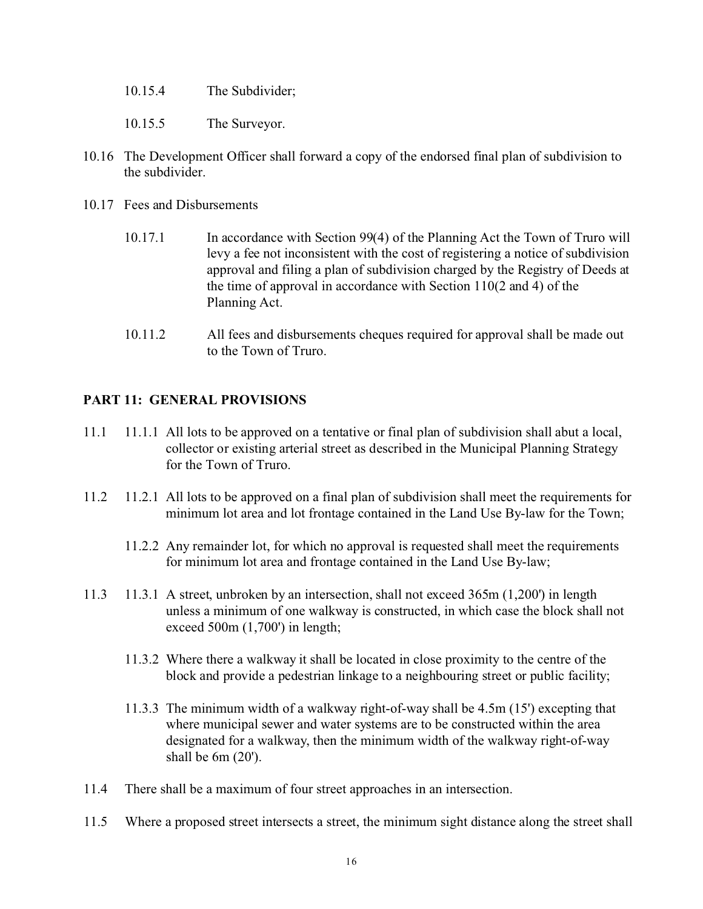- 10.15.4 The Subdivider;
- 10.15.5 The Surveyor.
- 10.16 The Development Officer shall forward a copy of the endorsed final plan of subdivision to the subdivider.
- 10.17 Fees and Disbursements
	- 10.17.1 In accordance with Section 99(4) of the Planning Act the Town of Truro will levy a fee not inconsistent with the cost of registering a notice of subdivision approval and filing a plan of subdivision charged by the Registry of Deeds at the time of approval in accordance with Section 110(2 and 4) of the Planning Act.
	- 10.11.2 All fees and disbursements cheques required for approval shall be made out to the Town of Truro.

## **PART 11: GENERAL PROVISIONS**

- 11.1 11.1.1 All lots to be approved on a tentative or final plan of subdivision shall abut a local, collector or existing arterial street as described in the Municipal Planning Strategy for the Town of Truro.
- 11.2 11.2.1 All lots to be approved on a final plan of subdivision shall meet the requirements for minimum lot area and lot frontage contained in the Land Use By-law for the Town;
	- 11.2.2 Any remainder lot, for which no approval is requested shall meet the requirements for minimum lot area and frontage contained in the Land Use By-law;
- 11.3 11.3.1 A street, unbroken by an intersection, shall not exceed 365m (1,200') in length unless a minimum of one walkway is constructed, in which case the block shall not exceed 500m (1,700') in length;
	- 11.3.2 Where there a walkway it shall be located in close proximity to the centre of the block and provide a pedestrian linkage to a neighbouring street or public facility;
	- 11.3.3 The minimum width of a walkway right-of-way shall be 4.5m (15') excepting that where municipal sewer and water systems are to be constructed within the area designated for a walkway, then the minimum width of the walkway right-of-way shall be 6m (20').
- 11.4 There shall be a maximum of four street approaches in an intersection.
- 11.5 Where a proposed street intersects a street, the minimum sight distance along the street shall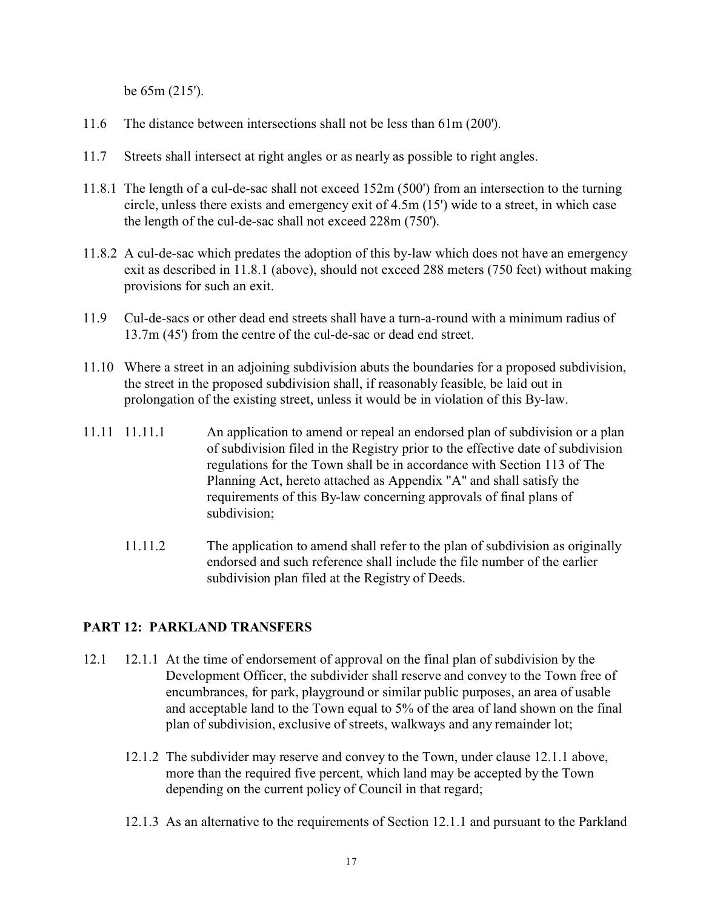be 65m (215').

- 11.6 The distance between intersections shall not be less than 61m (200').
- 11.7 Streets shall intersect at right angles or as nearly as possible to right angles.
- 11.8.1 The length of a cul-de-sac shall not exceed 152m (500') from an intersection to the turning circle, unless there exists and emergency exit of 4.5m (15') wide to a street, in which case the length of the cul-de-sac shall not exceed 228m (750').
- 11.8.2 A cul-de-sac which predates the adoption of this by-law which does not have an emergency exit as described in 11.8.1 (above), should not exceed 288 meters (750 feet) without making provisions for such an exit.
- 11.9 Cul-de-sacs or other dead end streets shall have a turn-a-round with a minimum radius of 13.7m (45') from the centre of the cul-de-sac or dead end street.
- 11.10 Where a street in an adjoining subdivision abuts the boundaries for a proposed subdivision, the street in the proposed subdivision shall, if reasonably feasible, be laid out in prolongation of the existing street, unless it would be in violation of this By-law.
- 11.11 11.11.1 An application to amend or repeal an endorsed plan of subdivision or a plan of subdivision filed in the Registry prior to the effective date of subdivision regulations for the Town shall be in accordance with Section 113 of The Planning Act, hereto attached as Appendix "A" and shall satisfy the requirements of this By-law concerning approvals of final plans of subdivision;
	- 11.11.2 The application to amend shall refer to the plan of subdivision as originally endorsed and such reference shall include the file number of the earlier subdivision plan filed at the Registry of Deeds.

# **PART 12: PARKLAND TRANSFERS**

- 12.1 12.1.1 At the time of endorsement of approval on the final plan of subdivision by the Development Officer, the subdivider shall reserve and convey to the Town free of encumbrances, for park, playground or similar public purposes, an area of usable and acceptable land to the Town equal to 5% of the area of land shown on the final plan of subdivision, exclusive of streets, walkways and any remainder lot;
	- 12.1.2 The subdivider may reserve and convey to the Town, under clause 12.1.1 above, more than the required five percent, which land may be accepted by the Town depending on the current policy of Council in that regard;
	- 12.1.3 As an alternative to the requirements of Section 12.1.1 and pursuant to the Parkland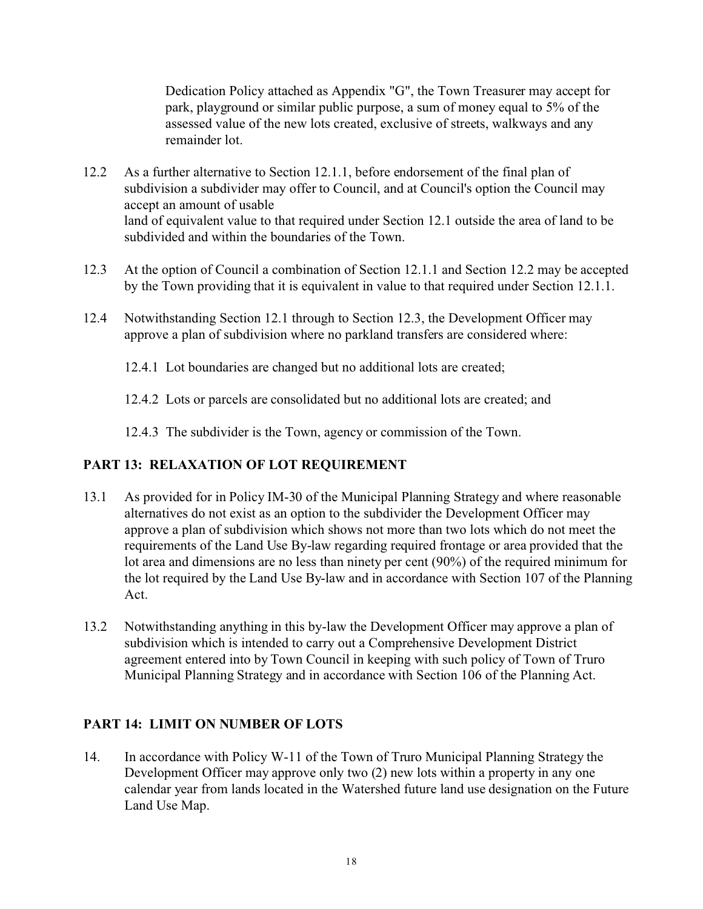Dedication Policy attached as Appendix "G", the Town Treasurer may accept for park, playground or similar public purpose, a sum of money equal to 5% of the assessed value of the new lots created, exclusive of streets, walkways and any remainder lot.

- 12.2 As a further alternative to Section 12.1.1, before endorsement of the final plan of subdivision a subdivider may offer to Council, and at Council's option the Council may accept an amount of usable land of equivalent value to that required under Section 12.1 outside the area of land to be subdivided and within the boundaries of the Town.
- 12.3 At the option of Council a combination of Section 12.1.1 and Section 12.2 may be accepted by the Town providing that it is equivalent in value to that required under Section 12.1.1.
- 12.4 Notwithstanding Section 12.1 through to Section 12.3, the Development Officer may approve a plan of subdivision where no parkland transfers are considered where:
	- 12.4.1 Lot boundaries are changed but no additional lots are created;
	- 12.4.2 Lots or parcels are consolidated but no additional lots are created; and
	- 12.4.3 The subdivider is the Town, agency or commission of the Town.

# **PART 13: RELAXATION OF LOT REQUIREMENT**

- 13.1 As provided for in Policy IM-30 of the Municipal Planning Strategy and where reasonable alternatives do not exist as an option to the subdivider the Development Officer may approve a plan of subdivision which shows not more than two lots which do not meet the requirements of the Land Use By-law regarding required frontage or area provided that the lot area and dimensions are no less than ninety per cent (90%) of the required minimum for the lot required by the Land Use By-law and in accordance with Section 107 of the Planning Act.
- 13.2 Notwithstanding anything in this by-law the Development Officer may approve a plan of subdivision which is intended to carry out a Comprehensive Development District agreement entered into by Town Council in keeping with such policy of Town of Truro Municipal Planning Strategy and in accordance with Section 106 of the Planning Act.

# **PART 14: LIMIT ON NUMBER OF LOTS**

14. In accordance with Policy W-11 of the Town of Truro Municipal Planning Strategy the Development Officer may approve only two (2) new lots within a property in any one calendar year from lands located in the Watershed future land use designation on the Future Land Use Map.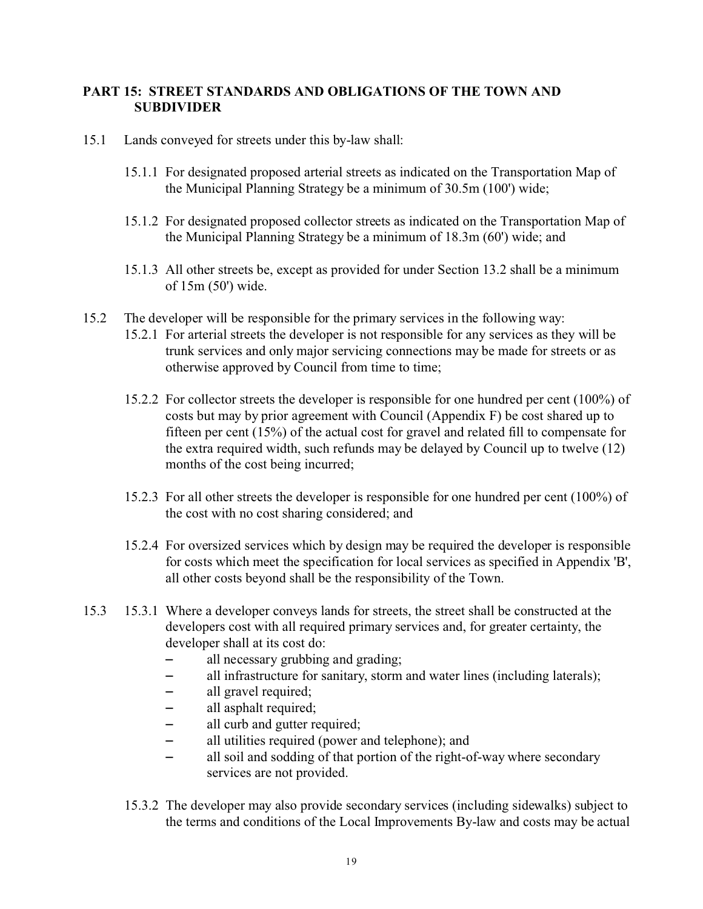# **PART 15: STREET STANDARDS AND OBLIGATIONS OF THE TOWN AND SUBDIVIDER**

- 15.1 Lands conveyed for streets under this by-law shall:
	- 15.1.1 For designated proposed arterial streets as indicated on the Transportation Map of the Municipal Planning Strategy be a minimum of 30.5m (100') wide;
	- 15.1.2 For designated proposed collector streets as indicated on the Transportation Map of the Municipal Planning Strategy be a minimum of 18.3m (60') wide; and
	- 15.1.3 All other streets be, except as provided for under Section 13.2 shall be a minimum of 15m (50') wide.
- 15.2 The developer will be responsible for the primary services in the following way:
	- 15.2.1 For arterial streets the developer is not responsible for any services as they will be trunk services and only major servicing connections may be made for streets or as otherwise approved by Council from time to time;
	- 15.2.2 For collector streets the developer is responsible for one hundred per cent (100%) of costs but may by prior agreement with Council (Appendix F) be cost shared up to fifteen per cent (15%) of the actual cost for gravel and related fill to compensate for the extra required width, such refunds may be delayed by Council up to twelve (12) months of the cost being incurred;
	- 15.2.3 For all other streets the developer is responsible for one hundred per cent (100%) of the cost with no cost sharing considered; and
	- 15.2.4 For oversized services which by design may be required the developer is responsible for costs which meet the specification for local services as specified in Appendix 'B', all other costs beyond shall be the responsibility of the Town.
- 15.3 15.3.1 Where a developer conveys lands for streets, the street shall be constructed at the developers cost with all required primary services and, for greater certainty, the developer shall at its cost do:
	- $-$  all necessary grubbing and grading;
	- all infrastructure for sanitary, storm and water lines (including laterals);
	- all gravel required;
	- $-$  all asphalt required;
	- all curb and gutter required;
	- all utilities required (power and telephone); and
	- all soil and sodding of that portion of the right-of-way where secondary services are not provided.
	- 15.3.2 The developer may also provide secondary services (including sidewalks) subject to the terms and conditions of the Local Improvements By-law and costs may be actual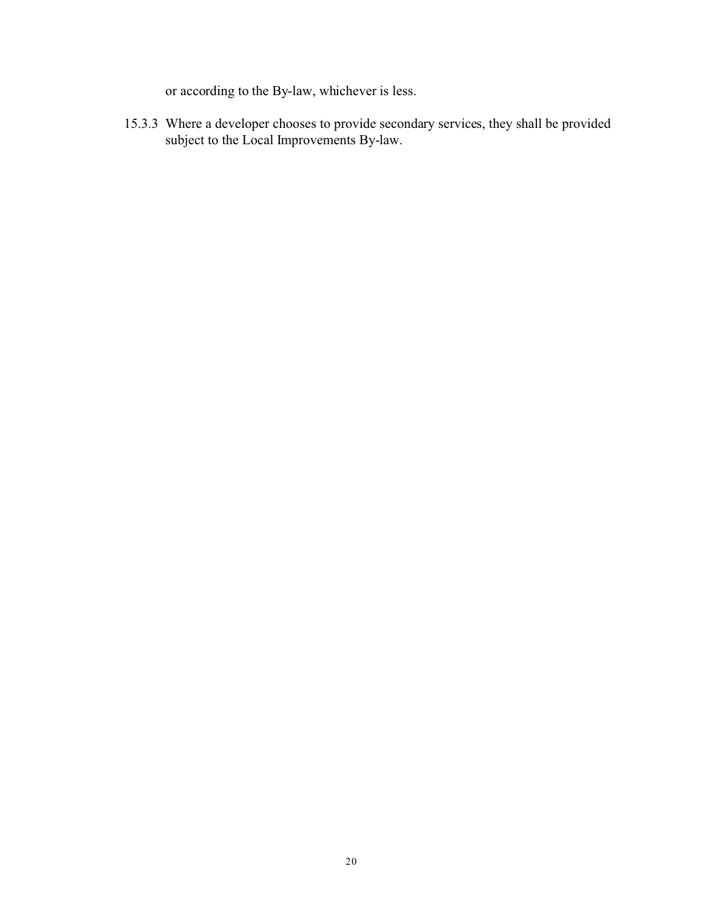or according to the By-law, whichever is less.

15.3.3 Where a developer chooses to provide secondary services, they shall be provided subject to the Local Improvements By-law.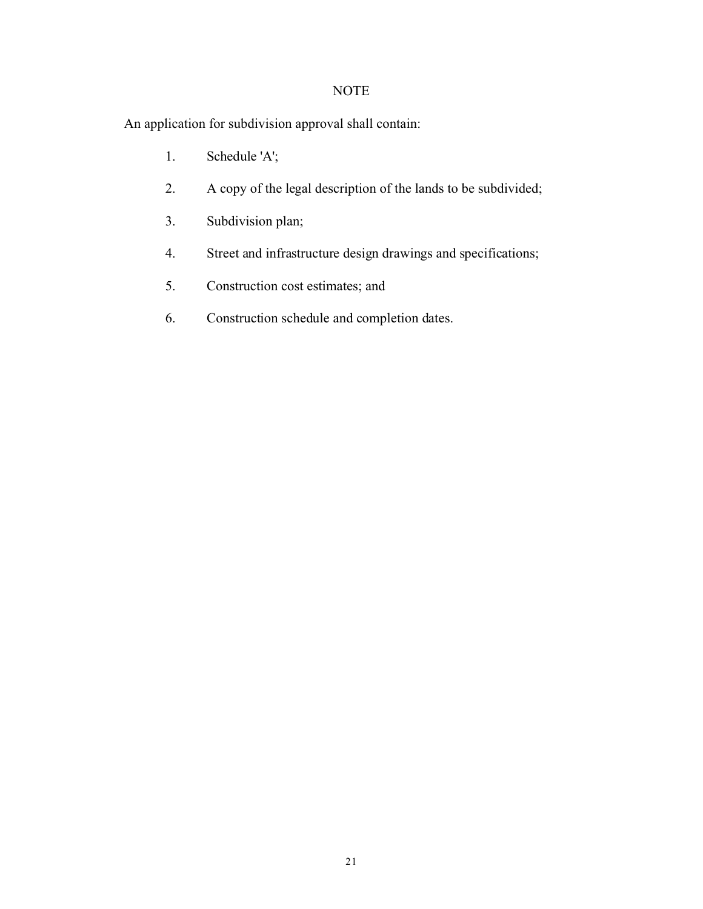# NOTE

An application for subdivision approval shall contain:

- 1. Schedule 'A';
- 2. A copy of the legal description of the lands to be subdivided;
- 3. Subdivision plan;
- 4. Street and infrastructure design drawings and specifications;
- 5. Construction cost estimates; and
- 6. Construction schedule and completion dates.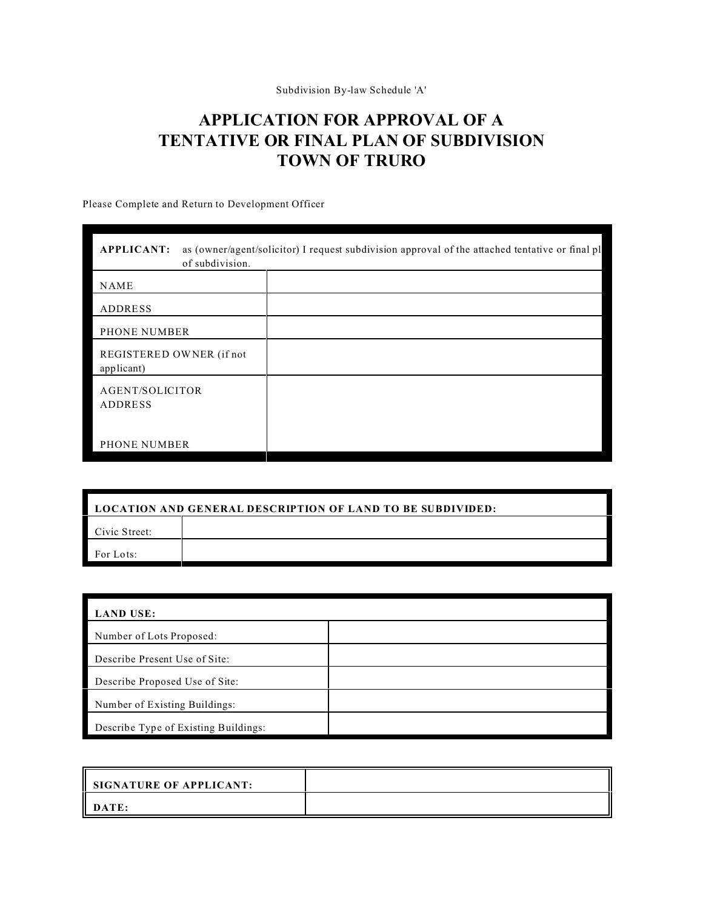Subdivision By-law Schedule 'A'

# **APPLICATION FOR APPROVAL OF A TENTATIVE OR FINAL PLAN OF SUBDIVISION TOWN OF TRURO**

Please Complete and Return to Development Officer

| as (owner/agent/solicitor) I request subdivision approval of the attached tentative or final pl<br><b>APPLICANT:</b><br>of subdivision. |  |  |  |  |
|-----------------------------------------------------------------------------------------------------------------------------------------|--|--|--|--|
| <b>NAME</b>                                                                                                                             |  |  |  |  |
| ADDRESS                                                                                                                                 |  |  |  |  |
| PHONE NUMBER                                                                                                                            |  |  |  |  |
| REGISTERED OWNER (if not<br>applicant)                                                                                                  |  |  |  |  |
| AGENT/SOLICITOR<br>ADDRESS                                                                                                              |  |  |  |  |
| <b>PHONE NUMBER</b>                                                                                                                     |  |  |  |  |

| <b>LOCATION AND GENERAL DESCRIPTION OF LAND TO BE SUBDIVIDED:</b> |  |  |  |
|-------------------------------------------------------------------|--|--|--|
| Civic Street:                                                     |  |  |  |
| For Lots:                                                         |  |  |  |

| <b>LAND USE:</b>                     |  |  |
|--------------------------------------|--|--|
| Number of Lots Proposed:             |  |  |
| Describe Present Use of Site:        |  |  |
| Describe Proposed Use of Site:       |  |  |
| Number of Existing Buildings:        |  |  |
| Describe Type of Existing Buildings: |  |  |

| SIGNATURE OF APPLICANT: |  |
|-------------------------|--|
| $\ $ DATE:              |  |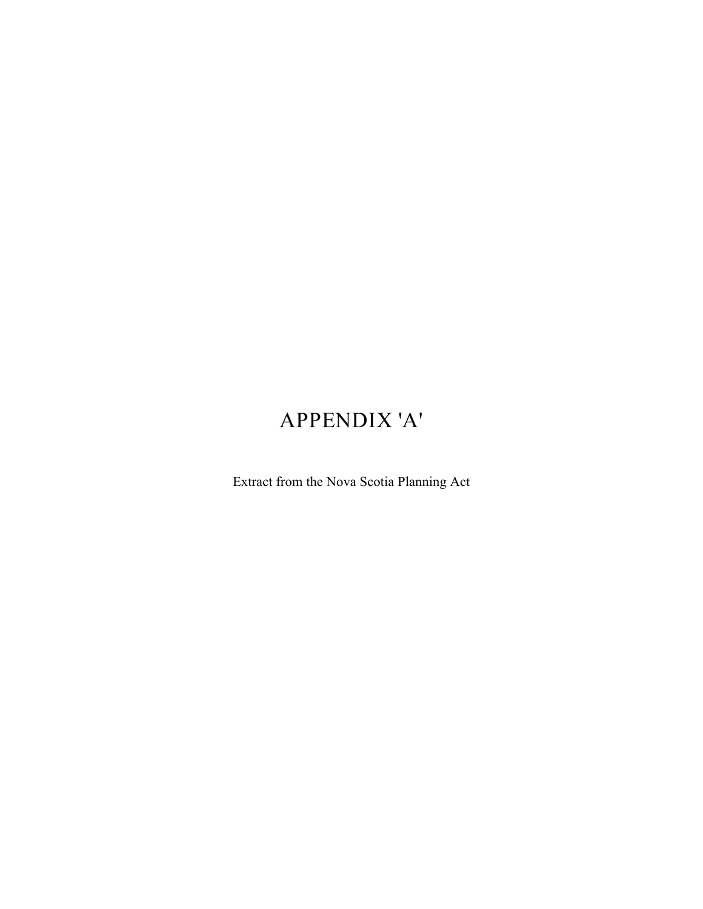# APPENDIX 'A'

Extract from the Nova Scotia Planning Act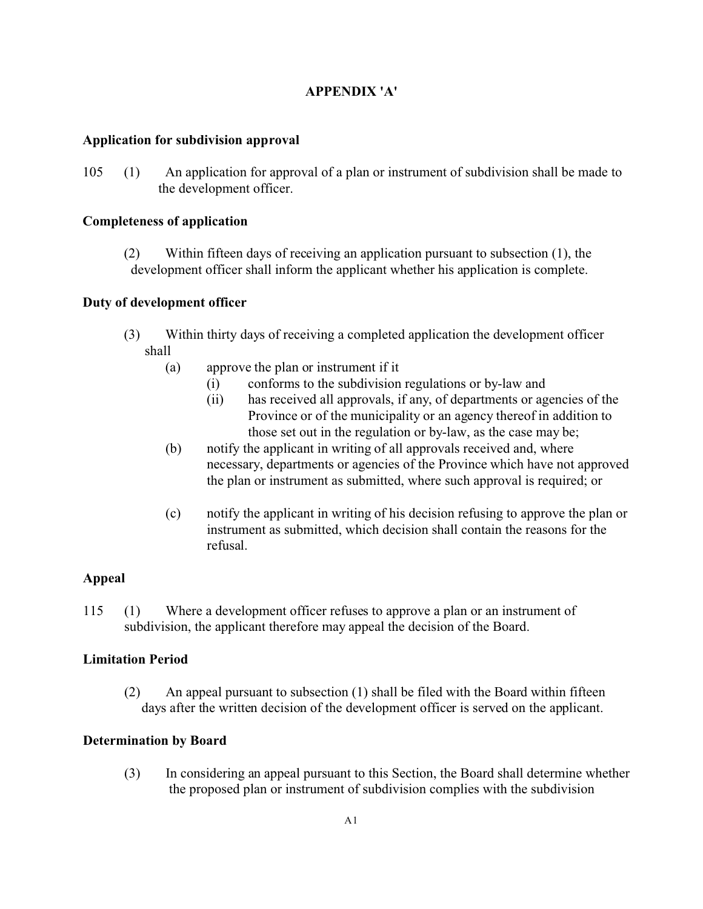# **APPENDIX 'A'**

#### **Application for subdivision approval**

105 (1) An application for approval of a plan or instrument of subdivision shall be made to the development officer.

#### **Completeness of application**

(2) Within fifteen days of receiving an application pursuant to subsection (1), the development officer shall inform the applicant whether his application is complete.

## **Duty of development officer**

- (3) Within thirty days of receiving a completed application the development officer shall
	- (a) approve the plan or instrument if it
		- (i) conforms to the subdivision regulations or by-law and
		- (ii) has received all approvals, if any, of departments or agencies of the Province or of the municipality or an agency thereof in addition to those set out in the regulation or by-law, as the case may be;
	- (b) notify the applicant in writing of all approvals received and, where necessary, departments or agencies of the Province which have not approved the plan or instrument as submitted, where such approval is required; or
	- (c) notify the applicant in writing of his decision refusing to approve the plan or instrument as submitted, which decision shall contain the reasons for the refusal.

# **Appeal**

115 (1) Where a development officer refuses to approve a plan or an instrument of subdivision, the applicant therefore may appeal the decision of the Board.

#### **Limitation Period**

(2) An appeal pursuant to subsection (1) shall be filed with the Board within fifteen days after the written decision of the development officer is served on the applicant.

#### **Determination by Board**

(3) In considering an appeal pursuant to this Section, the Board shall determine whether the proposed plan or instrument of subdivision complies with the subdivision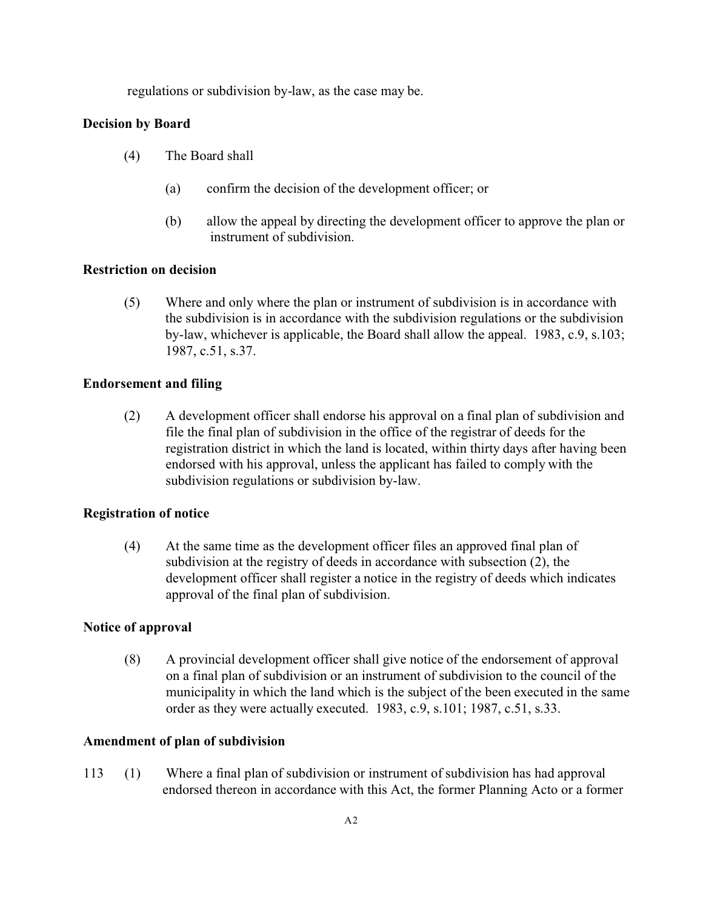regulations or subdivision by-law, as the case may be.

#### **Decision by Board**

- (4) The Board shall
	- (a) confirm the decision of the development officer; or
	- (b) allow the appeal by directing the development officer to approve the plan or instrument of subdivision.

#### **Restriction on decision**

(5) Where and only where the plan or instrument of subdivision is in accordance with the subdivision is in accordance with the subdivision regulations or the subdivision by-law, whichever is applicable, the Board shall allow the appeal. 1983, c.9, s.103; 1987, c.51, s.37.

#### **Endorsement and filing**

(2) A development officer shall endorse his approval on a final plan of subdivision and file the final plan of subdivision in the office of the registrar of deeds for the registration district in which the land is located, within thirty days after having been endorsed with his approval, unless the applicant has failed to comply with the subdivision regulations or subdivision by-law.

#### **Registration of notice**

(4) At the same time as the development officer files an approved final plan of subdivision at the registry of deeds in accordance with subsection (2), the development officer shall register a notice in the registry of deeds which indicates approval of the final plan of subdivision.

#### **Notice of approval**

(8) A provincial development officer shall give notice of the endorsement of approval on a final plan of subdivision or an instrument of subdivision to the council of the municipality in which the land which is the subject of the been executed in the same order as they were actually executed. 1983, c.9, s.101; 1987, c.51, s.33.

#### **Amendment of plan of subdivision**

113 (1) Where a final plan of subdivision or instrument of subdivision has had approval endorsed thereon in accordance with this Act, the former Planning Acto or a former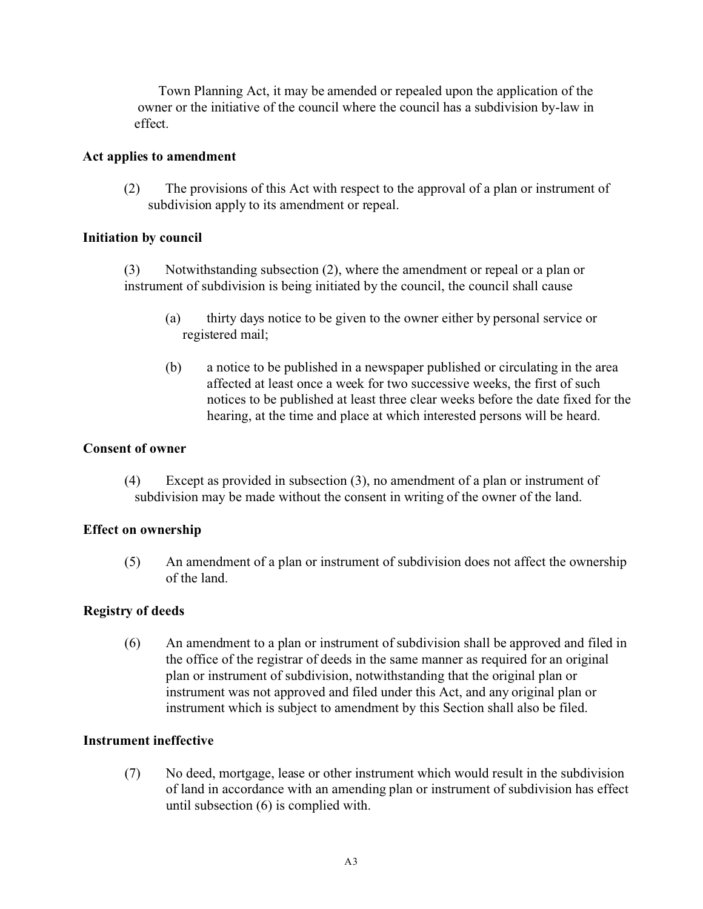Town Planning Act, it may be amended or repealed upon the application of the owner or the initiative of the council where the council has a subdivision by-law in effect.

## **Act applies to amendment**

(2) The provisions of this Act with respect to the approval of a plan or instrument of subdivision apply to its amendment or repeal.

## **Initiation by council**

(3) Notwithstanding subsection (2), where the amendment or repeal or a plan or instrument of subdivision is being initiated by the council, the council shall cause

- (a) thirty days notice to be given to the owner either by personal service or registered mail;
- (b) a notice to be published in a newspaper published or circulating in the area affected at least once a week for two successive weeks, the first of such notices to be published at least three clear weeks before the date fixed for the hearing, at the time and place at which interested persons will be heard.

#### **Consent of owner**

(4) Except as provided in subsection (3), no amendment of a plan or instrument of subdivision may be made without the consent in writing of the owner of the land.

# **Effect on ownership**

(5) An amendment of a plan or instrument of subdivision does not affect the ownership of the land.

# **Registry of deeds**

(6) An amendment to a plan or instrument of subdivision shall be approved and filed in the office of the registrar of deeds in the same manner as required for an original plan or instrument of subdivision, notwithstanding that the original plan or instrument was not approved and filed under this Act, and any original plan or instrument which is subject to amendment by this Section shall also be filed.

#### **Instrument ineffective**

(7) No deed, mortgage, lease or other instrument which would result in the subdivision of land in accordance with an amending plan or instrument of subdivision has effect until subsection (6) is complied with.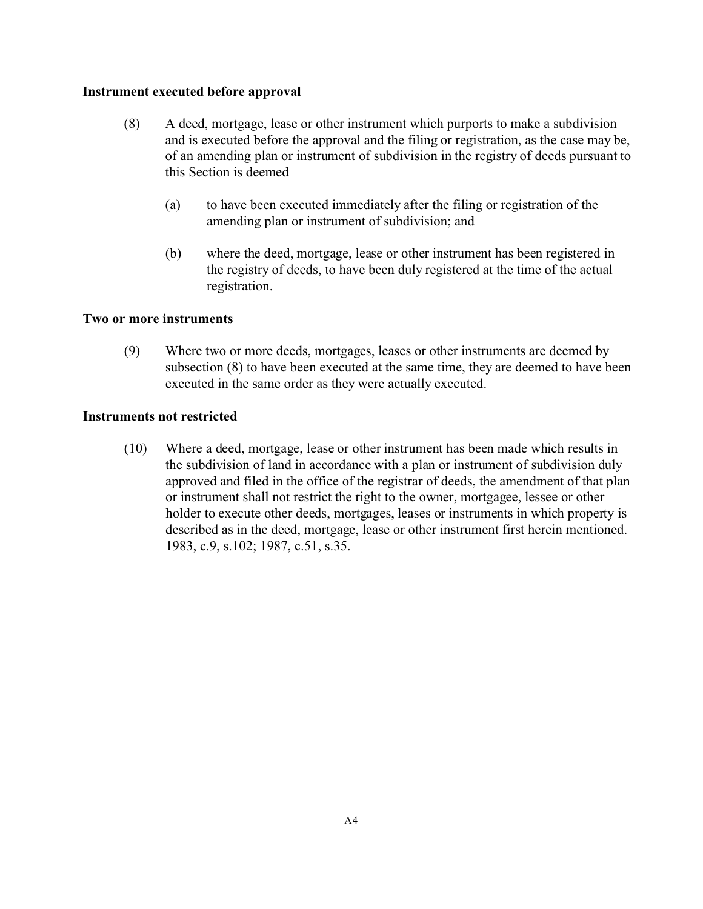#### **Instrument executed before approval**

- (8) A deed, mortgage, lease or other instrument which purports to make a subdivision and is executed before the approval and the filing or registration, as the case may be, of an amending plan or instrument of subdivision in the registry of deeds pursuant to this Section is deemed
	- (a) to have been executed immediately after the filing or registration of the amending plan or instrument of subdivision; and
	- (b) where the deed, mortgage, lease or other instrument has been registered in the registry of deeds, to have been duly registered at the time of the actual registration.

#### **Two or more instruments**

(9) Where two or more deeds, mortgages, leases or other instruments are deemed by subsection (8) to have been executed at the same time, they are deemed to have been executed in the same order as they were actually executed.

#### **Instruments not restricted**

(10) Where a deed, mortgage, lease or other instrument has been made which results in the subdivision of land in accordance with a plan or instrument of subdivision duly approved and filed in the office of the registrar of deeds, the amendment of that plan or instrument shall not restrict the right to the owner, mortgagee, lessee or other holder to execute other deeds, mortgages, leases or instruments in which property is described as in the deed, mortgage, lease or other instrument first herein mentioned. 1983, c.9, s.102; 1987, c.51, s.35.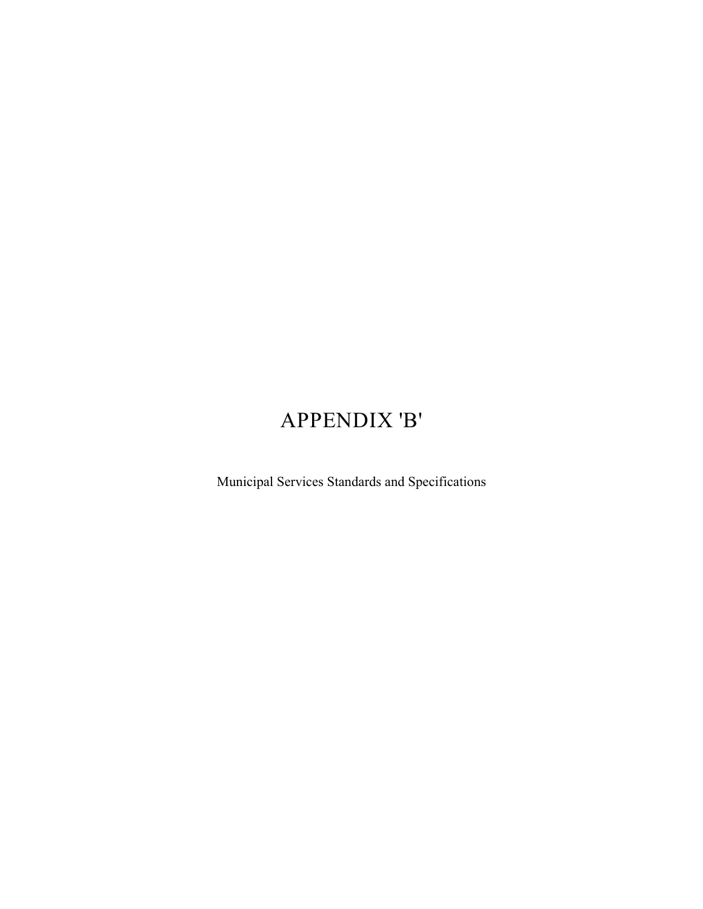# APPENDIX 'B'

Municipal Services Standards and Specifications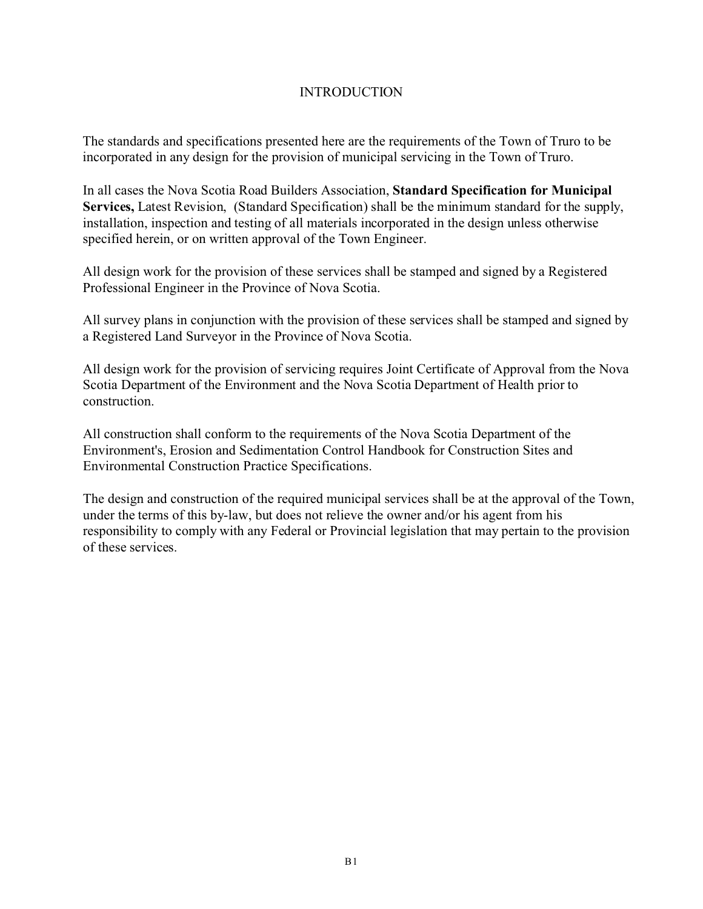# **INTRODUCTION**

The standards and specifications presented here are the requirements of the Town of Truro to be incorporated in any design for the provision of municipal servicing in the Town of Truro.

In all cases the Nova Scotia Road Builders Association, **Standard Specification for Municipal Services,** Latest Revision, (Standard Specification) shall be the minimum standard for the supply, installation, inspection and testing of all materials incorporated in the design unless otherwise specified herein, or on written approval of the Town Engineer.

All design work for the provision of these services shall be stamped and signed by a Registered Professional Engineer in the Province of Nova Scotia.

All survey plans in conjunction with the provision of these services shall be stamped and signed by a Registered Land Surveyor in the Province of Nova Scotia.

All design work for the provision of servicing requires Joint Certificate of Approval from the Nova Scotia Department of the Environment and the Nova Scotia Department of Health prior to construction.

All construction shall conform to the requirements of the Nova Scotia Department of the Environment's, Erosion and Sedimentation Control Handbook for Construction Sites and Environmental Construction Practice Specifications.

The design and construction of the required municipal services shall be at the approval of the Town, under the terms of this by-law, but does not relieve the owner and/or his agent from his responsibility to comply with any Federal or Provincial legislation that may pertain to the provision of these services.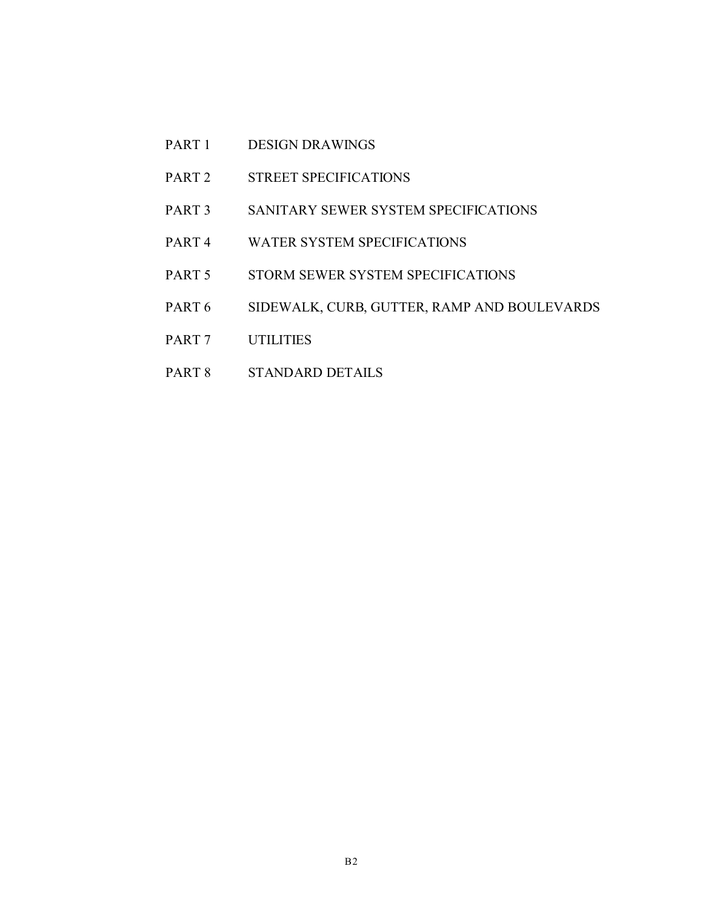- PART 1 DESIGN DRAWINGS
- PART 2 STREET SPECIFICATIONS
- PART 3 SANITARY SEWER SYSTEM SPECIFICATIONS
- PART 4 WATER SYSTEM SPECIFICATIONS
- PART 5 STORM SEWER SYSTEM SPECIFICATIONS
- PART 6 SIDEWALK, CURB, GUTTER, RAMP AND BOULEVARDS
- PART 7 UTILITIES
- PART 8 STANDARD DETAILS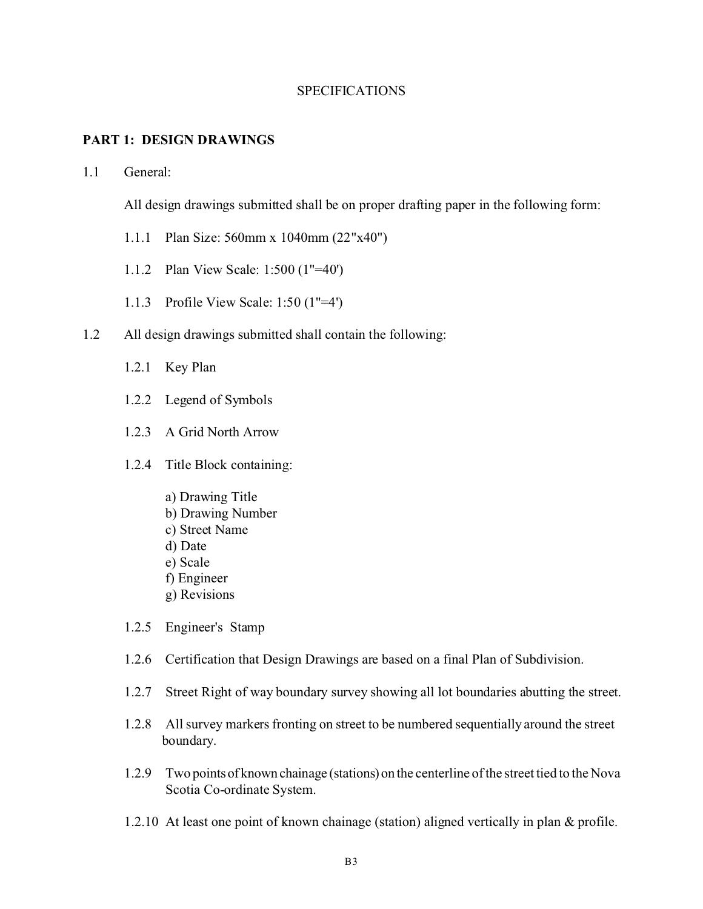#### **SPECIFICATIONS**

#### **PART 1: DESIGN DRAWINGS**

#### 1.1 General:

All design drawings submitted shall be on proper drafting paper in the following form:

- 1.1.1 Plan Size: 560mm x 1040mm (22"x40")
- 1.1.2 Plan View Scale: 1:500 (1"=40')
- 1.1.3 Profile View Scale: 1:50 (1"=4')
- 1.2 All design drawings submitted shall contain the following:
	- 1.2.1 Key Plan
	- 1.2.2 Legend of Symbols
	- 1.2.3 A Grid North Arrow
	- 1.2.4 Title Block containing:
		- a) Drawing Title
		- b) Drawing Number
		- c) Street Name
		- d) Date
		- e) Scale
		- f) Engineer
		- g) Revisions
	- 1.2.5 Engineer's Stamp
	- 1.2.6 Certification that Design Drawings are based on a final Plan of Subdivision.
	- 1.2.7 Street Right of way boundary survey showing all lot boundaries abutting the street.
	- 1.2.8 All survey markers fronting on street to be numbered sequentially around the street boundary.
	- 1.2.9 Two pointsof known chainage (stations) on the centerline of the street tied to the Nova Scotia Co-ordinate System.
	- 1.2.10 At least one point of known chainage (station) aligned vertically in plan & profile.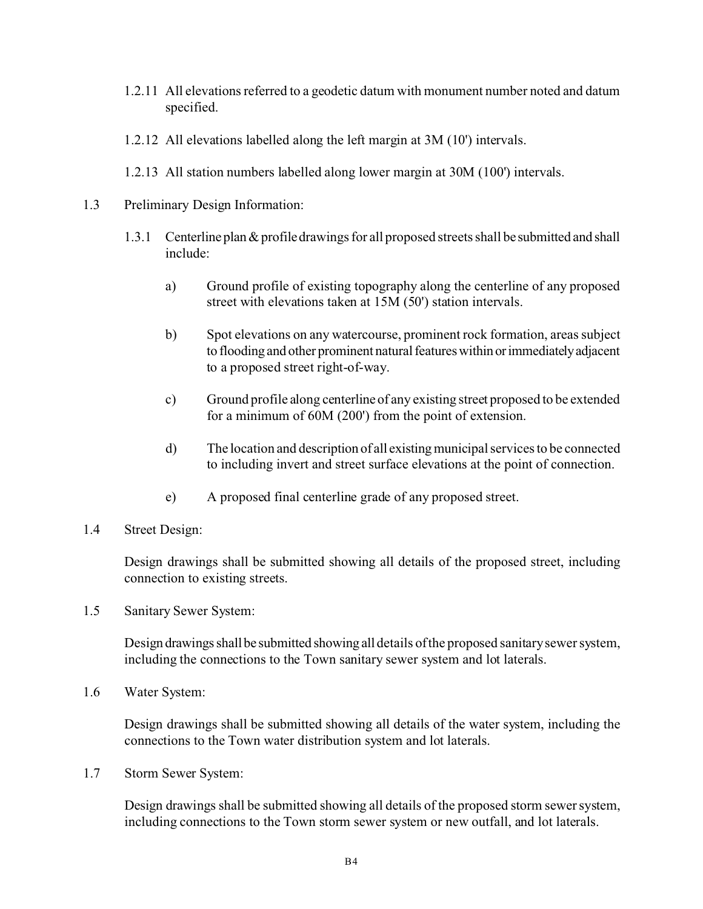- 1.2.11 All elevations referred to a geodetic datum with monument number noted and datum specified.
- 1.2.12 All elevations labelled along the left margin at 3M (10') intervals.
- 1.2.13 All station numbers labelled along lower margin at 30M (100') intervals.
- 1.3 Preliminary Design Information:
	- 1.3.1 Centerline plan  $&$  profile drawings for all proposed streets shall be submitted and shall include:
		- a) Ground profile of existing topography along the centerline of any proposed street with elevations taken at 15M (50') station intervals.
		- b) Spot elevations on any watercourse, prominent rock formation, areas subject to flooding and other prominent natural features within or immediately adjacent to a proposed street right-of-way.
		- c) Ground profile along centerline of any existing street proposed to be extended for a minimum of 60M (200') from the point of extension.
		- d) The location and description of all existingmunicipal services to be connected to including invert and street surface elevations at the point of connection.
		- e) A proposed final centerline grade of any proposed street.
- 1.4 Street Design:

Design drawings shall be submitted showing all details of the proposed street, including connection to existing streets.

1.5 Sanitary Sewer System:

Design drawings shall be submitted showing all details of the proposed sanitary sewer system, including the connections to the Town sanitary sewer system and lot laterals.

1.6 Water System:

Design drawings shall be submitted showing all details of the water system, including the connections to the Town water distribution system and lot laterals.

1.7 Storm Sewer System:

Design drawings shall be submitted showing all details of the proposed storm sewer system, including connections to the Town storm sewer system or new outfall, and lot laterals.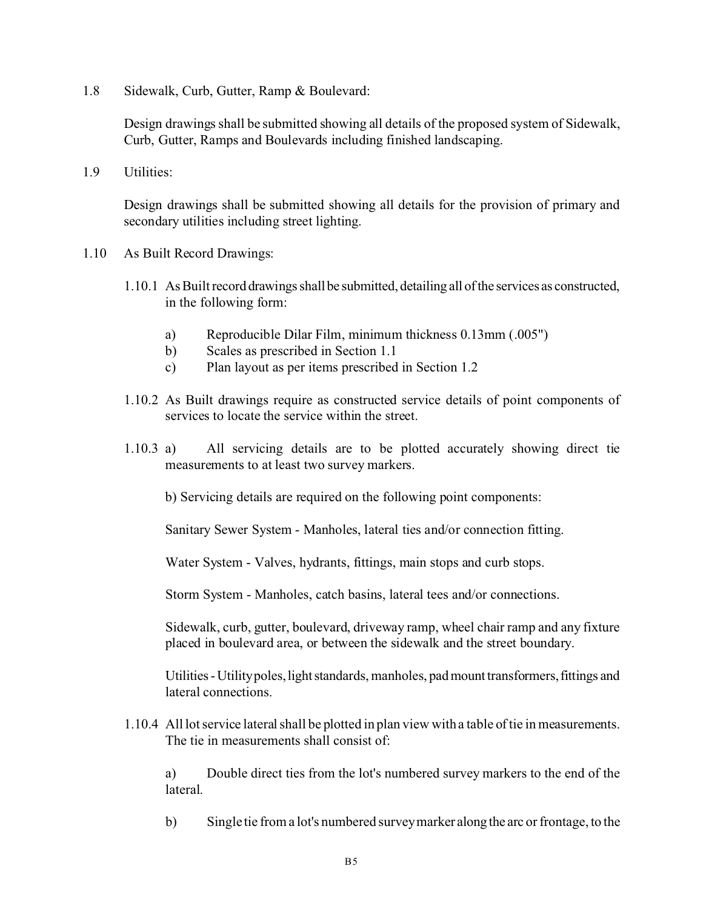1.8 Sidewalk, Curb, Gutter, Ramp & Boulevard:

Design drawings shall be submitted showing all details of the proposed system of Sidewalk, Curb, Gutter, Ramps and Boulevards including finished landscaping.

1.9 Utilities:

Design drawings shall be submitted showing all details for the provision of primary and secondary utilities including street lighting.

- 1.10 As Built Record Drawings:
	- 1.10.1 As Built record drawings shall be submitted, detailing all of the services as constructed, in the following form:
		- a) Reproducible Dilar Film, minimum thickness 0.13mm (.005")
		- b) Scales as prescribed in Section 1.1
		- c) Plan layout as per items prescribed in Section 1.2
	- 1.10.2 As Built drawings require as constructed service details of point components of services to locate the service within the street.
	- 1.10.3 a) All servicing details are to be plotted accurately showing direct tie measurements to at least two survey markers.

b) Servicing details are required on the following point components:

Sanitary Sewer System - Manholes, lateral ties and/or connection fitting.

Water System - Valves, hydrants, fittings, main stops and curb stops.

Storm System - Manholes, catch basins, lateral tees and/or connections.

Sidewalk, curb, gutter, boulevard, driveway ramp, wheel chair ramp and any fixture placed in boulevard area, or between the sidewalk and the street boundary.

Utilities - Utilitypoles, light standards, manholes, pad mount transformers, fittings and lateral connections.

1.10.4 All lot service lateral shall be plotted in plan view with a table of tie in measurements. The tie in measurements shall consist of:

a) Double direct ties from the lot's numbered survey markers to the end of the lateral.

b) Single tie from a lot's numbered survey marker along the arc or frontage, to the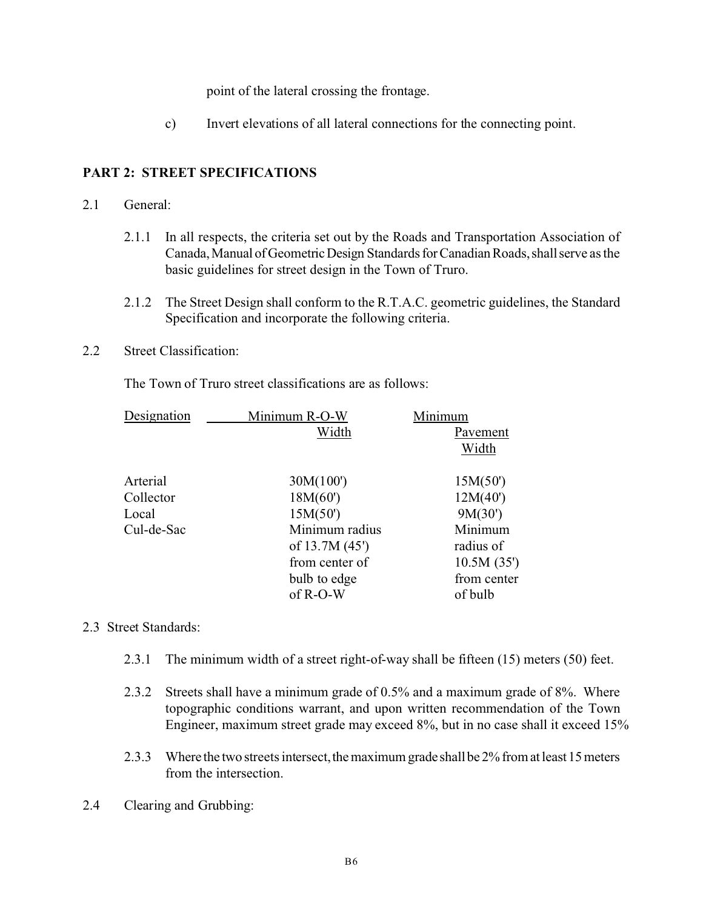point of the lateral crossing the frontage.

c) Invert elevations of all lateral connections for the connecting point.

# **PART 2: STREET SPECIFICATIONS**

#### 2.1 General:

- 2.1.1 In all respects, the criteria set out by the Roads and Transportation Association of Canada, Manual of Geometric Design Standards for Canadian Roads, shall serve as the basic guidelines for street design in the Town of Truro.
- 2.1.2 The Street Design shall conform to the R.T.A.C. geometric guidelines, the Standard Specification and incorporate the following criteria.
- 2.2 Street Classification:

The Town of Truro street classifications are as follows:

| Designation | Minimum R-O-W  | Minimum     |
|-------------|----------------|-------------|
|             | Width          | Pavement    |
|             |                | Width       |
| Arterial    | 30M(100')      | 15M(50)     |
| Collector   | 18M(60)        | 12M(40')    |
| Local       | 15M(50')       | 9M(30')     |
| Cul-de-Sac  | Minimum radius | Minimum     |
|             | of $13.7M(45)$ | radius of   |
|             | from center of | 10.5M(35)   |
|             | bulb to edge   | from center |
|             | of R-O-W       | of bulb     |
|             |                |             |

#### 2.3 Street Standards:

- 2.3.1 The minimum width of a street right-of-way shall be fifteen (15) meters (50) feet.
- 2.3.2 Streets shall have a minimum grade of 0.5% and a maximum grade of 8%. Where topographic conditions warrant, and upon written recommendation of the Town Engineer, maximum street grade may exceed 8%, but in no case shall it exceed 15%
- 2.3.3 Where the two streets intersect, the maximum grade shall be 2% from at least 15 meters from the intersection.
- 2.4 Clearing and Grubbing: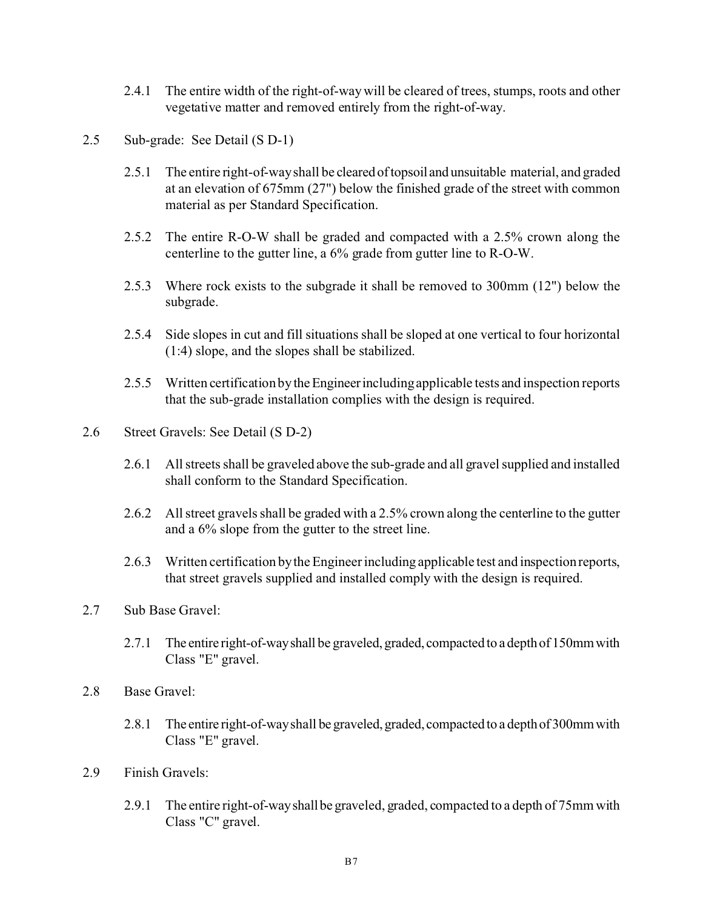- 2.4.1 The entire width of the right-of-way will be cleared of trees, stumps, roots and other vegetative matter and removed entirely from the right-of-way.
- 2.5 Sub-grade: See Detail (S D-1)
	- 2.5.1 The entire right-of-way shall be cleared oftopsoil and unsuitable material, and graded at an elevation of 675mm (27") below the finished grade of the street with common material as per Standard Specification.
	- 2.5.2 The entire R-O-W shall be graded and compacted with a 2.5% crown along the centerline to the gutter line, a 6% grade from gutter line to R-O-W.
	- 2.5.3 Where rock exists to the subgrade it shall be removed to 300mm (12") below the subgrade.
	- 2.5.4 Side slopes in cut and fill situations shall be sloped at one vertical to four horizontal (1:4) slope, and the slopes shall be stabilized.
	- 2.5.5 Written certification by theEngineerincluding applicable tests and inspection reports that the sub-grade installation complies with the design is required.
- 2.6 Street Gravels: See Detail (S D-2)
	- 2.6.1 All streets shall be graveled above the sub-grade and all gravel supplied and installed shall conform to the Standard Specification.
	- 2.6.2 All street gravels shall be graded with a 2.5% crown along the centerline to the gutter and a 6% slope from the gutter to the street line.
	- 2.6.3 Written certification by the Engineer including applicable test and inspection reports, that street gravels supplied and installed comply with the design is required.
- 2.7 Sub Base Gravel:
	- 2.7.1 The entire right-of-way shall be graveled, graded, compacted to a depth of 150mm with Class "E" gravel.
- 2.8 Base Gravel:
	- 2.8.1 The entire right-of-way shall be graveled, graded, compacted to a depth of 300mm with Class "E" gravel.
- 2.9 Finish Gravels:
	- 2.9.1 The entire right-of-wayshallbe graveled, graded, compacted to a depth of 75mm with Class "C" gravel.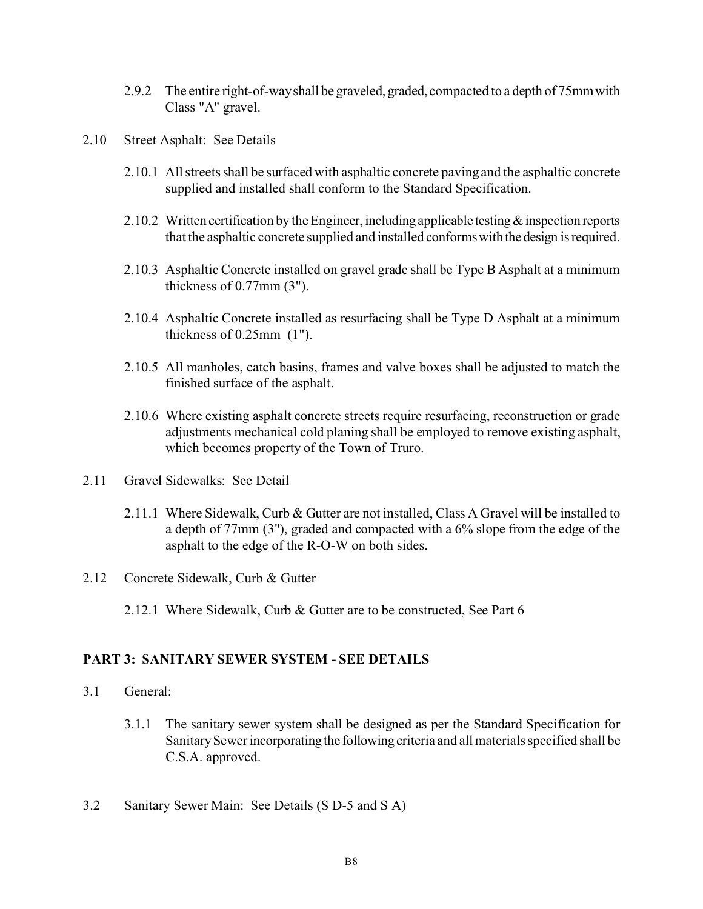- 2.9.2 The entire right-of-way shall be graveled, graded, compacted to a depth of 75mm with Class "A" gravel.
- 2.10 Street Asphalt: See Details
	- 2.10.1 All streets shall be surfaced with asphaltic concrete paving and the asphaltic concrete supplied and installed shall conform to the Standard Specification.
	- 2.10.2 Written certification by the Engineer, including applicable testing  $\&$  inspection reports that the asphaltic concrete supplied and installed conformswith the design isrequired.
	- 2.10.3 Asphaltic Concrete installed on gravel grade shall be Type B Asphalt at a minimum thickness of 0.77mm (3").
	- 2.10.4 Asphaltic Concrete installed as resurfacing shall be Type D Asphalt at a minimum thickness of 0.25mm (1").
	- 2.10.5 All manholes, catch basins, frames and valve boxes shall be adjusted to match the finished surface of the asphalt.
	- 2.10.6 Where existing asphalt concrete streets require resurfacing, reconstruction or grade adjustments mechanical cold planing shall be employed to remove existing asphalt, which becomes property of the Town of Truro.
- 2.11 Gravel Sidewalks: See Detail
	- 2.11.1 Where Sidewalk, Curb & Gutter are not installed, Class A Gravel will be installed to a depth of 77mm (3"), graded and compacted with a 6% slope from the edge of the asphalt to the edge of the R-O-W on both sides.
- 2.12 Concrete Sidewalk, Curb & Gutter
	- 2.12.1 Where Sidewalk, Curb & Gutter are to be constructed, See Part 6

## **PART 3: SANITARY SEWER SYSTEM - SEE DETAILS**

- 3.1 General:
	- 3.1.1 The sanitary sewer system shall be designed as per the Standard Specification for Sanitary Sewer incorporatingthe following criteria and all materials specified shall be C.S.A. approved.
- 3.2 Sanitary Sewer Main: See Details (S D-5 and S A)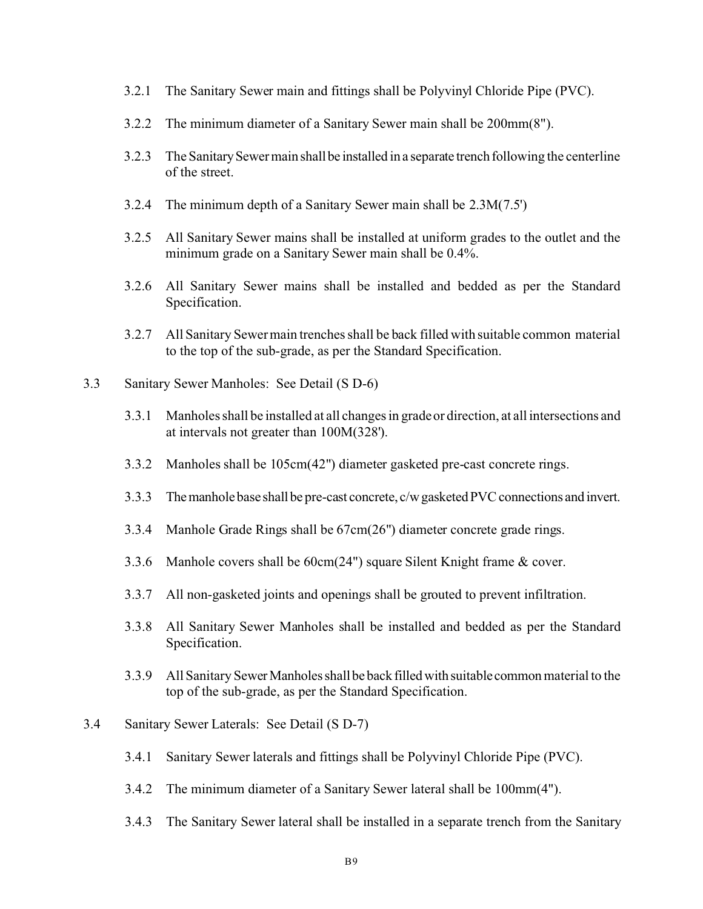- 3.2.1 The Sanitary Sewer main and fittings shall be Polyvinyl Chloride Pipe (PVC).
- 3.2.2 The minimum diameter of a Sanitary Sewer main shall be 200mm(8").
- 3.2.3 The SanitarySewermainshallbe installed in a separate trench following the centerline of the street.
- 3.2.4 The minimum depth of a Sanitary Sewer main shall be 2.3M(7.5')
- 3.2.5 All Sanitary Sewer mains shall be installed at uniform grades to the outlet and the minimum grade on a Sanitary Sewer main shall be 0.4%.
- 3.2.6 All Sanitary Sewer mains shall be installed and bedded as per the Standard Specification.
- 3.2.7 All Sanitary Sewer main trenches shall be back filled with suitable common material to the top of the sub-grade, as per the Standard Specification.
- 3.3 Sanitary Sewer Manholes: See Detail (S D-6)
	- 3.3.1 Manholes shall be installed at all changes in grade or direction, at all intersections and at intervals not greater than 100M(328').
	- 3.3.2 Manholes shall be 105cm(42") diameter gasketed pre-cast concrete rings.
	- 3.3.3 The manhole base shall be pre-cast concrete, c/w gasketed PVC connections and invert.
	- 3.3.4 Manhole Grade Rings shall be 67cm(26") diameter concrete grade rings.
	- 3.3.6 Manhole covers shall be 60cm(24") square Silent Knight frame & cover.
	- 3.3.7 All non-gasketed joints and openings shall be grouted to prevent infiltration.
	- 3.3.8 All Sanitary Sewer Manholes shall be installed and bedded as per the Standard Specification.
	- 3.3.9 All Sanitary Sewer Manholes shall be back filled with suitable common material to the top of the sub-grade, as per the Standard Specification.
- 3.4 Sanitary Sewer Laterals: See Detail (S D-7)
	- 3.4.1 Sanitary Sewer laterals and fittings shall be Polyvinyl Chloride Pipe (PVC).
	- 3.4.2 The minimum diameter of a Sanitary Sewer lateral shall be 100mm(4").
	- 3.4.3 The Sanitary Sewer lateral shall be installed in a separate trench from the Sanitary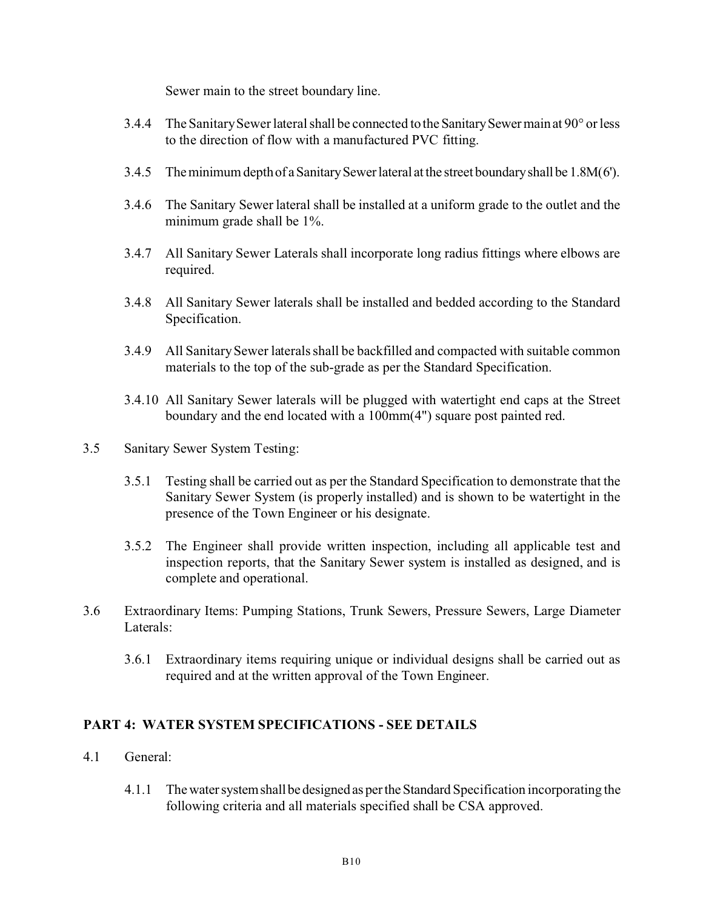Sewer main to the street boundary line.

- 3.4.4 The Sanitary Sewer lateral shall be connected to the Sanitary Sewermain at 90° or less to the direction of flow with a manufactured PVC fitting.
- 3.4.5 Theminimumdepthof aSanitarySewerlateral atthe street boundaryshallbe 1.8M(6').
- 3.4.6 The Sanitary Sewer lateral shall be installed at a uniform grade to the outlet and the minimum grade shall be 1%.
- 3.4.7 All Sanitary Sewer Laterals shall incorporate long radius fittings where elbows are required.
- 3.4.8 All Sanitary Sewer laterals shall be installed and bedded according to the Standard Specification.
- 3.4.9 All Sanitary Sewer laterals shall be backfilled and compacted with suitable common materials to the top of the sub-grade as per the Standard Specification.
- 3.4.10 All Sanitary Sewer laterals will be plugged with watertight end caps at the Street boundary and the end located with a 100mm(4") square post painted red.
- 3.5 Sanitary Sewer System Testing:
	- 3.5.1 Testing shall be carried out as per the Standard Specification to demonstrate that the Sanitary Sewer System (is properly installed) and is shown to be watertight in the presence of the Town Engineer or his designate.
	- 3.5.2 The Engineer shall provide written inspection, including all applicable test and inspection reports, that the Sanitary Sewer system is installed as designed, and is complete and operational.
- 3.6 Extraordinary Items: Pumping Stations, Trunk Sewers, Pressure Sewers, Large Diameter Laterals:
	- 3.6.1 Extraordinary items requiring unique or individual designs shall be carried out as required and at the written approval of the Town Engineer.

# **PART 4: WATER SYSTEM SPECIFICATIONS - SEE DETAILS**

- 4.1 General:
	- 4.1.1 The water system shall be designed as per the Standard Specification incorporating the following criteria and all materials specified shall be CSA approved.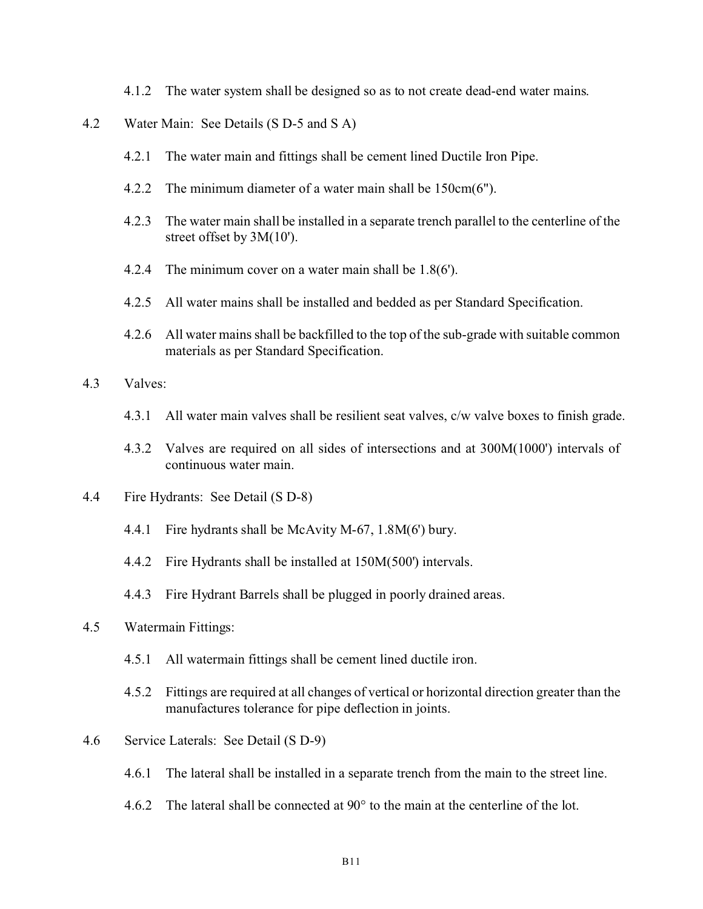- 4.1.2 The water system shall be designed so as to not create dead-end water mains.
- 4.2 Water Main: See Details (S D-5 and S A)
	- 4.2.1 The water main and fittings shall be cement lined Ductile Iron Pipe.
	- 4.2.2 The minimum diameter of a water main shall be 150cm(6").
	- 4.2.3 The water main shall be installed in a separate trench parallel to the centerline of the street offset by 3M(10').
	- 4.2.4 The minimum cover on a water main shall be 1.8(6').
	- 4.2.5 All water mains shall be installed and bedded as per Standard Specification.
	- 4.2.6 All water mains shall be backfilled to the top of the sub-grade with suitable common materials as per Standard Specification.
- 4.3 Valves:
	- 4.3.1 All water main valves shall be resilient seat valves, c/w valve boxes to finish grade.
	- 4.3.2 Valves are required on all sides of intersections and at 300M(1000') intervals of continuous water main.
- 4.4 Fire Hydrants: See Detail (S D-8)
	- 4.4.1 Fire hydrants shall be McAvity M-67, 1.8M(6') bury.
	- 4.4.2 Fire Hydrants shall be installed at 150M(500') intervals.
	- 4.4.3 Fire Hydrant Barrels shall be plugged in poorly drained areas.
- 4.5 Watermain Fittings:
	- 4.5.1 All watermain fittings shall be cement lined ductile iron.
	- 4.5.2 Fittings are required at all changes of vertical or horizontal direction greater than the manufactures tolerance for pipe deflection in joints.
- 4.6 Service Laterals: See Detail (S D-9)
	- 4.6.1 The lateral shall be installed in a separate trench from the main to the street line.
	- 4.6.2 The lateral shall be connected at 90° to the main at the centerline of the lot.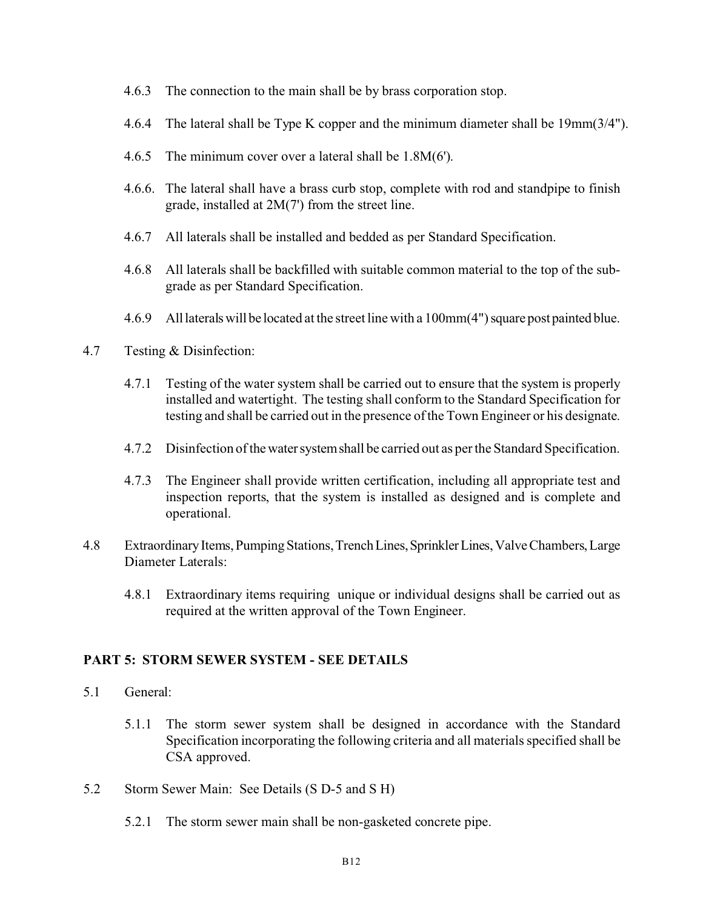- 4.6.3 The connection to the main shall be by brass corporation stop.
- 4.6.4 The lateral shall be Type K copper and the minimum diameter shall be 19mm(3/4").
- 4.6.5 The minimum cover over a lateral shall be 1.8M(6').
- 4.6.6. The lateral shall have a brass curb stop, complete with rod and standpipe to finish grade, installed at 2M(7') from the street line.
- 4.6.7 All laterals shall be installed and bedded as per Standard Specification.
- 4.6.8 All laterals shall be backfilled with suitable common material to the top of the subgrade as per Standard Specification.
- 4.6.9 Alllateralswill be located at the street line with a 100mm(4") square post painted blue.
- 4.7 Testing & Disinfection:
	- 4.7.1 Testing of the water system shall be carried out to ensure that the system is properly installed and watertight. The testing shall conform to the Standard Specification for testing and shall be carried out in the presence of the Town Engineer or his designate.
	- 4.7.2 Disinfection of thewatersystemshall be carried out as per the Standard Specification.
	- 4.7.3 The Engineer shall provide written certification, including all appropriate test and inspection reports, that the system is installed as designed and is complete and operational.
- 4.8 ExtraordinaryItems,PumpingStations,TrenchLines,SprinklerLines,ValveChambers,Large Diameter Laterals:
	- 4.8.1 Extraordinary items requiring unique or individual designs shall be carried out as required at the written approval of the Town Engineer.

## **PART 5: STORM SEWER SYSTEM - SEE DETAILS**

- 5.1 General:
	- 5.1.1 The storm sewer system shall be designed in accordance with the Standard Specification incorporating the following criteria and all materials specified shall be CSA approved.
- 5.2 Storm Sewer Main: See Details (S D-5 and S H)
	- 5.2.1 The storm sewer main shall be non-gasketed concrete pipe.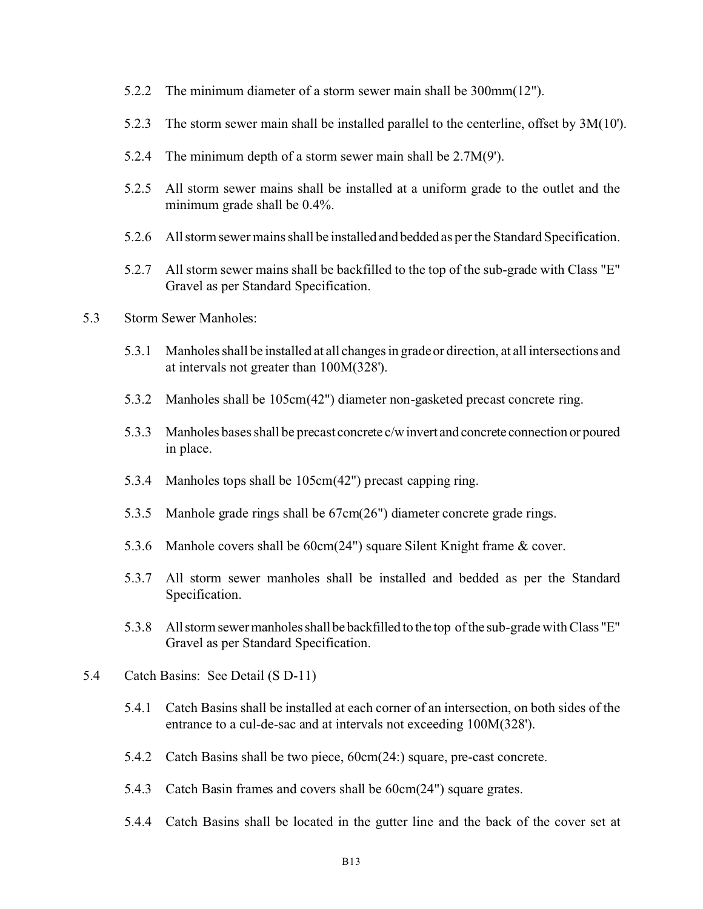- 5.2.2 The minimum diameter of a storm sewer main shall be 300mm(12").
- 5.2.3 The storm sewer main shall be installed parallel to the centerline, offset by 3M(10').
- 5.2.4 The minimum depth of a storm sewer main shall be 2.7M(9').
- 5.2.5 All storm sewer mains shall be installed at a uniform grade to the outlet and the minimum grade shall be 0.4%.
- 5.2.6 All storm sewer mains shall be installed and bedded as per the Standard Specification.
- 5.2.7 All storm sewer mains shall be backfilled to the top of the sub-grade with Class "E" Gravel as per Standard Specification.
- 5.3 Storm Sewer Manholes:
	- 5.3.1 Manholes shall be installed at all changes in grade or direction, at all intersections and at intervals not greater than 100M(328').
	- 5.3.2 Manholes shall be 105cm(42") diameter non-gasketed precast concrete ring.
	- 5.3.3 Manholes bases shall be precast concrete c/winvert and concrete connection or poured in place.
	- 5.3.4 Manholes tops shall be 105cm(42") precast capping ring.
	- 5.3.5 Manhole grade rings shall be 67cm(26") diameter concrete grade rings.
	- 5.3.6 Manhole covers shall be 60cm(24") square Silent Knight frame & cover.
	- 5.3.7 All storm sewer manholes shall be installed and bedded as per the Standard Specification.
	- 5.3.8 Allstormsewermanholesshallbe backfilled to the top ofthe sub-grade with Class "E" Gravel as per Standard Specification.
- 5.4 Catch Basins: See Detail (S D-11)
	- 5.4.1 Catch Basins shall be installed at each corner of an intersection, on both sides of the entrance to a cul-de-sac and at intervals not exceeding 100M(328').
	- 5.4.2 Catch Basins shall be two piece, 60cm(24:) square, pre-cast concrete.
	- 5.4.3 Catch Basin frames and covers shall be 60cm(24") square grates.
	- 5.4.4 Catch Basins shall be located in the gutter line and the back of the cover set at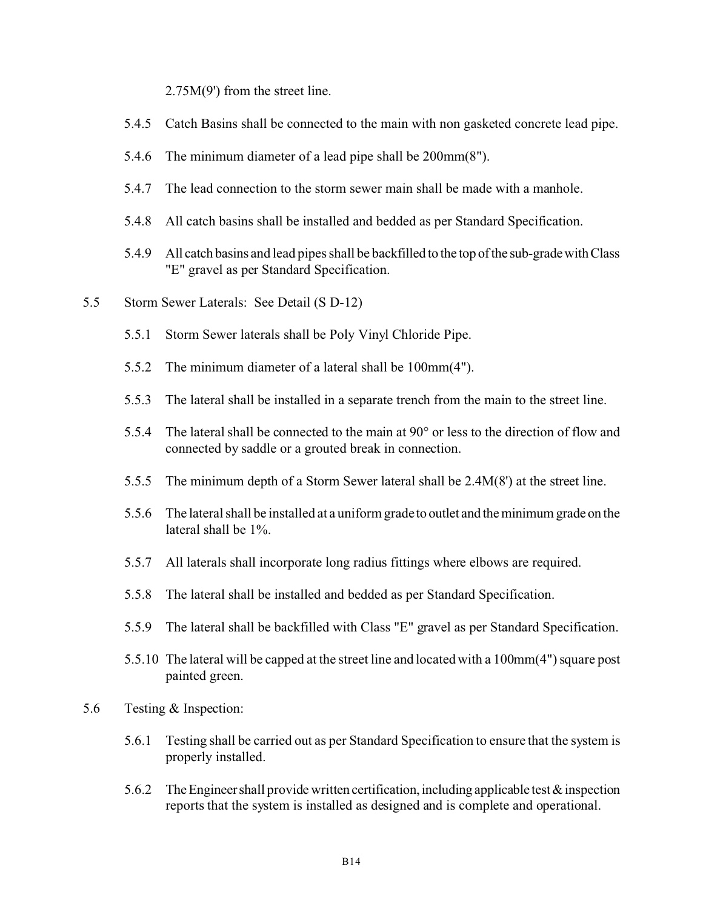2.75M(9') from the street line.

- 5.4.5 Catch Basins shall be connected to the main with non gasketed concrete lead pipe.
- 5.4.6 The minimum diameter of a lead pipe shall be 200mm(8").
- 5.4.7 The lead connection to the storm sewer main shall be made with a manhole.
- 5.4.8 All catch basins shall be installed and bedded as per Standard Specification.
- 5.4.9 All catch basins and lead pipes shall be backfilled to the top ofthe sub-gradewithClass "E" gravel as per Standard Specification.
- 5.5 Storm Sewer Laterals: See Detail (S D-12)
	- 5.5.1 Storm Sewer laterals shall be Poly Vinyl Chloride Pipe.
	- 5.5.2 The minimum diameter of a lateral shall be 100mm(4").
	- 5.5.3 The lateral shall be installed in a separate trench from the main to the street line.
	- 5.5.4 The lateral shall be connected to the main at 90° or less to the direction of flow and connected by saddle or a grouted break in connection.
	- 5.5.5 The minimum depth of a Storm Sewer lateral shall be 2.4M(8') at the street line.
	- 5.5.6 The lateral shall be installed at a uniform grade to outlet and theminimumgradeon the lateral shall be 1%.
	- 5.5.7 All laterals shall incorporate long radius fittings where elbows are required.
	- 5.5.8 The lateral shall be installed and bedded as per Standard Specification.
	- 5.5.9 The lateral shall be backfilled with Class "E" gravel as per Standard Specification.
	- 5.5.10 The lateral will be capped at the street line and located with a 100mm(4") square post painted green.
- 5.6 Testing & Inspection:
	- 5.6.1 Testing shall be carried out as per Standard Specification to ensure that the system is properly installed.
	- 5.6.2 The Engineer shall provide written certification, including applicable test  $\&$  inspection reports that the system is installed as designed and is complete and operational.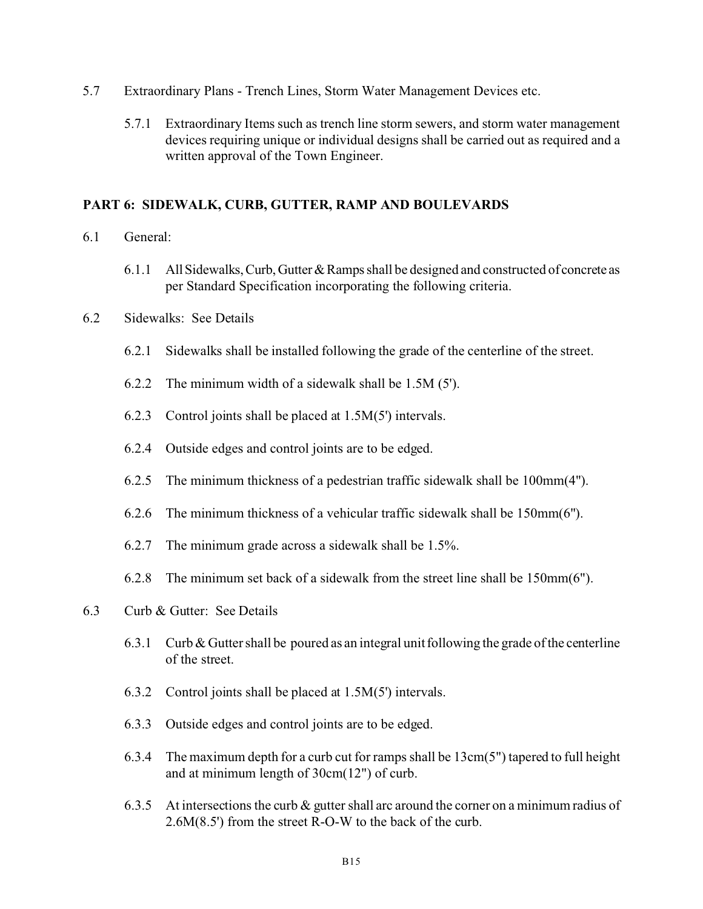- 5.7 Extraordinary Plans Trench Lines, Storm Water Management Devices etc.
	- 5.7.1 Extraordinary Items such as trench line storm sewers, and storm water management devices requiring unique or individual designs shall be carried out as required and a written approval of the Town Engineer.

## **PART 6: SIDEWALK, CURB, GUTTER, RAMP AND BOULEVARDS**

- 6.1 General:
	- 6.1.1 AllSidewalks,Curb,Gutter&Ramps shall be designed and constructed of concrete as per Standard Specification incorporating the following criteria.
- 6.2 Sidewalks: See Details
	- 6.2.1 Sidewalks shall be installed following the grade of the centerline of the street.
	- 6.2.2 The minimum width of a sidewalk shall be 1.5M (5').
	- 6.2.3 Control joints shall be placed at 1.5M(5') intervals.
	- 6.2.4 Outside edges and control joints are to be edged.
	- 6.2.5 The minimum thickness of a pedestrian traffic sidewalk shall be 100mm(4").
	- 6.2.6 The minimum thickness of a vehicular traffic sidewalk shall be 150mm(6").
	- 6.2.7 The minimum grade across a sidewalk shall be 1.5%.
	- 6.2.8 The minimum set back of a sidewalk from the street line shall be 150mm(6").
- 6.3 Curb & Gutter: See Details
	- 6.3.1 Curb & Gutter shall be poured as an integral unit following the grade of the centerline of the street.
	- 6.3.2 Control joints shall be placed at 1.5M(5') intervals.
	- 6.3.3 Outside edges and control joints are to be edged.
	- 6.3.4 The maximum depth for a curb cut for ramps shall be 13cm(5") tapered to full height and at minimum length of 30cm(12") of curb.
	- 6.3.5 At intersections the curb & gutter shall arc around the corner on a minimum radius of 2.6M(8.5') from the street R-O-W to the back of the curb.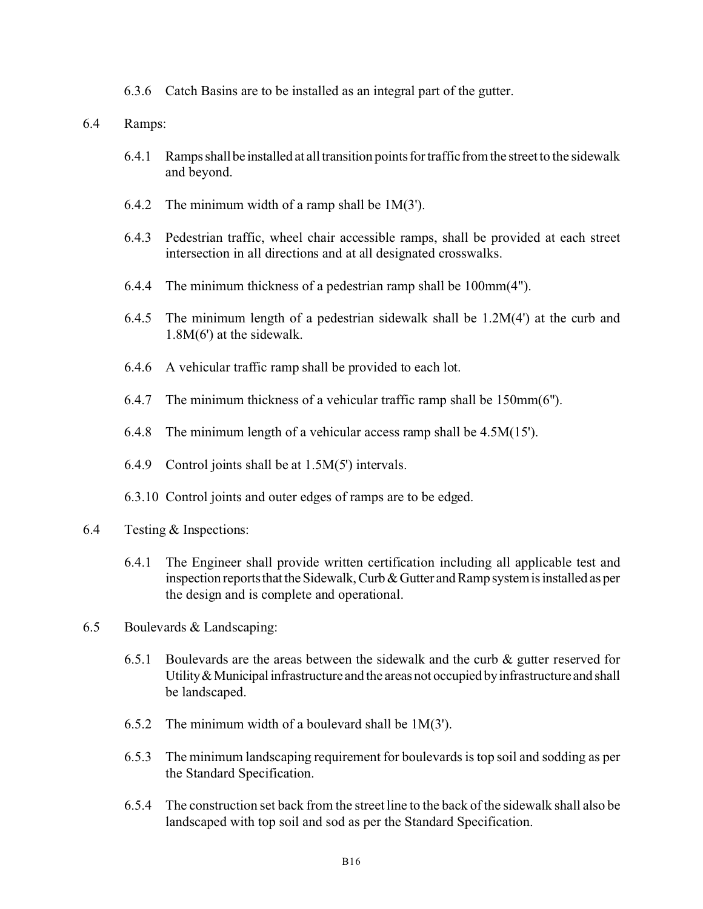- 6.3.6 Catch Basins are to be installed as an integral part of the gutter.
- 6.4 Ramps:
	- 6.4.1 Ramps shall be installed at all transition points for traffic from the street to the sidewalk and beyond.
	- 6.4.2 The minimum width of a ramp shall be 1M(3').
	- 6.4.3 Pedestrian traffic, wheel chair accessible ramps, shall be provided at each street intersection in all directions and at all designated crosswalks.
	- 6.4.4 The minimum thickness of a pedestrian ramp shall be 100mm(4").
	- 6.4.5 The minimum length of a pedestrian sidewalk shall be 1.2M(4') at the curb and 1.8M(6') at the sidewalk.
	- 6.4.6 A vehicular traffic ramp shall be provided to each lot.
	- 6.4.7 The minimum thickness of a vehicular traffic ramp shall be 150mm(6").
	- 6.4.8 The minimum length of a vehicular access ramp shall be 4.5M(15').
	- 6.4.9 Control joints shall be at 1.5M(5') intervals.
	- 6.3.10 Control joints and outer edges of ramps are to be edged.
- 6.4 Testing & Inspections:
	- 6.4.1 The Engineer shall provide written certification including all applicable test and inspection reports that the Sidewalk, Curb  $&$  Gutter and Ramp system is installed as per the design and is complete and operational.
- 6.5 Boulevards & Landscaping:
	- 6.5.1 Boulevards are the areas between the sidewalk and the curb  $\&$  gutter reserved for Utility  $&$  Municipal infrastructure and the areas not occupied by infrastructure and shall be landscaped.
	- 6.5.2 The minimum width of a boulevard shall be 1M(3').
	- 6.5.3 The minimum landscaping requirement for boulevards is top soil and sodding as per the Standard Specification.
	- 6.5.4 The construction set back from the street line to the back of the sidewalk shall also be landscaped with top soil and sod as per the Standard Specification.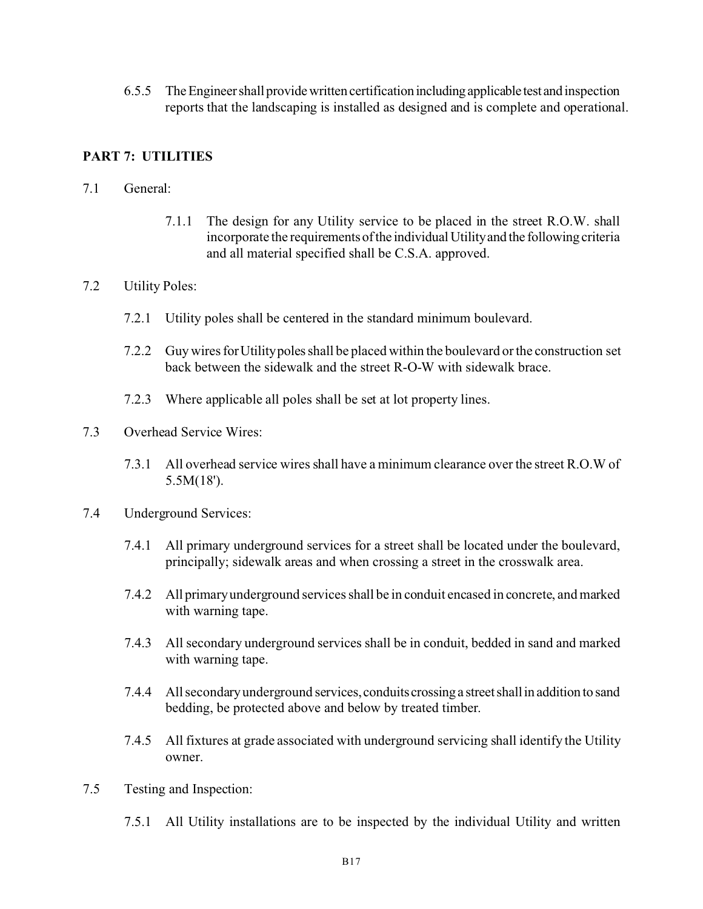6.5.5 The Engineer shall provide written certification including applicable test and inspection reports that the landscaping is installed as designed and is complete and operational.

# **PART 7: UTILITIES**

- 7.1 General:
	- 7.1.1 The design for any Utility service to be placed in the street R.O.W. shall incorporate the requirements of the individual Utility and the following criteria and all material specified shall be C.S.A. approved.

## 7.2 Utility Poles:

- 7.2.1 Utility poles shall be centered in the standard minimum boulevard.
- 7.2.2 Guy wires forUtilitypoles shall be placed within the boulevard or the construction set back between the sidewalk and the street R-O-W with sidewalk brace.
- 7.2.3 Where applicable all poles shall be set at lot property lines.
- 7.3 Overhead Service Wires:
	- 7.3.1 All overhead service wires shall have a minimum clearance over the street R.O.W of 5.5M(18').
- 7.4 Underground Services:
	- 7.4.1 All primary underground services for a street shall be located under the boulevard, principally; sidewalk areas and when crossing a street in the crosswalk area.
	- 7.4.2 All primary underground services shall be in conduit encased in concrete, and marked with warning tape.
	- 7.4.3 All secondary underground services shall be in conduit, bedded in sand and marked with warning tape.
	- 7.4.4 All secondary underground services, conduits crossing a street shall in addition to sand bedding, be protected above and below by treated timber.
	- 7.4.5 All fixtures at grade associated with underground servicing shall identify the Utility owner.
- 7.5 Testing and Inspection:
	- 7.5.1 All Utility installations are to be inspected by the individual Utility and written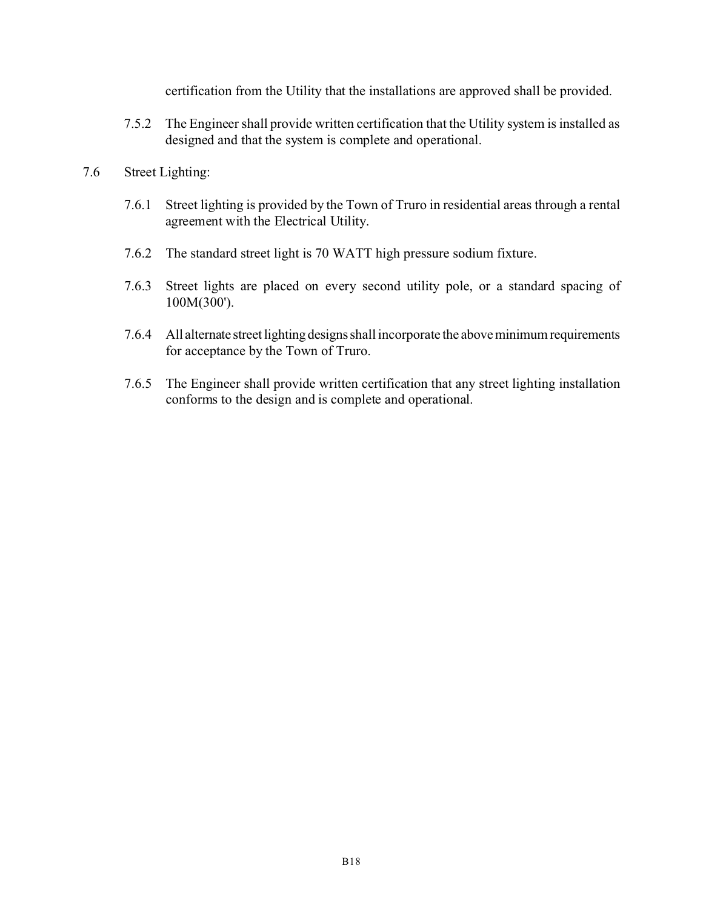certification from the Utility that the installations are approved shall be provided.

7.5.2 The Engineer shall provide written certification that the Utility system is installed as designed and that the system is complete and operational.

## 7.6 Street Lighting:

- 7.6.1 Street lighting is provided by the Town of Truro in residential areas through a rental agreement with the Electrical Utility.
- 7.6.2 The standard street light is 70 WATT high pressure sodium fixture.
- 7.6.3 Street lights are placed on every second utility pole, or a standard spacing of 100M(300').
- 7.6.4 All alternate street lighting designs shall incorporate the above minimum requirements for acceptance by the Town of Truro.
- 7.6.5 The Engineer shall provide written certification that any street lighting installation conforms to the design and is complete and operational.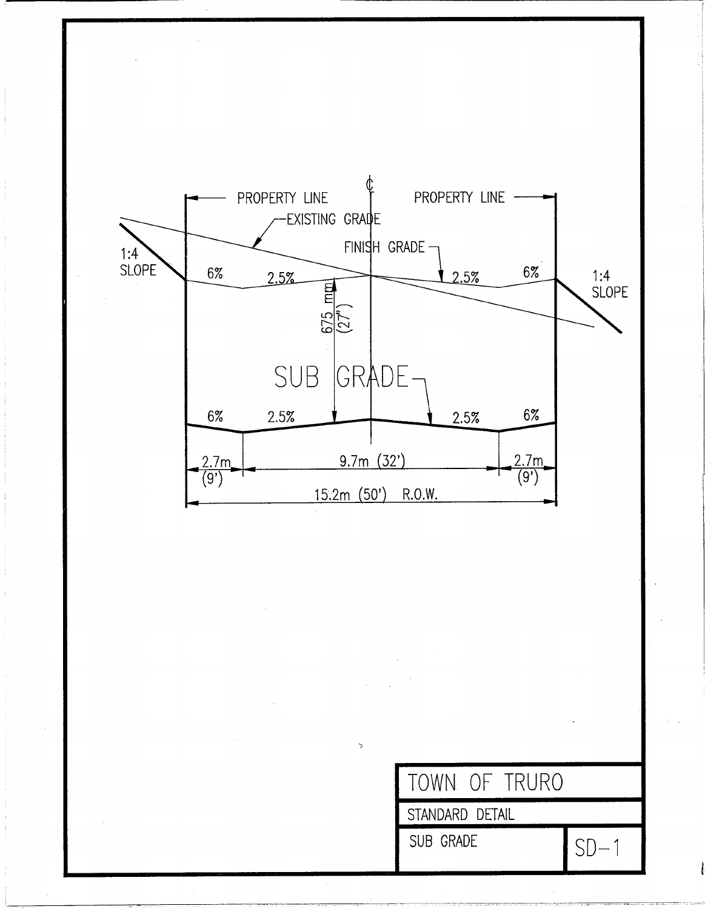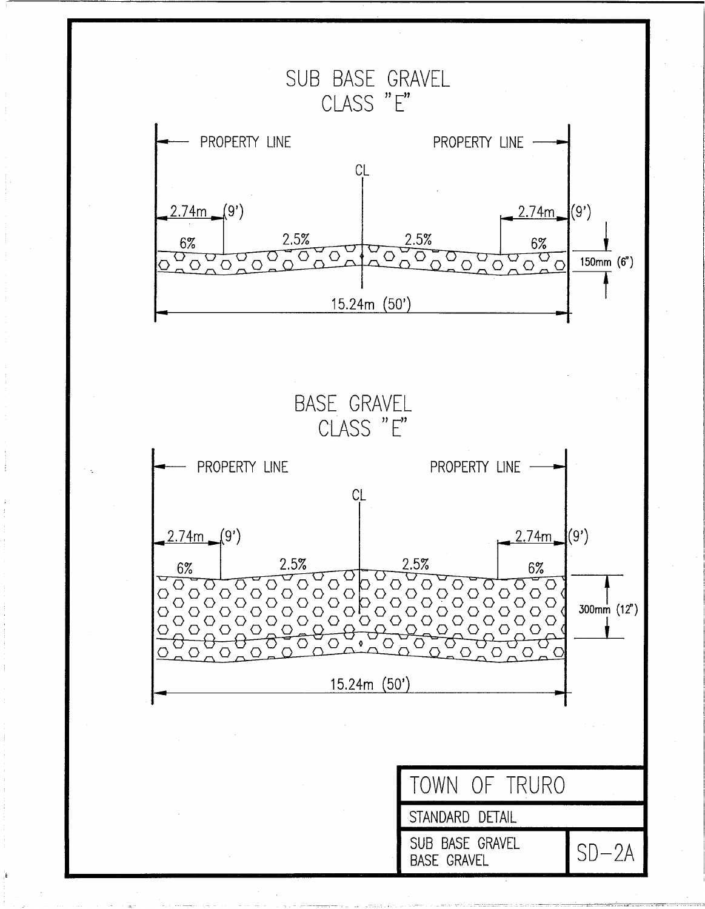SUB BASE GRAVEL CLASS "E" PROPERTY LINE PROPERTY LINE **CL**  $(9')$  $2.74m$  (9') 2.5% 2.5% 6%  $6%$  $\overline{O}_{\Omega}$ ▽  $\vec{O}$  $\overline{O}$   $\overline{O}$   $\overline{O}$  $\overline{O}$   $\overline{O}$   $\overline{O}$  $\overline{\circ}$  $\circ$ O 150mm (6")  $\circ$  $\bigcap$ 15.24m (50')

**BASE GRAVEL** CLASS "E" PROPERTY LINE PROPERTY LINE - $CL$  $2.74m$  (9')  $(2.74m)(9')$ 2.5% 2.5% 6% 6%  $\sqrt{300}$ OOC  $00000$  $\circ$ O O O 00000  $\circlearrowright$  $\bigcirc \bigcirc$  $\begin{array}{c}\n0 \\
0 \\
0\n\end{array}$  $\overline{O}$  $\bigcirc$  $300mm$  (12")  $\circ$ Ō  $\circ$  $\overline{\bigcirc}$ O  $15.24m(50')$ 

> TOWN OF TRURO STANDARD DETAIL SUB BASE GRAVEL  $SD-2A$ **BASE GRAVEL**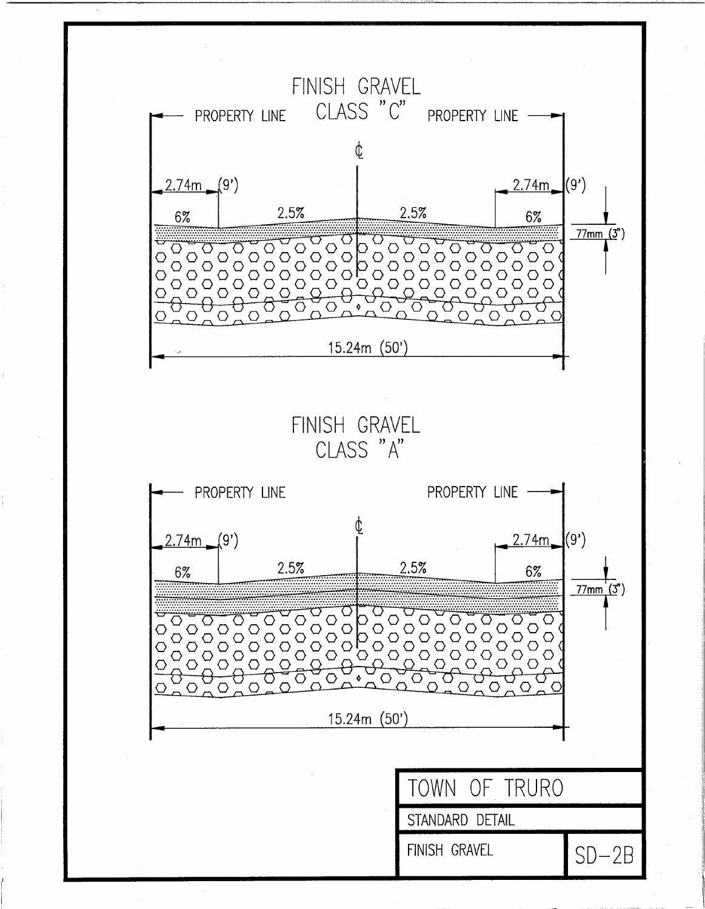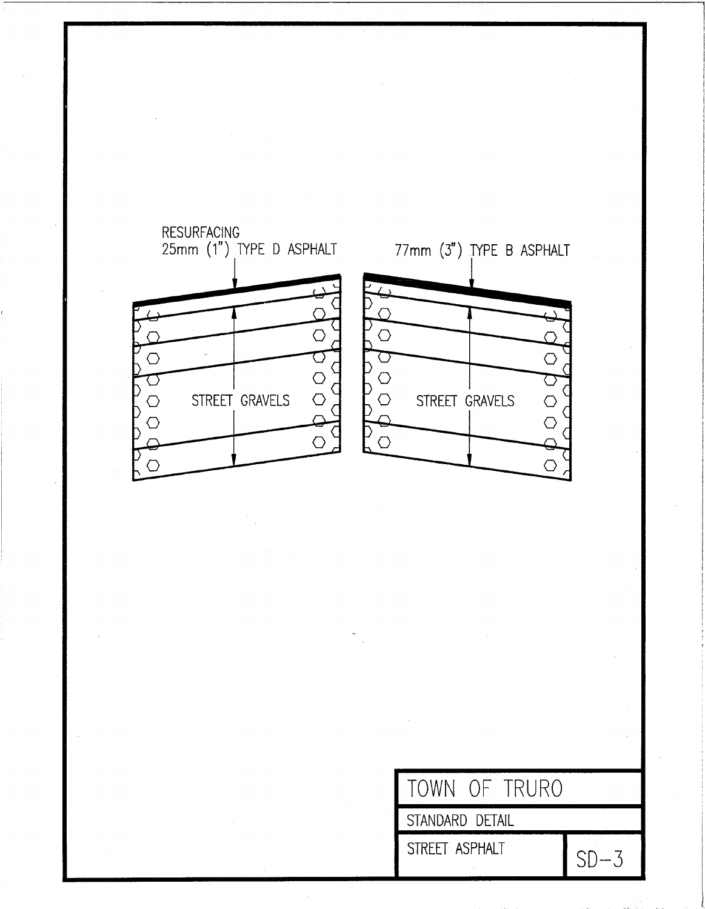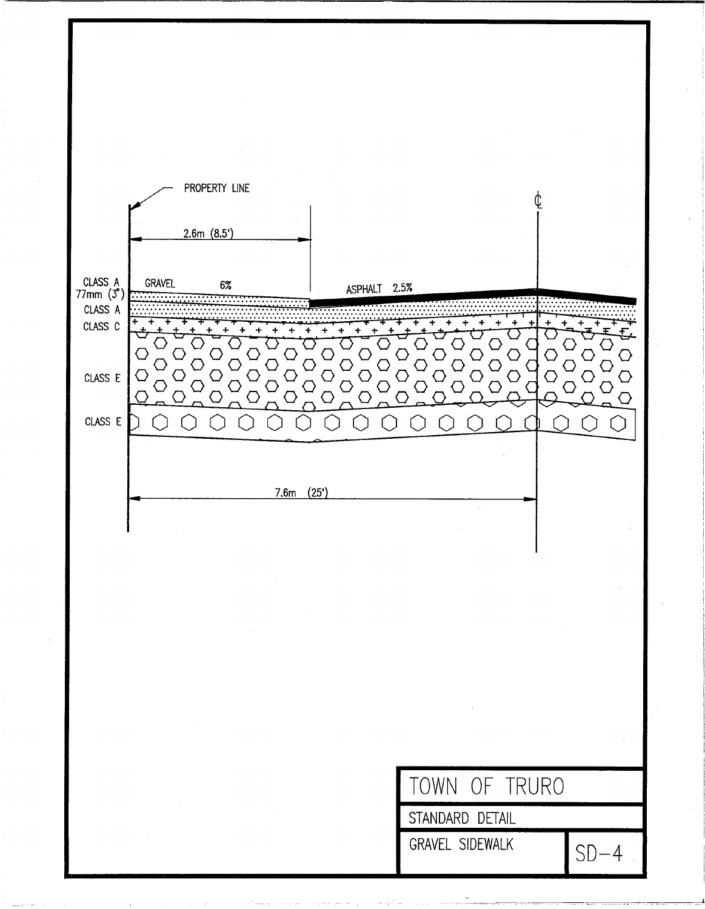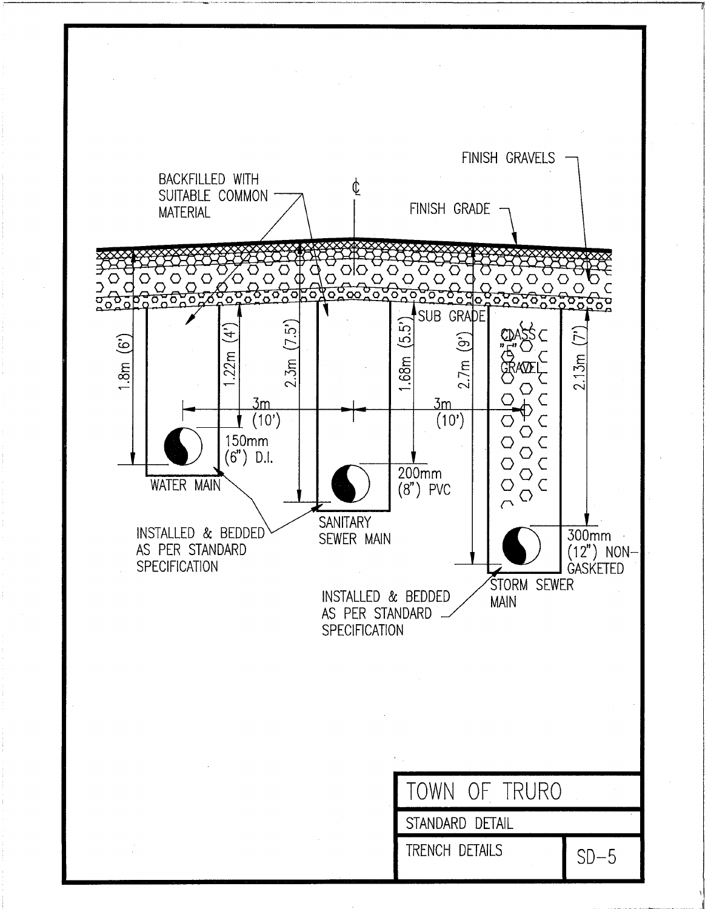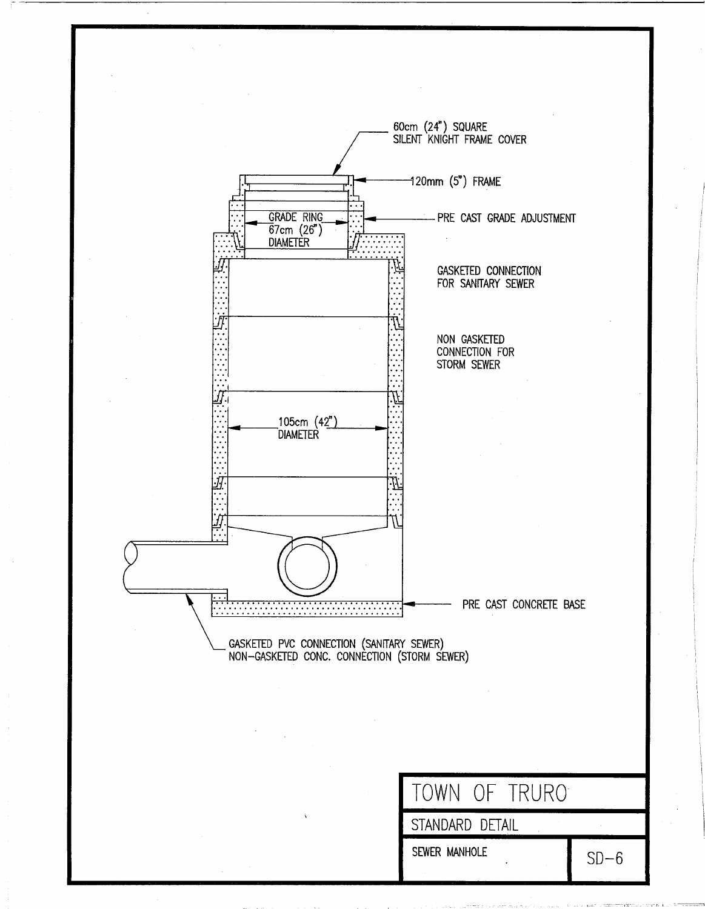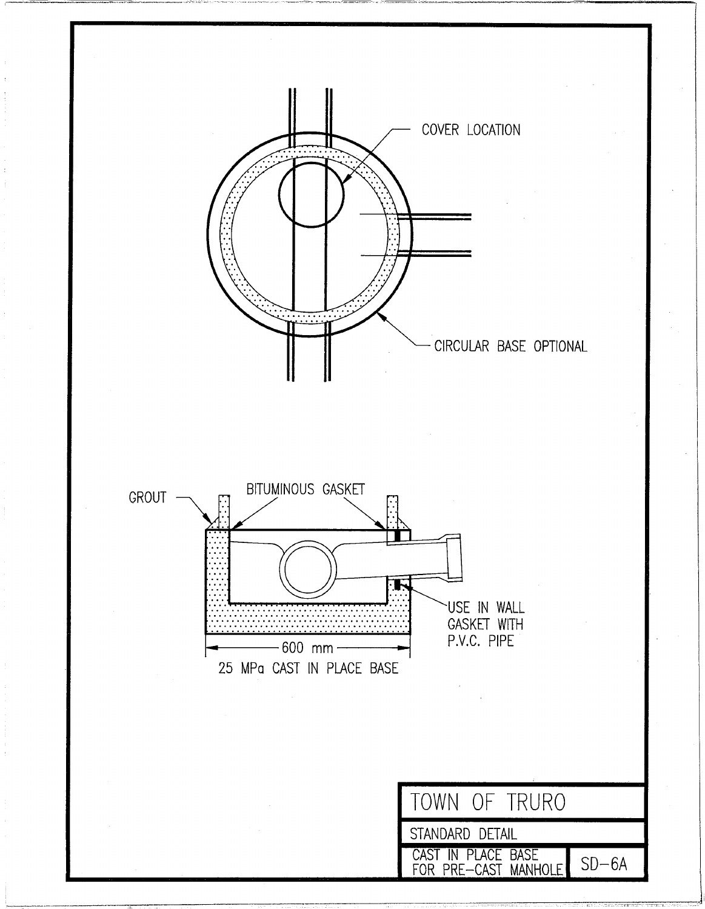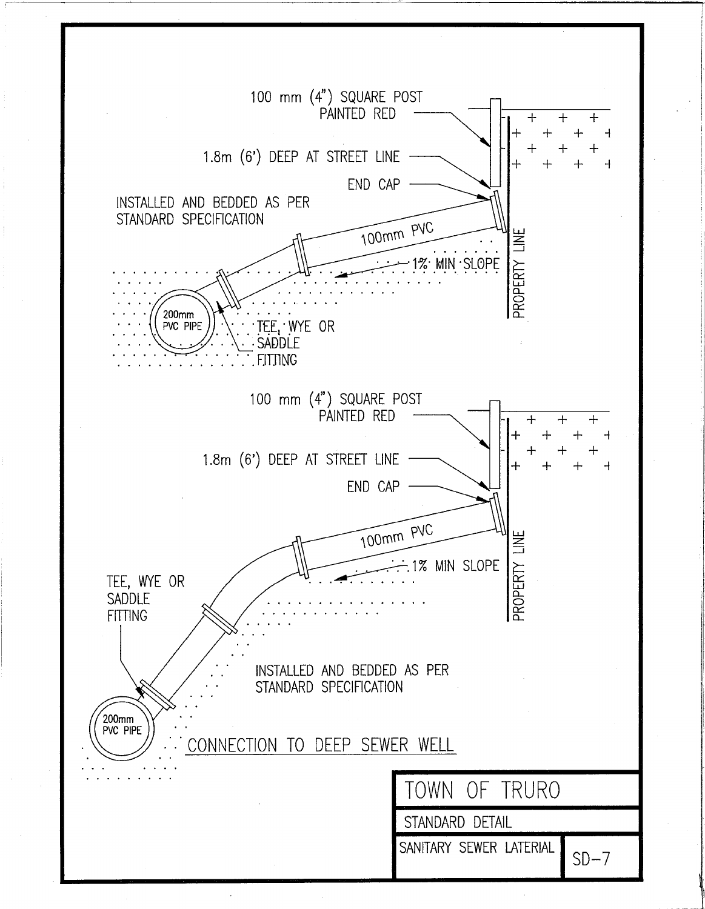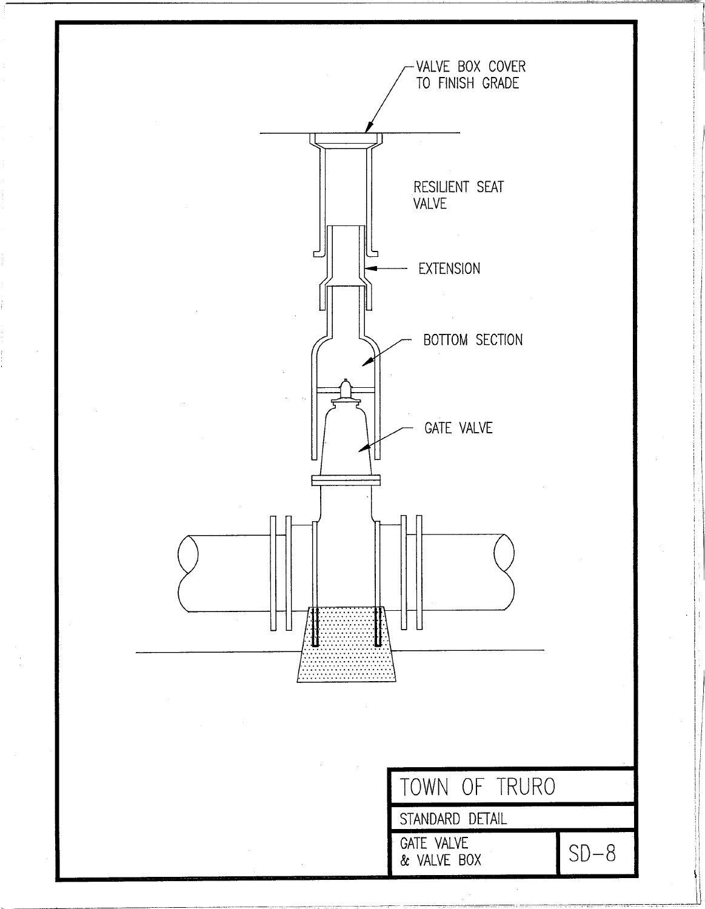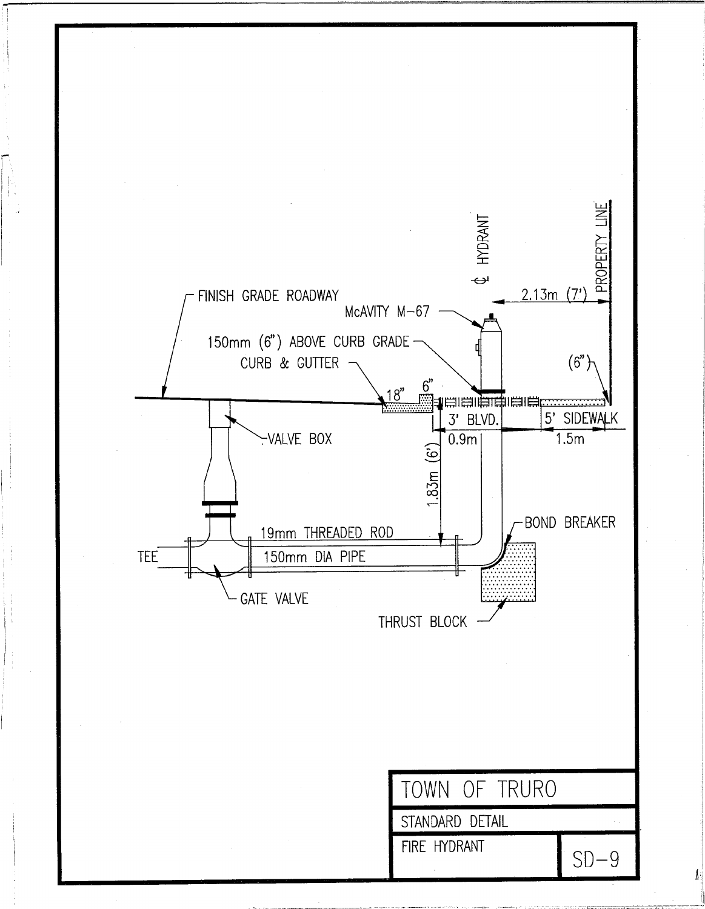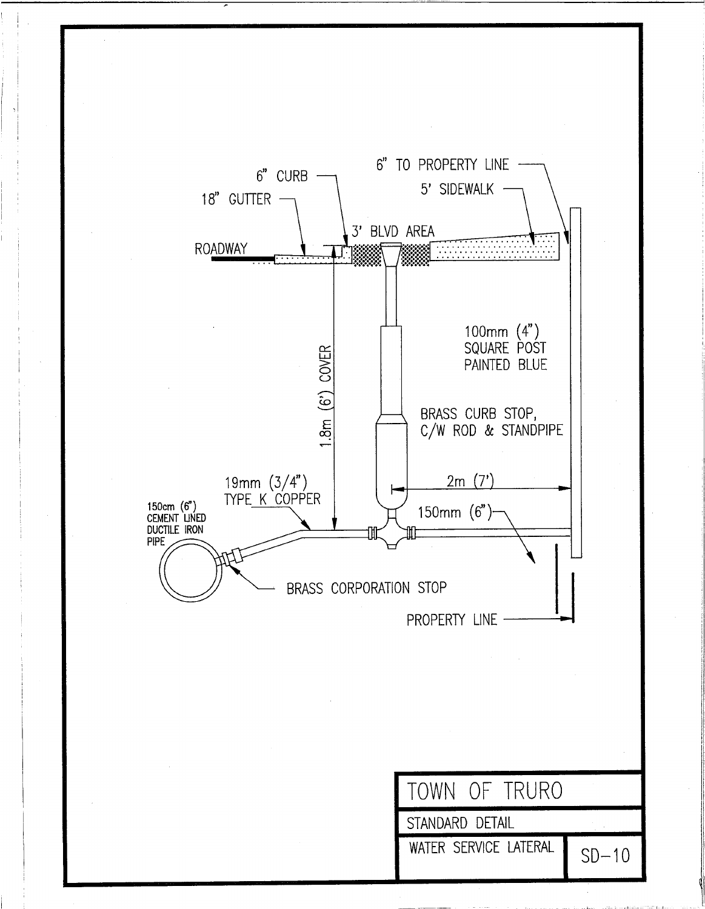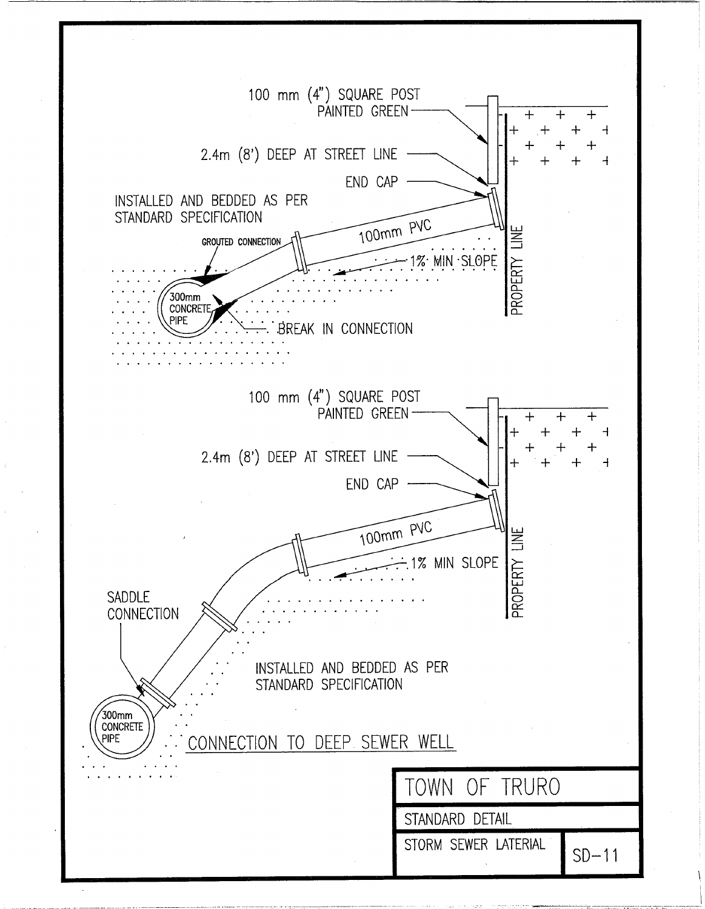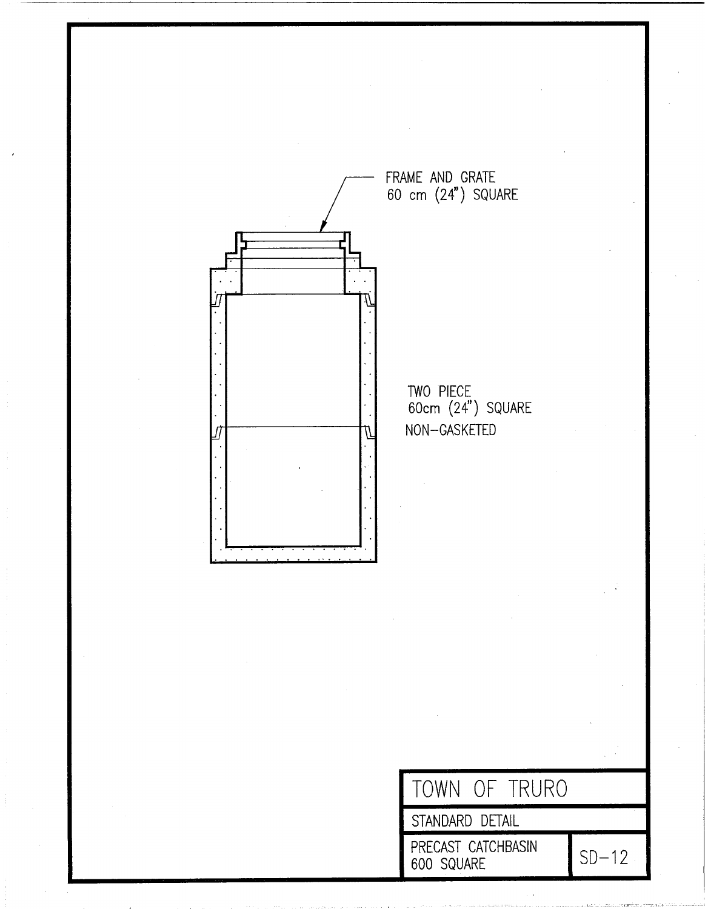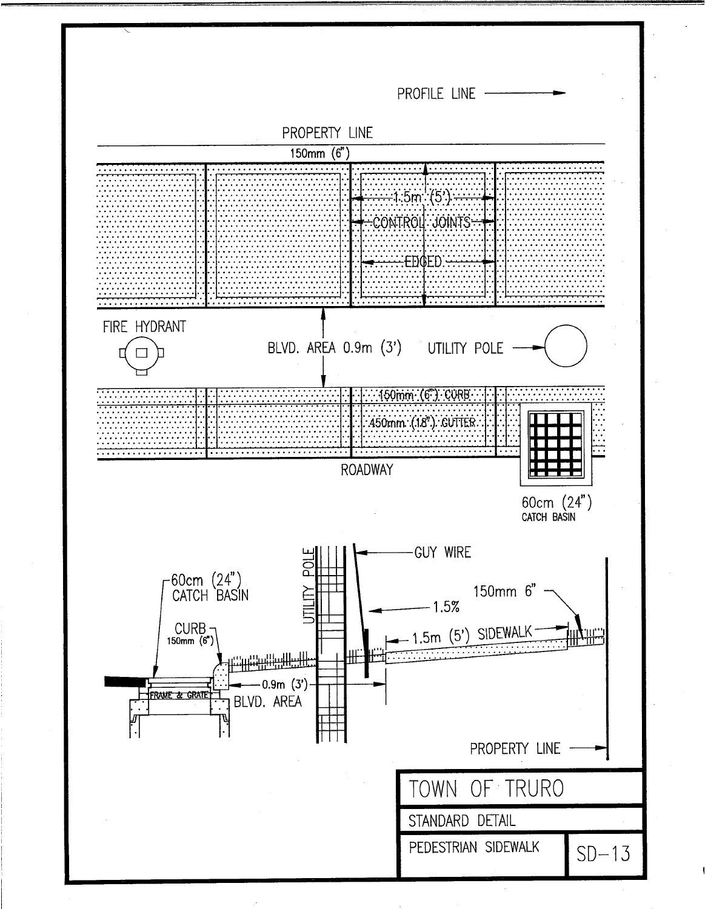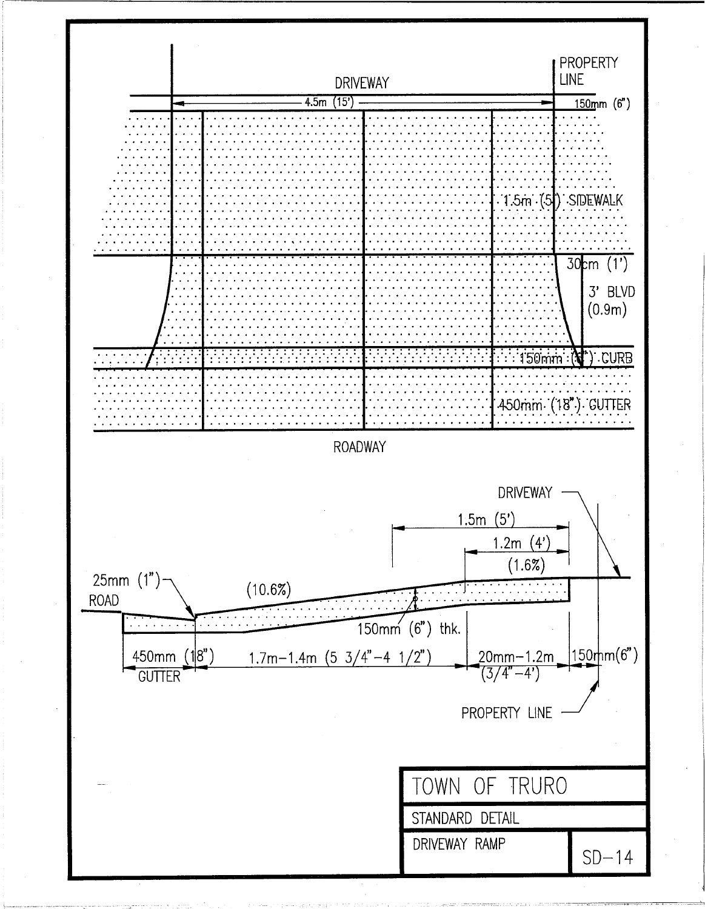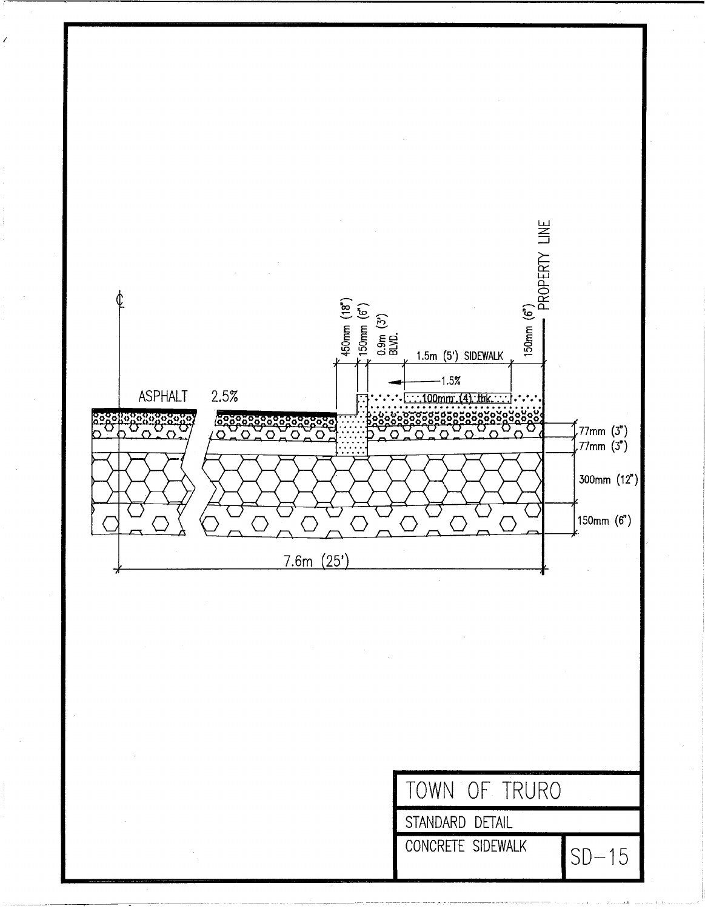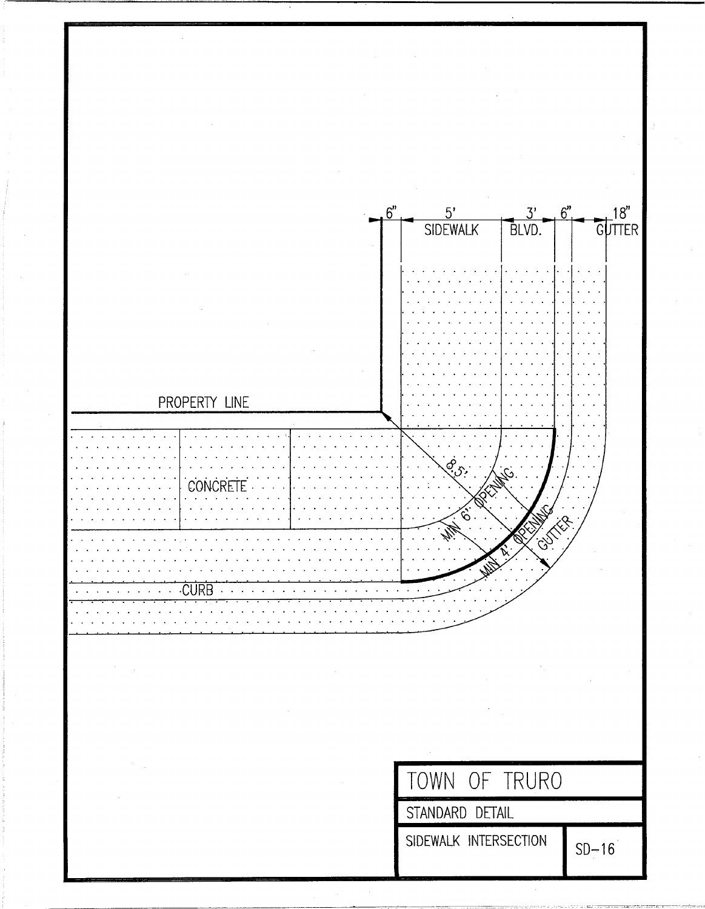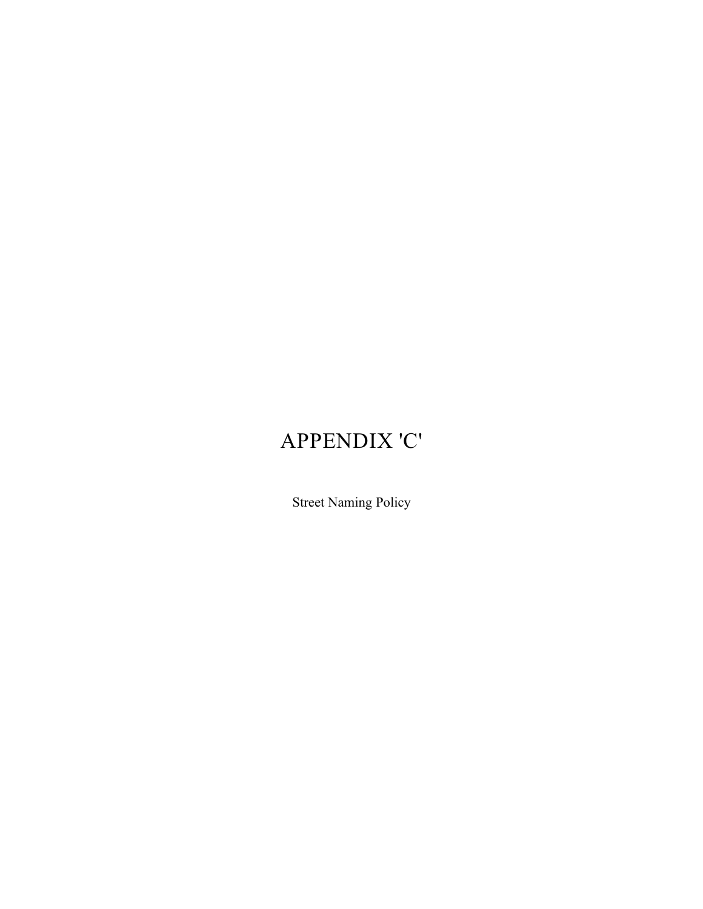# APPENDIX 'C'

Street Naming Policy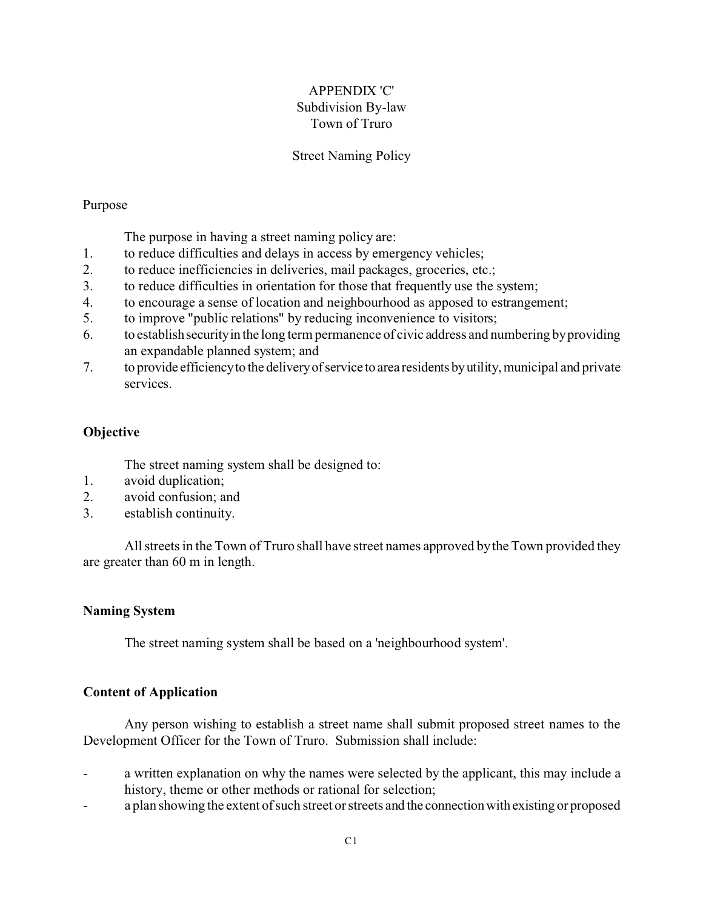# APPENDIX 'C' Subdivision By-law Town of Truro

## Street Naming Policy

## Purpose

The purpose in having a street naming policy are:

- 1. to reduce difficulties and delays in access by emergency vehicles;
- 2. to reduce inefficiencies in deliveries, mail packages, groceries, etc.;
- 3. to reduce difficulties in orientation for those that frequently use the system;
- 4. to encourage a sense of location and neighbourhood as apposed to estrangement;
- 5. to improve "public relations" by reducing inconvenience to visitors;
- 6. to establishsecurityin the long term permanence of civic address and numbering by providing an expandable planned system; and
- 7. to provide efficiencyto the deliveryofservice to area residents byutility,municipal and private services.

# **Objective**

The street naming system shall be designed to:

- 1. avoid duplication;
- 2. avoid confusion; and
- 3. establish continuity.

All streets in the Town of Truro shall have street names approved by the Town provided they are greater than 60 m in length.

## **Naming System**

The street naming system shall be based on a 'neighbourhood system'.

## **Content of Application**

Any person wishing to establish a street name shall submit proposed street names to the Development Officer for the Town of Truro. Submission shall include:

- a written explanation on why the names were selected by the applicant, this may include a history, theme or other methods or rational for selection;
- a plan showing the extent of such street or streets and the connectionwith existing or proposed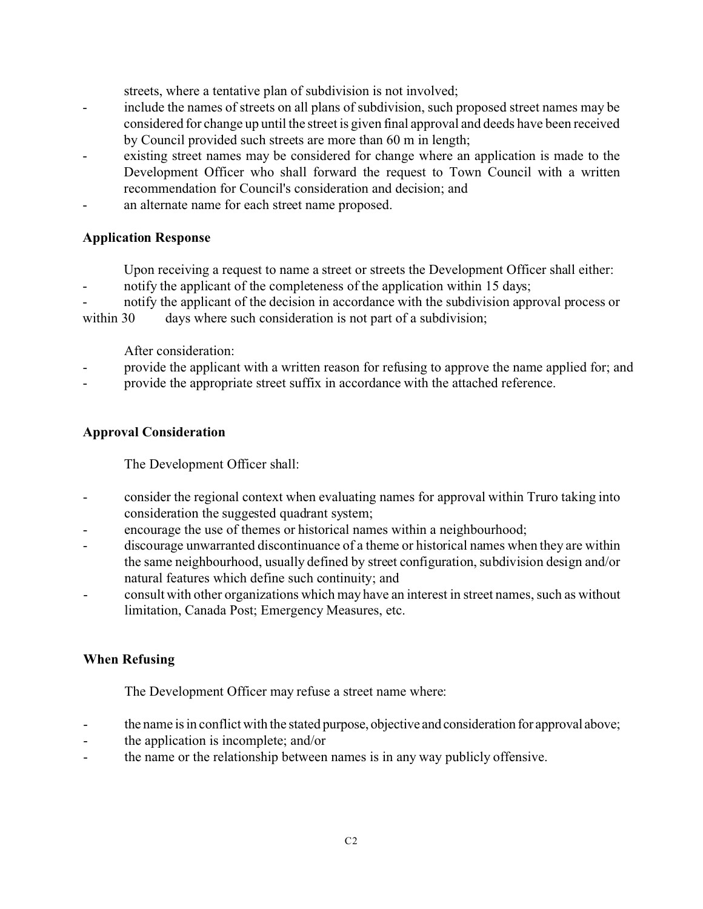streets, where a tentative plan of subdivision is not involved;

- include the names of streets on all plans of subdivision, such proposed street names may be considered for change up until the street is given final approval and deeds have been received by Council provided such streets are more than 60 m in length;
- existing street names may be considered for change where an application is made to the Development Officer who shall forward the request to Town Council with a written recommendation for Council's consideration and decision; and
- an alternate name for each street name proposed.

# **Application Response**

Upon receiving a request to name a street or streets the Development Officer shall either:

- notify the applicant of the completeness of the application within 15 days;

notify the applicant of the decision in accordance with the subdivision approval process or

within 30 days where such consideration is not part of a subdivision;

After consideration:

- provide the applicant with a written reason for refusing to approve the name applied for; and
- provide the appropriate street suffix in accordance with the attached reference.

# **Approval Consideration**

The Development Officer shall:

- consider the regional context when evaluating names for approval within Truro taking into consideration the suggested quadrant system;
- encourage the use of themes or historical names within a neighbourhood;
- discourage unwarranted discontinuance of a theme or historical names when they are within the same neighbourhood, usually defined by street configuration, subdivision design and/or natural features which define such continuity; and
- consult with other organizations which may have an interest in street names, such as without limitation, Canada Post; Emergency Measures, etc.

# **When Refusing**

The Development Officer may refuse a street name where:

- the name is in conflict with the stated purpose, objective and consideration for approval above;
- the application is incomplete; and/or
- the name or the relationship between names is in any way publicly offensive.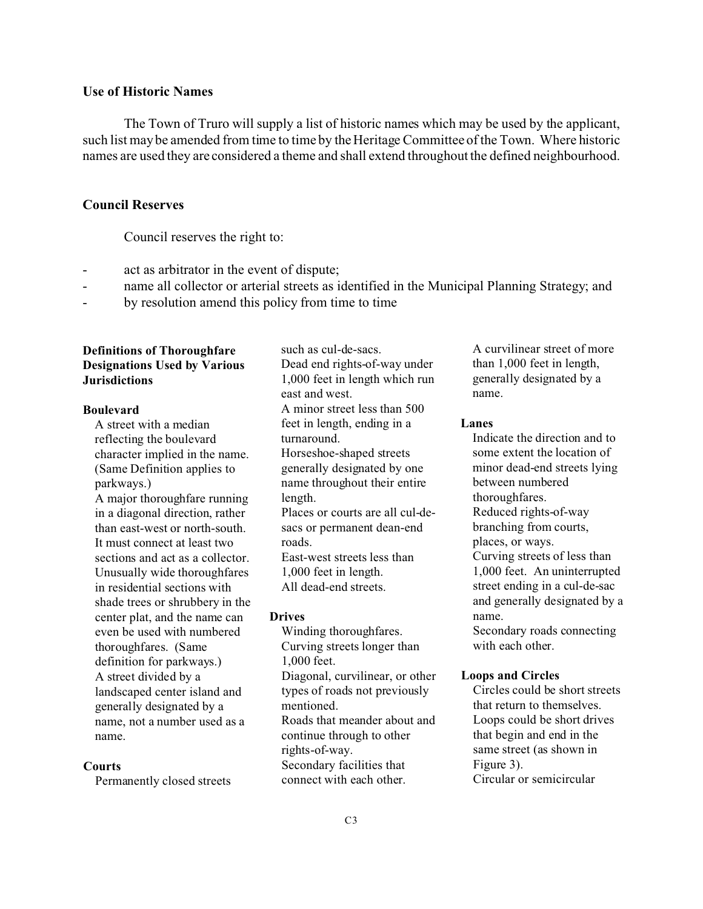## **Use of Historic Names**

The Town of Truro will supply a list of historic names which may be used by the applicant, such list may be amended from time to time by the Heritage Committee of the Town. Where historic names are used they are considered a theme and shall extend throughout the defined neighbourhood.

## **Council Reserves**

Council reserves the right to:

- act as arbitrator in the event of dispute;
- name all collector or arterial streets as identified in the Municipal Planning Strategy; and
- by resolution amend this policy from time to time

## **Definitions of Thoroughfare Designations Used by Various Jurisdictions**

## **Boulevard**

A street with a median reflecting the boulevard character implied in the name. (Same Definition applies to parkways.) A major thoroughfare running in a diagonal direction, rather than east-west or north-south. It must connect at least two sections and act as a collector. Unusually wide thoroughfares in residential sections with shade trees or shrubbery in the center plat, and the name can even be used with numbered thoroughfares. (Same definition for parkways.) A street divided by a landscaped center island and generally designated by a name, not a number used as a name.

#### **Courts**

Permanently closed streets

such as cul-de-sacs. Dead end rights-of-way under 1,000 feet in length which run east and west. A minor street less than 500 feet in length, ending in a turnaround. Horseshoe-shaped streets generally designated by one name throughout their entire length. Places or courts are all cul-desacs or permanent dean-end roads. East-west streets less than 1,000 feet in length. All dead-end streets.

### **Drives**

Winding thoroughfares. Curving streets longer than 1,000 feet. Diagonal, curvilinear, or other types of roads not previously mentioned. Roads that meander about and continue through to other rights-of-way. Secondary facilities that connect with each other.

A curvilinear street of more than 1,000 feet in length, generally designated by a name.

## **Lanes**

Indicate the direction and to some extent the location of minor dead-end streets lying between numbered thoroughfares. Reduced rights-of-way branching from courts, places, or ways. Curving streets of less than 1,000 feet. An uninterrupted street ending in a cul-de-sac and generally designated by a name. Secondary roads connecting

with each other.

## **Loops and Circles**

Circles could be short streets that return to themselves. Loops could be short drives that begin and end in the same street (as shown in Figure 3). Circular or semicircular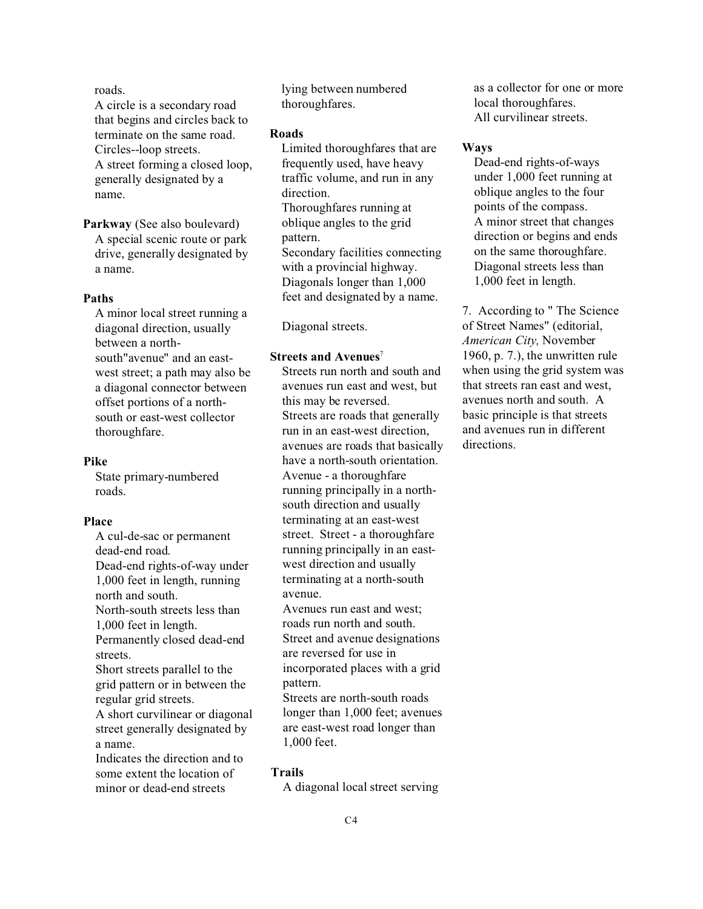roads.

A circle is a secondary road that begins and circles back to terminate on the same road. Circles--loop streets. A street forming a closed loop, generally designated by a name.

**Parkway** (See also boulevard) A special scenic route or park drive, generally designated by a name.

## **Paths**

A minor local street running a diagonal direction, usually between a northsouth"avenue" and an eastwest street; a path may also be a diagonal connector between offset portions of a northsouth or east-west collector thoroughfare.

### **Pike**

State primary-numbered roads.

## **Place**

A cul-de-sac or permanent dead-end road. Dead-end rights-of-way under 1,000 feet in length, running north and south. North-south streets less than 1,000 feet in length. Permanently closed dead-end streets. Short streets parallel to the grid pattern or in between the regular grid streets. A short curvilinear or diagonal street generally designated by a name. Indicates the direction and to some extent the location of minor or dead-end streets

lying between numbered thoroughfares.

#### **Roads**

Limited thoroughfares that are frequently used, have heavy traffic volume, and run in any direction. Thoroughfares running at oblique angles to the grid pattern. Secondary facilities connecting with a provincial highway. Diagonals longer than 1,000 feet and designated by a name.

Diagonal streets.

#### **Streets and Avenues**<sup>7</sup>

Streets run north and south and avenues run east and west, but this may be reversed. Streets are roads that generally run in an east-west direction, avenues are roads that basically have a north-south orientation. Avenue - a thoroughfare running principally in a northsouth direction and usually terminating at an east-west street. Street - a thoroughfare running principally in an eastwest direction and usually terminating at a north-south avenue.

Avenues run east and west; roads run north and south. Street and avenue designations are reversed for use in incorporated places with a grid pattern. Streets are north-south roads longer than 1,000 feet; avenues are east-west road longer than

**Trails**

1,000 feet.

A diagonal local street serving

as a collector for one or more local thoroughfares. All curvilinear streets.

### **Ways**

Dead-end rights-of-ways under 1,000 feet running at oblique angles to the four points of the compass. A minor street that changes direction or begins and ends on the same thoroughfare. Diagonal streets less than 1,000 feet in length.

7. According to " The Science of Street Names" (editorial, *American City,* November 1960, p. 7.), the unwritten rule when using the grid system was that streets ran east and west, avenues north and south. A basic principle is that streets and avenues run in different directions.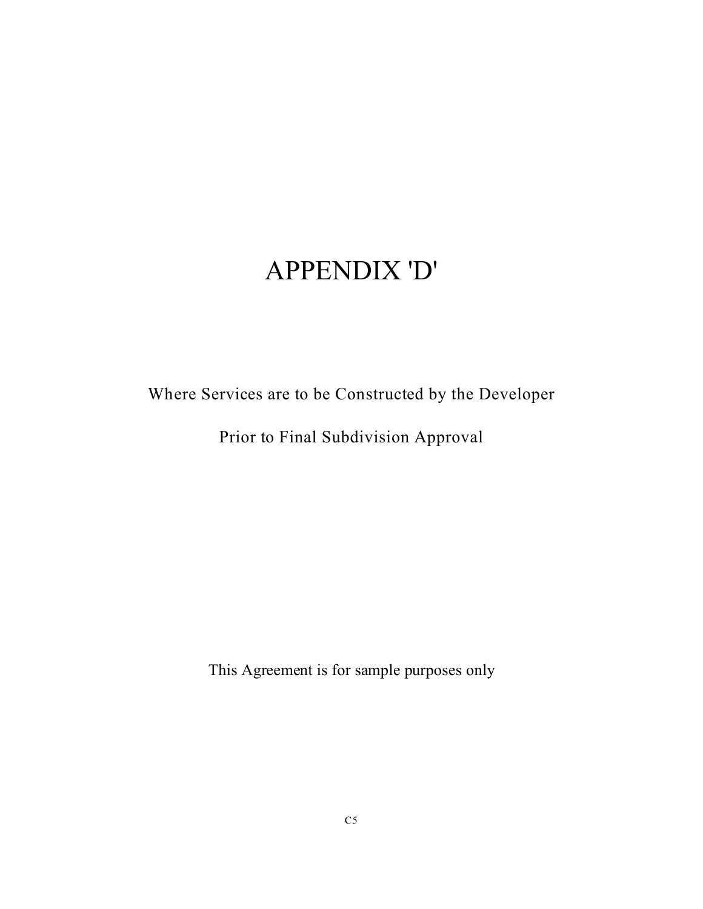# APPENDIX 'D'

Where Services are to be Constructed by the Developer

Prior to Final Subdivision Approval

This Agreement is for sample purposes only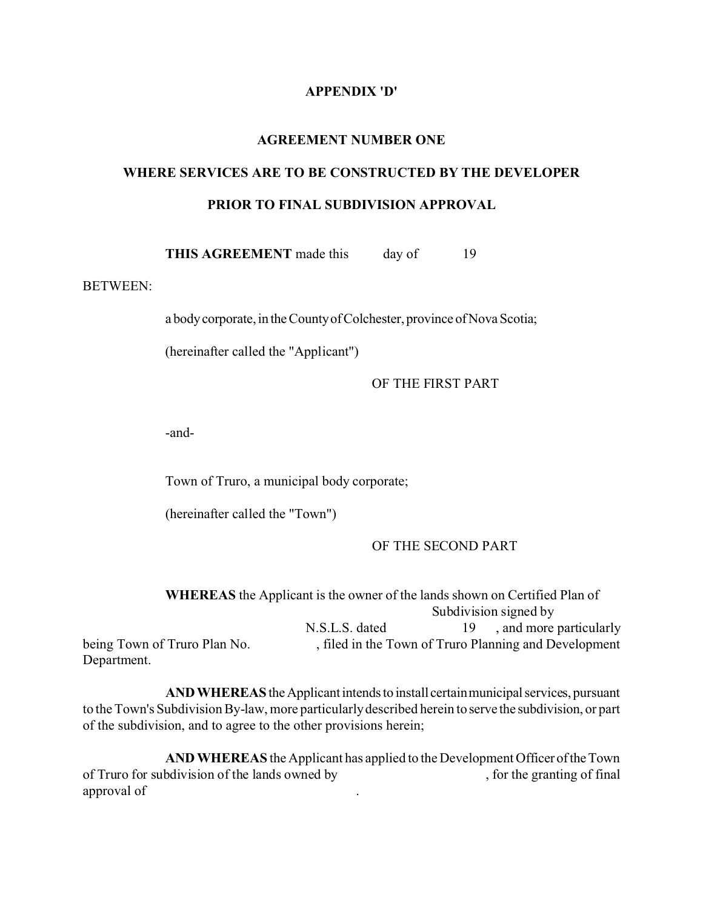# **APPENDIX 'D'**

#### **AGREEMENT NUMBER ONE**

# **WHERE SERVICES ARE TO BE CONSTRUCTED BY THE DEVELOPER PRIOR TO FINAL SUBDIVISION APPROVAL**

**THIS AGREEMENT** made this day of 19

## BETWEEN:

a body corporate, in the County of Colchester, province of Nova Scotia;

(hereinafter called the "Applicant")

OF THE FIRST PART

-and-

Town of Truro, a municipal body corporate;

(hereinafter called the "Town")

#### OF THE SECOND PART

|                              | <b>WHEREAS</b> the Applicant is the owner of the lands shown on Certified Plan of |    |                                                       |
|------------------------------|-----------------------------------------------------------------------------------|----|-------------------------------------------------------|
|                              |                                                                                   |    | Subdivision signed by                                 |
|                              | N.S.L.S. dated                                                                    | 19 | , and more particularly                               |
| being Town of Truro Plan No. |                                                                                   |    | , filed in the Town of Truro Planning and Development |
| Department.                  |                                                                                   |    |                                                       |

**AND WHEREAS** the Applicant intends to install certain municipal services, pursuant to the Town's Subdivision By-law, more particularly described herein to serve the subdivision, or part of the subdivision, and to agree to the other provisions herein;

**AND WHEREAS** the Applicant has applied to the Development Officer oftheTown of Truro for subdivision of the lands owned by , for the granting of final approval of .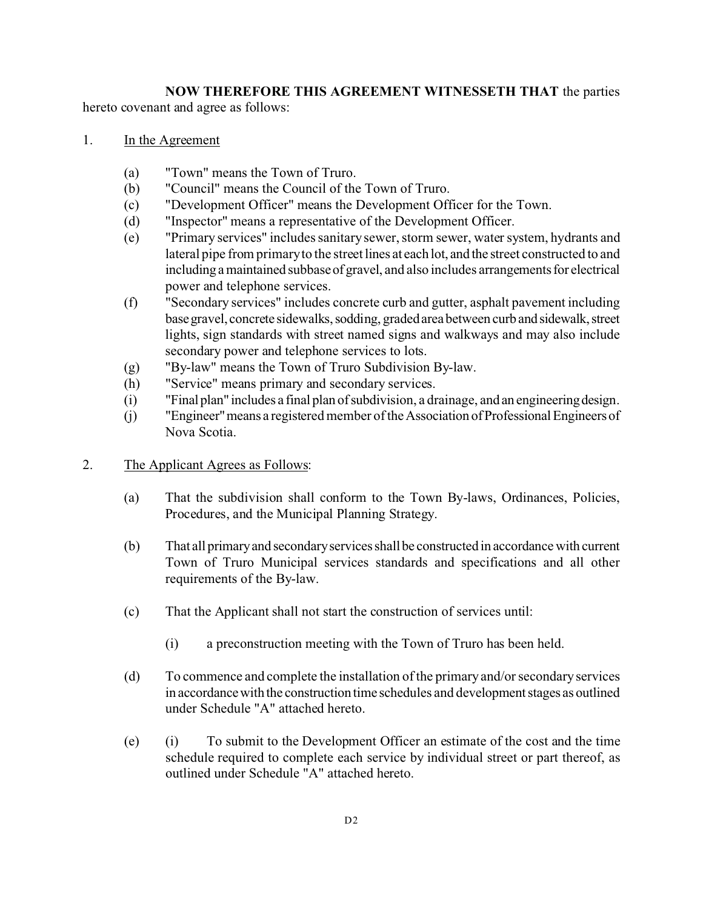# **NOW THEREFORE THIS AGREEMENT WITNESSETH THAT** the parties

hereto covenant and agree as follows:

- 1. In the Agreement
	- (a) "Town" means the Town of Truro.
	- (b) "Council" means the Council of the Town of Truro.
	- (c) "Development Officer" means the Development Officer for the Town.
	- (d) "Inspector" means a representative of the Development Officer.
	- (e) "Primary services" includes sanitary sewer, storm sewer, water system, hydrants and lateral pipe from primary to the street lines at each lot, and the street constructed to and including a maintained subbase of gravel, and also includes arrangements for electrical power and telephone services.
	- (f) "Secondary services" includes concrete curb and gutter, asphalt pavement including base gravel, concrete sidewalks, sodding, graded area between curb and sidewalk, street lights, sign standards with street named signs and walkways and may also include secondary power and telephone services to lots.
	- (g) "By-law" means the Town of Truro Subdivision By-law.
	- (h) "Service" means primary and secondary services.
	- (i) "Final plan" includes a final plan ofsubdivision, a drainage, and an engineeringdesign.
	- (j) "Engineer"means a registered member of the Association ofProfessionalEngineersof Nova Scotia.
- 2. The Applicant Agrees as Follows:
	- (a) That the subdivision shall conform to the Town By-laws, Ordinances, Policies, Procedures, and the Municipal Planning Strategy.
	- (b) That all primaryand secondaryservicesshallbe constructed in accordance with current Town of Truro Municipal services standards and specifications and all other requirements of the By-law.
	- (c) That the Applicant shall not start the construction of services until:
		- (i) a preconstruction meeting with the Town of Truro has been held.
	- (d) To commence and complete the installation of the primary and/or secondary services in accordancewith the construction time schedules and developmentstages as outlined under Schedule "A" attached hereto.
	- (e) (i) To submit to the Development Officer an estimate of the cost and the time schedule required to complete each service by individual street or part thereof, as outlined under Schedule "A" attached hereto.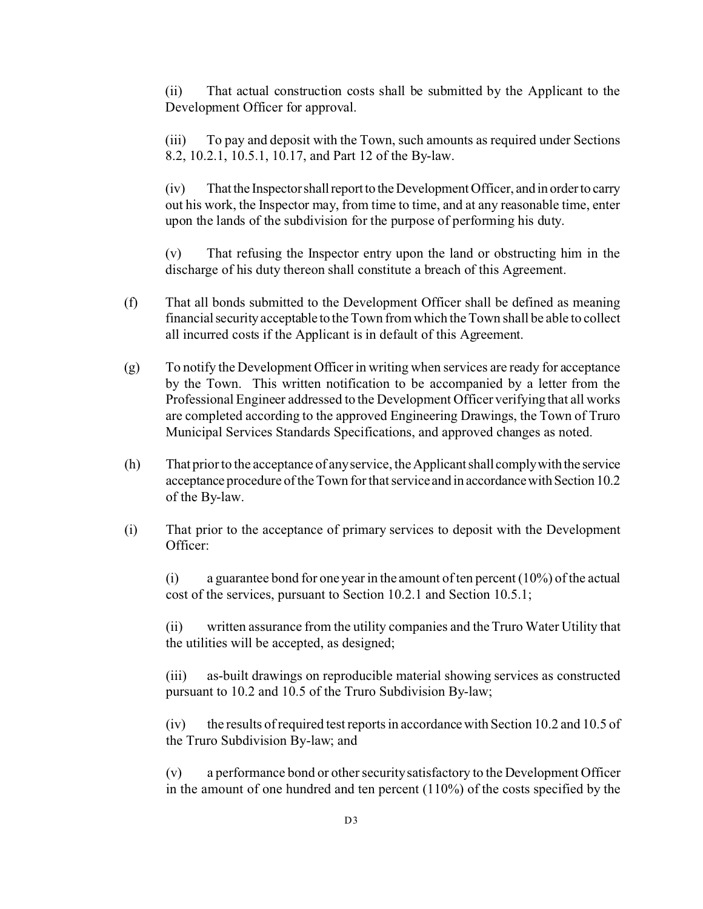(ii) That actual construction costs shall be submitted by the Applicant to the Development Officer for approval.

(iii) To pay and deposit with the Town, such amounts as required under Sections 8.2, 10.2.1, 10.5.1, 10.17, and Part 12 of the By-law.

(iv) That the Inspector shall report to the Development Officer, and in order to carry out his work, the Inspector may, from time to time, and at any reasonable time, enter upon the lands of the subdivision for the purpose of performing his duty.

(v) That refusing the Inspector entry upon the land or obstructing him in the discharge of his duty thereon shall constitute a breach of this Agreement.

- (f) That all bonds submitted to the Development Officer shall be defined as meaning financial security acceptable to the Town from which the Town shall be able to collect all incurred costs if the Applicant is in default of this Agreement.
- (g) To notify the Development Officer in writing when services are ready for acceptance by the Town. This written notification to be accompanied by a letter from the Professional Engineer addressed to the Development Officer verifying that all works are completed according to the approved Engineering Drawings, the Town of Truro Municipal Services Standards Specifications, and approved changes as noted.
- (h) That prior to the acceptance of any service, the Applicantshall complywith the service acceptance procedure of the Town for that service and in accordance with Section 10.2 of the By-law.
- (i) That prior to the acceptance of primary services to deposit with the Development Officer:

(i) a guarantee bond for one year in the amount of ten percent  $(10\%)$  of the actual cost of the services, pursuant to Section 10.2.1 and Section 10.5.1;

(ii) written assurance from the utility companies and the Truro Water Utility that the utilities will be accepted, as designed;

(iii) as-built drawings on reproducible material showing services as constructed pursuant to 10.2 and 10.5 of the Truro Subdivision By-law;

(iv) the results of required test reports in accordance with Section 10.2 and 10.5 of the Truro Subdivision By-law; and

(v) a performance bond or other security satisfactory to the Development Officer in the amount of one hundred and ten percent (110%) of the costs specified by the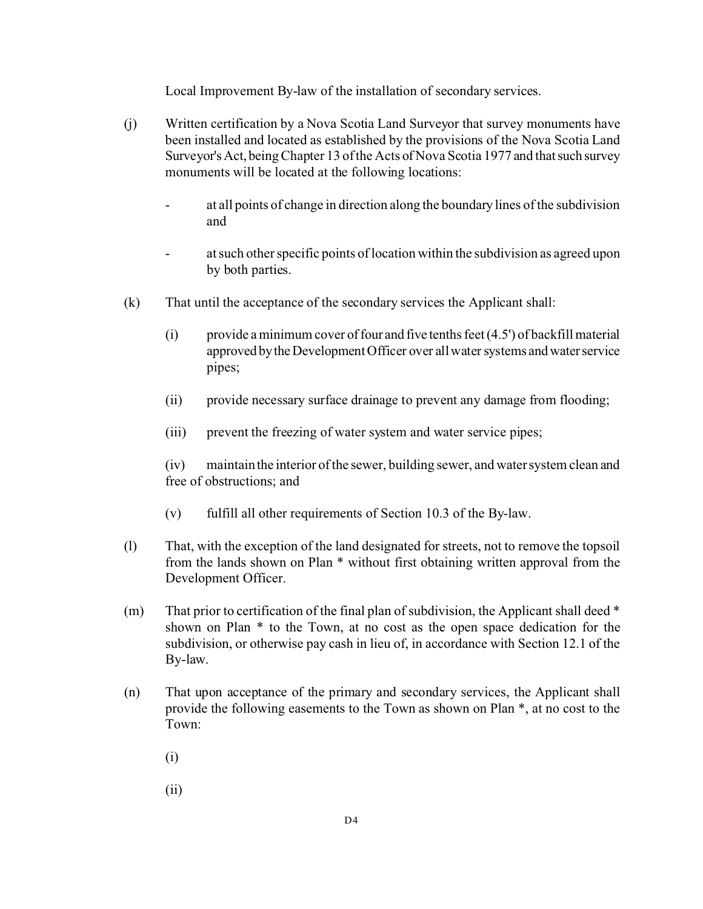Local Improvement By-law of the installation of secondary services.

- (j) Written certification by a Nova Scotia Land Surveyor that survey monuments have been installed and located as established by the provisions of the Nova Scotia Land Surveyor's Act, being Chapter 13 of the Acts of Nova Scotia 1977 and that such survey monuments will be located at the following locations:
	- at all points of change in direction along the boundary lines of the subdivision and
	- at such other specific points of location within the subdivision as agreed upon by both parties.
- (k) That until the acceptance of the secondary services the Applicant shall:
	- (i) provide a minimum cover of four and five tenths feet  $(4.5')$  of backfill material approved by the Development Officer over all water systems and water service pipes;
	- (ii) provide necessary surface drainage to prevent any damage from flooding;
	- (iii) prevent the freezing of water system and water service pipes;

(iv) maintain the interior of the sewer, building sewer, and water system clean and free of obstructions; and

- (v) fulfill all other requirements of Section 10.3 of the By-law.
- (l) That, with the exception of the land designated for streets, not to remove the topsoil from the lands shown on Plan \* without first obtaining written approval from the Development Officer.
- (m) That prior to certification of the final plan of subdivision, the Applicant shall deed  $*$ shown on Plan \* to the Town, at no cost as the open space dedication for the subdivision, or otherwise pay cash in lieu of, in accordance with Section 12.1 of the By-law.
- (n) That upon acceptance of the primary and secondary services, the Applicant shall provide the following easements to the Town as shown on Plan \*, at no cost to the Town:
	- (i)
	- (ii)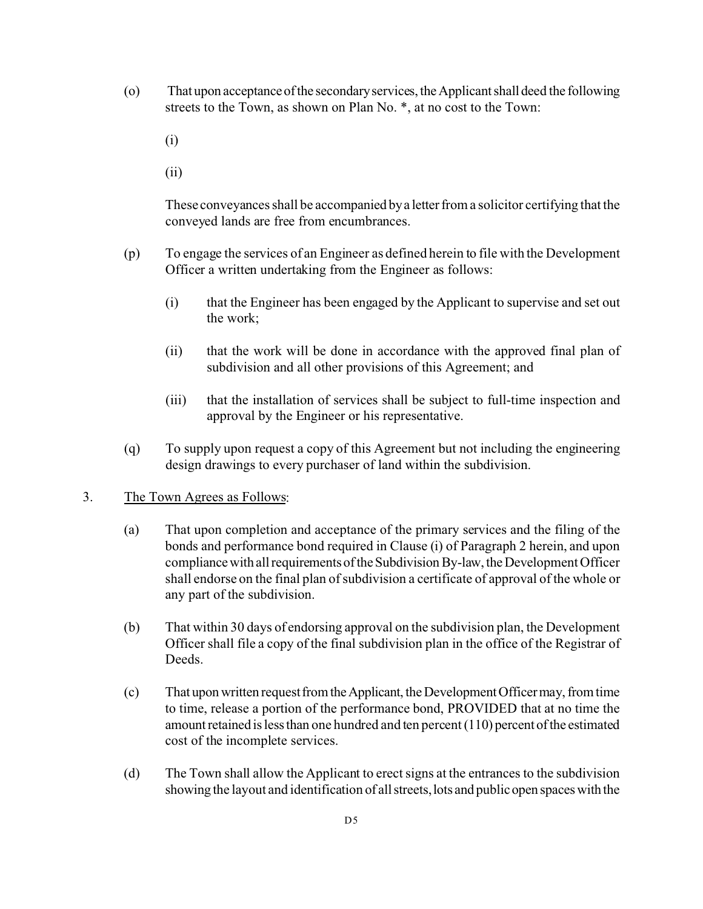- (o) That upon acceptanceofthe secondaryservices,theApplicantshalldeed the following streets to the Town, as shown on Plan No. \*, at no cost to the Town:
	- (i)
	- (ii)

These conveyances shall be accompanied by a letter from a solicitor certifying that the conveyed lands are free from encumbrances.

- (p) To engage the services of an Engineer as defined herein to file with the Development Officer a written undertaking from the Engineer as follows:
	- (i) that the Engineer has been engaged by the Applicant to supervise and set out the work;
	- (ii) that the work will be done in accordance with the approved final plan of subdivision and all other provisions of this Agreement; and
	- (iii) that the installation of services shall be subject to full-time inspection and approval by the Engineer or his representative.
- (q) To supply upon request a copy of this Agreement but not including the engineering design drawings to every purchaser of land within the subdivision.

# 3. The Town Agrees as Follows:

- (a) That upon completion and acceptance of the primary services and the filing of the bonds and performance bond required in Clause (i) of Paragraph 2 herein, and upon compliance with all requirements of the Subdivision By-law, the Development Officer shall endorse on the final plan of subdivision a certificate of approval of the whole or any part of the subdivision.
- (b) That within 30 days of endorsing approval on the subdivision plan, the Development Officer shall file a copy of the final subdivision plan in the office of the Registrar of Deeds.
- (c) That uponwritten requestfromtheApplicant, theDevelopmentOfficermay,fromtime to time, release a portion of the performance bond, PROVIDED that at no time the amount retained is less than one hundred and ten percent (110) percent of the estimated cost of the incomplete services.
- (d) The Town shall allow the Applicant to erect signs at the entrances to the subdivision showing the layout and identification of all streets, lots and public open spaces with the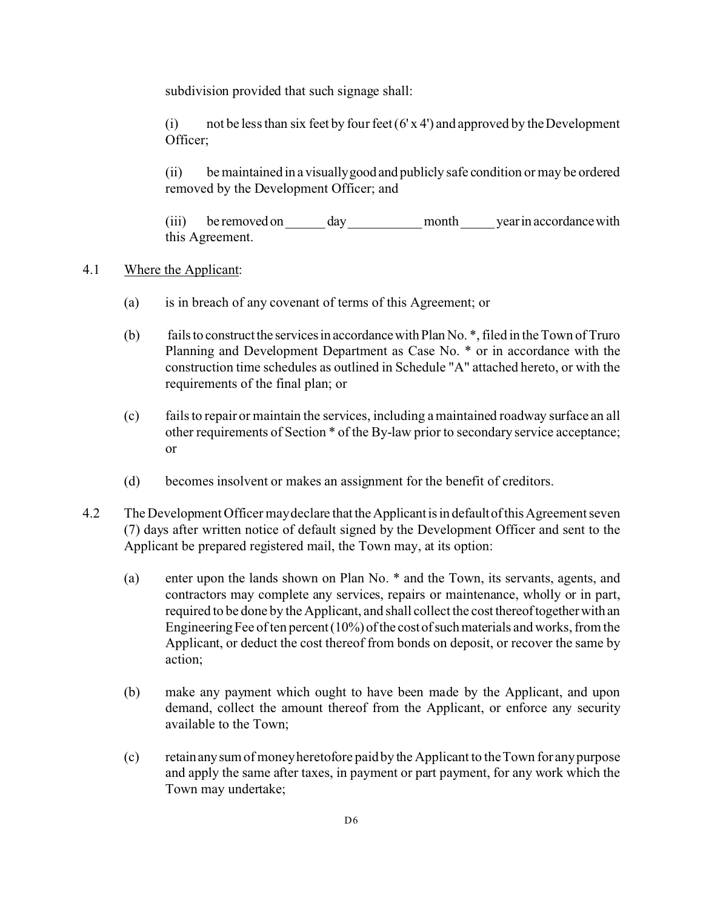subdivision provided that such signage shall:

(i) not be less than six feet by four feet  $(6' \times 4')$  and approved by the Development Officer;

(ii) be maintained in a visuallygood and publicly safe condition or may be ordered removed by the Development Officer; and

(iii) be removed on day month year in accordance with this Agreement.

# 4.1 Where the Applicant:

- (a) is in breach of any covenant of terms of this Agreement; or
- (b) fails to construct the services in accordance with Plan No.  $*$ , filed in the Town of Truro Planning and Development Department as Case No. \* or in accordance with the construction time schedules as outlined in Schedule "A" attached hereto, or with the requirements of the final plan; or
- (c) fails to repair or maintain the services, including a maintained roadway surface an all other requirements of Section \* of the By-law prior to secondary service acceptance; or
- (d) becomes insolvent or makes an assignment for the benefit of creditors.
- 4.2 The Development Officer may declare that the Applicant is in default of this Agreement seven (7) days after written notice of default signed by the Development Officer and sent to the Applicant be prepared registered mail, the Town may, at its option:
	- (a) enter upon the lands shown on Plan No. \* and the Town, its servants, agents, and contractors may complete any services, repairs or maintenance, wholly or in part, required to be done by the Applicant, and shall collect the cost thereoftogetherwith an Engineering Fee of ten percent  $(10\%)$  of the cost of such materials and works, from the Applicant, or deduct the cost thereof from bonds on deposit, or recover the same by action;
	- (b) make any payment which ought to have been made by the Applicant, and upon demand, collect the amount thereof from the Applicant, or enforce any security available to the Town;
	- (c) retainanysum of money heretofore paid by the Applicant to the Town for any purpose and apply the same after taxes, in payment or part payment, for any work which the Town may undertake;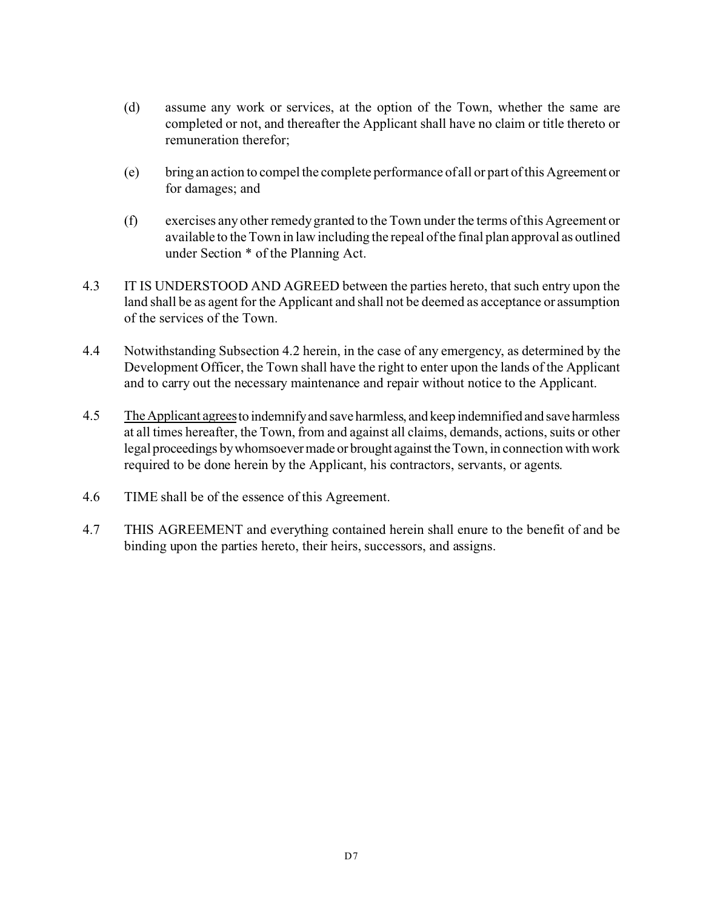- (d) assume any work or services, at the option of the Town, whether the same are completed or not, and thereafter the Applicant shall have no claim or title thereto or remuneration therefor;
- (e) bring an action to compel the complete performance of all or part of this Agreement or for damages; and
- (f) exercises any other remedy granted to the Town under the terms of this Agreement or available to the Town in law including the repeal of the final plan approval as outlined under Section \* of the Planning Act.
- 4.3 IT IS UNDERSTOOD AND AGREED between the parties hereto, that such entry upon the land shall be as agent for the Applicant and shall not be deemed as acceptance or assumption of the services of the Town.
- 4.4 Notwithstanding Subsection 4.2 herein, in the case of any emergency, as determined by the Development Officer, the Town shall have the right to enter upon the lands of the Applicant and to carry out the necessary maintenance and repair without notice to the Applicant.
- 4.5 TheApplicant agreesto indemnifyand save harmless, and keep indemnified and save harmless at all times hereafter, the Town, from and against all claims, demands, actions, suits or other legal proceedings by whomsoever made or brought against the Town, in connection with work required to be done herein by the Applicant, his contractors, servants, or agents.
- 4.6 TIME shall be of the essence of this Agreement.
- 4.7 THIS AGREEMENT and everything contained herein shall enure to the benefit of and be binding upon the parties hereto, their heirs, successors, and assigns.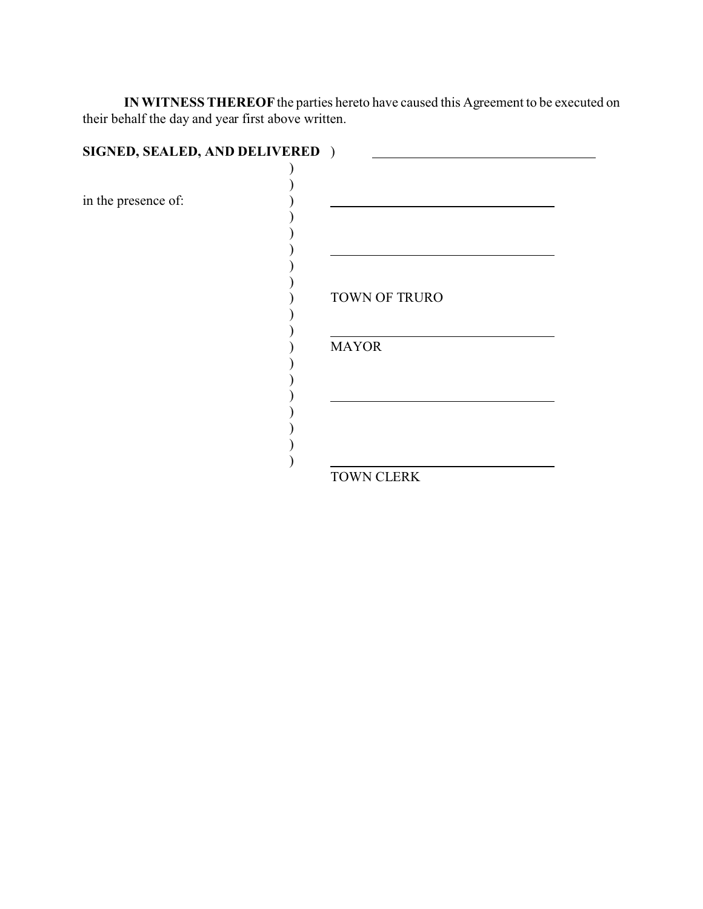**IN WITNESS THEREOF** the parties hereto have caused this Agreement to be executed on their behalf the day and year first above written.

| SIGNED, SEALED, AND DELIVERED ) |               |
|---------------------------------|---------------|
|                                 |               |
| in the presence of:             |               |
|                                 |               |
|                                 | TOWN OF TRURO |
|                                 | <b>MAYOR</b>  |
|                                 |               |
|                                 | TOWN CLERK    |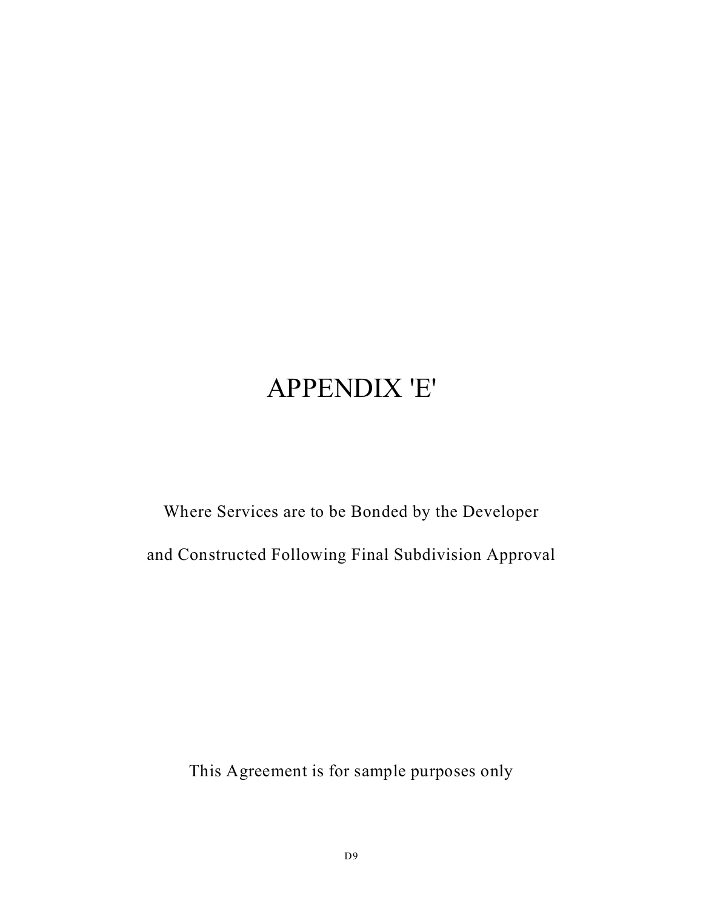# APPENDIX 'E'

Where Services are to be Bonded by the Developer and Constructed Following Final Subdivision Approval

This Agreement is for sample purposes only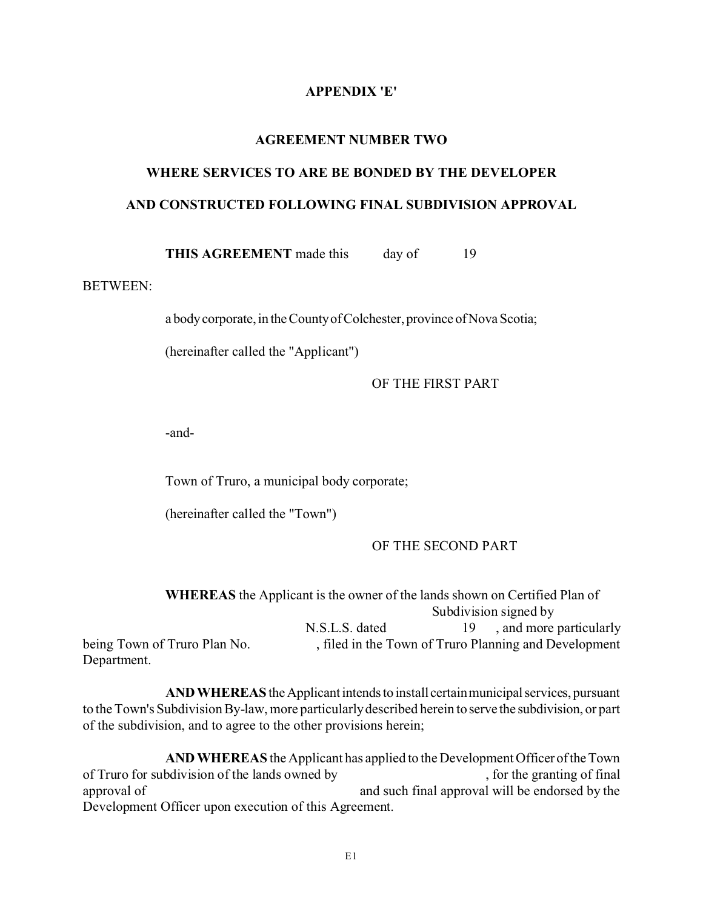### **APPENDIX 'E'**

### **AGREEMENT NUMBER TWO**

# **WHERE SERVICES TO ARE BE BONDED BY THE DEVELOPER AND CONSTRUCTED FOLLOWING FINAL SUBDIVISION APPROVAL**

**THIS AGREEMENT** made this day of 19

# BETWEEN:

a body corporate, in the County of Colchester, province of Nova Scotia;

(hereinafter called the "Applicant")

OF THE FIRST PART

-and-

Town of Truro, a municipal body corporate;

(hereinafter called the "Town")

### OF THE SECOND PART

|                              | <b>WHEREAS</b> the Applicant is the owner of the lands shown on Certified Plan of |       |                                                       |
|------------------------------|-----------------------------------------------------------------------------------|-------|-------------------------------------------------------|
|                              |                                                                                   |       | Subdivision signed by                                 |
|                              | N.S.L.S. dated                                                                    | -19 - | , and more particularly                               |
| being Town of Truro Plan No. |                                                                                   |       | , filed in the Town of Truro Planning and Development |
| Department.                  |                                                                                   |       |                                                       |

**AND WHEREAS** the Applicant intends to install certain municipal services, pursuant to the Town's Subdivision By-law, more particularly described herein to serve the subdivision, or part of the subdivision, and to agree to the other provisions herein;

**AND WHEREAS** the Applicant has applied to the Development Officer oftheTown of Truro for subdivision of the lands owned by , for the granting of final approval of and such final approval will be endorsed by the Development Officer upon execution of this Agreement.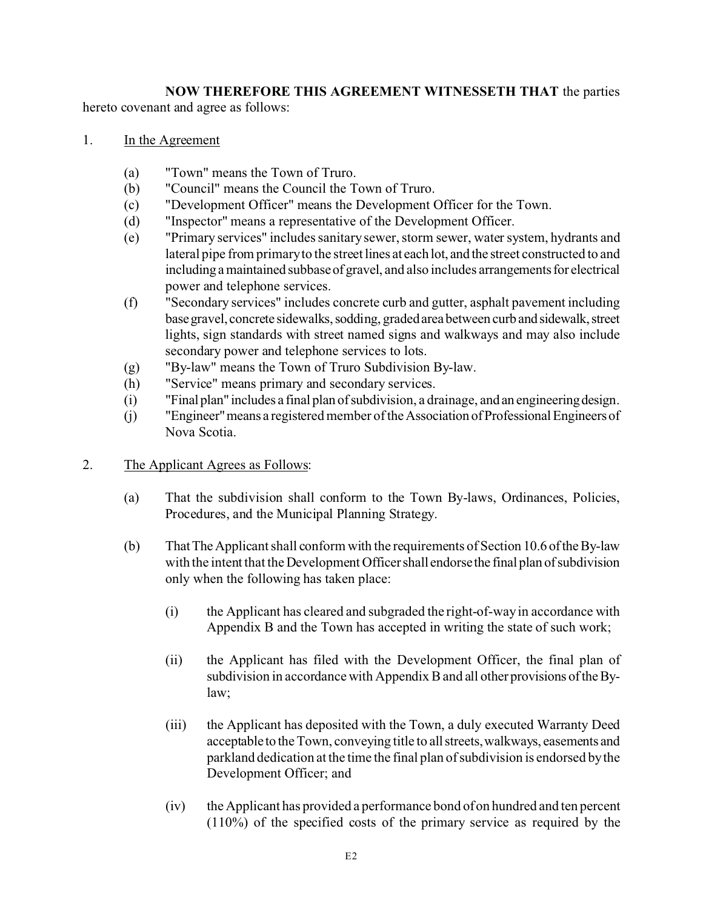# **NOW THEREFORE THIS AGREEMENT WITNESSETH THAT** the parties

hereto covenant and agree as follows:

- 1. In the Agreement
	- (a) "Town" means the Town of Truro.
	- (b) "Council" means the Council the Town of Truro.
	- (c) "Development Officer" means the Development Officer for the Town.
	- (d) "Inspector" means a representative of the Development Officer.
	- (e) "Primary services" includes sanitary sewer, storm sewer, water system, hydrants and lateral pipe from primary to the street lines at each lot, and the street constructed to and including a maintained subbase of gravel, and also includes arrangements for electrical power and telephone services.
	- (f) "Secondary services" includes concrete curb and gutter, asphalt pavement including base gravel, concrete sidewalks, sodding, graded area between curb and sidewalk, street lights, sign standards with street named signs and walkways and may also include secondary power and telephone services to lots.
	- (g) "By-law" means the Town of Truro Subdivision By-law.
	- (h) "Service" means primary and secondary services.
	- (i) "Final plan" includes a final plan ofsubdivision, a drainage, and an engineeringdesign.
	- (j) "Engineer"means a registered member of the Association ofProfessionalEngineersof Nova Scotia.
- 2. The Applicant Agrees as Follows:
	- (a) That the subdivision shall conform to the Town By-laws, Ordinances, Policies, Procedures, and the Municipal Planning Strategy.
	- (b) ThatTheApplicant shall conform with the requirements of Section 10.6 oftheBy-law with the intent that the Development Officer shall endorse the final plan of subdivision only when the following has taken place:
		- (i) the Applicant has cleared and subgraded the right-of-way in accordance with Appendix B and the Town has accepted in writing the state of such work;
		- (ii) the Applicant has filed with the Development Officer, the final plan of subdivision in accordance with Appendix B and all other provisions oftheBylaw;
		- (iii) the Applicant has deposited with the Town, a duly executed Warranty Deed acceptable to the Town, conveying title to allstreets,walkways, easements and parkland dedication at the time the final plan of subdivision is endorsed by the Development Officer; and
		- (iv) the Applicant has provided a performance bond of on hundred and ten percent (110%) of the specified costs of the primary service as required by the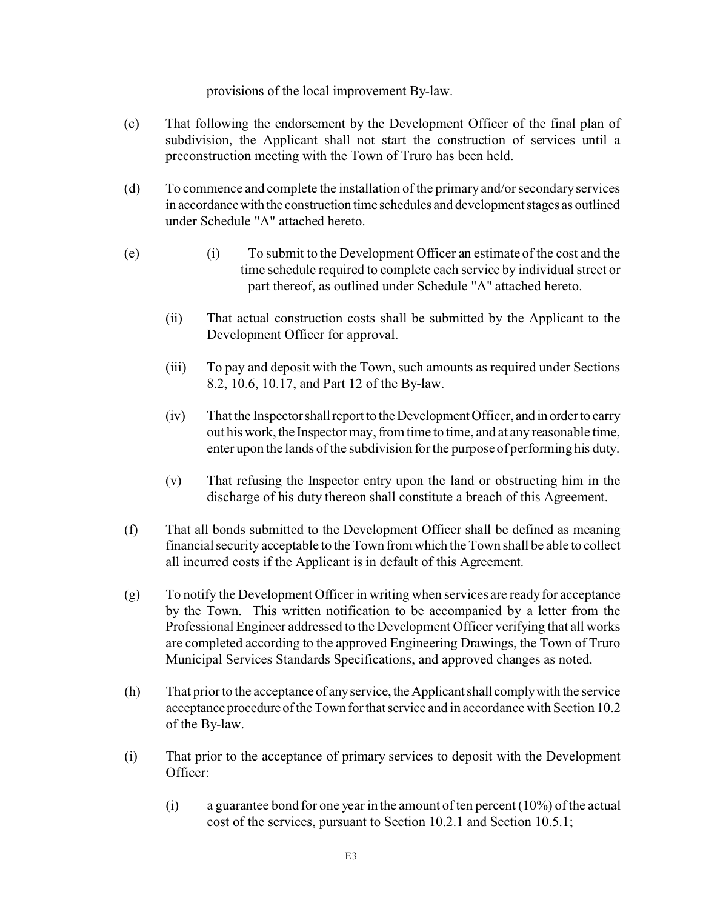provisions of the local improvement By-law.

- (c) That following the endorsement by the Development Officer of the final plan of subdivision, the Applicant shall not start the construction of services until a preconstruction meeting with the Town of Truro has been held.
- (d) To commence and complete the installation of the primary and/or secondary services in accordance with the construction time schedules and development stages as outlined under Schedule "A" attached hereto.
- (e) (i) To submit to the Development Officer an estimate of the cost and the time schedule required to complete each service by individual street or part thereof, as outlined under Schedule "A" attached hereto.
	- (ii) That actual construction costs shall be submitted by the Applicant to the Development Officer for approval.
	- (iii) To pay and deposit with the Town, such amounts as required under Sections 8.2, 10.6, 10.17, and Part 12 of the By-law.
	- (iv) That the Inspector shall report to the Development Officer, and in order to carry out his work, the Inspector may, from time to time, and at any reasonable time, enter upon the lands of the subdivision for the purpose of performing his duty.
	- (v) That refusing the Inspector entry upon the land or obstructing him in the discharge of his duty thereon shall constitute a breach of this Agreement.
- (f) That all bonds submitted to the Development Officer shall be defined as meaning financial security acceptable to the Town fromwhich the Town shall be able to collect all incurred costs if the Applicant is in default of this Agreement.
- (g) To notify the Development Officer in writing when services are ready for acceptance by the Town. This written notification to be accompanied by a letter from the Professional Engineer addressed to the Development Officer verifying that all works are completed according to the approved Engineering Drawings, the Town of Truro Municipal Services Standards Specifications, and approved changes as noted.
- (h) That prior to the acceptance of any service, the Applicant shall comply with the service acceptance procedure of the Town for that service and in accordance with Section 10.2 of the By-law.
- (i) That prior to the acceptance of primary services to deposit with the Development Officer:
	- (i) a guarantee bond for one year in the amount of ten percent  $(10\%)$  of the actual cost of the services, pursuant to Section 10.2.1 and Section 10.5.1;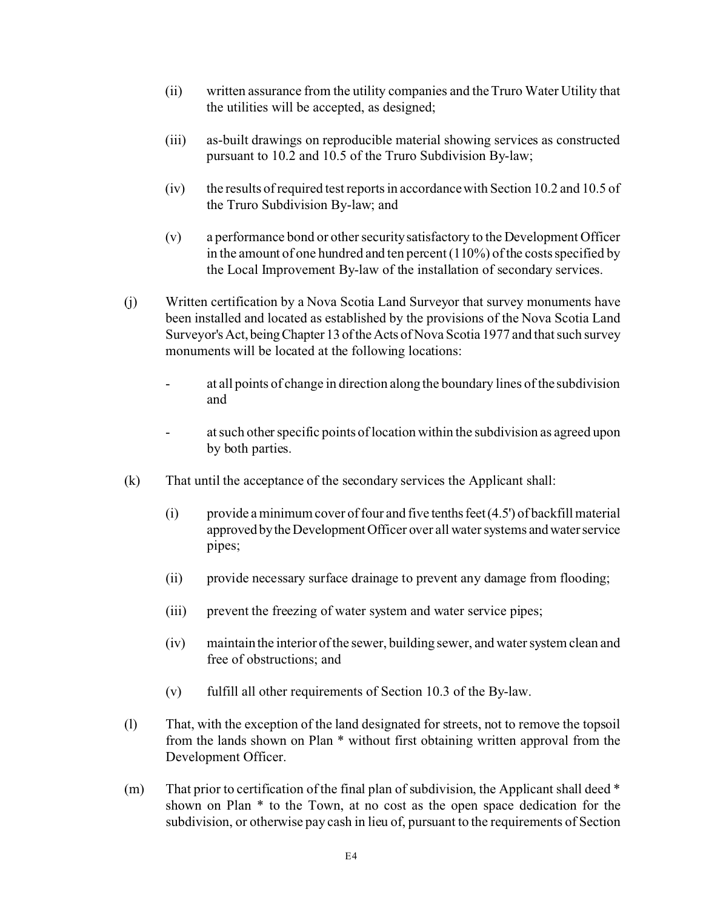- (ii) written assurance from the utility companies and the Truro Water Utility that the utilities will be accepted, as designed;
- (iii) as-built drawings on reproducible material showing services as constructed pursuant to 10.2 and 10.5 of the Truro Subdivision By-law;
- (iv) the results of required test reports in accordance with Section 10.2 and 10.5 of the Truro Subdivision By-law; and
- (v) a performance bond or other security satisfactory to the Development Officer in the amount of one hundred and ten percent (110%) of the costs specified by the Local Improvement By-law of the installation of secondary services.
- (j) Written certification by a Nova Scotia Land Surveyor that survey monuments have been installed and located as established by the provisions of the Nova Scotia Land Surveyor's Act, being Chapter 13 of the Acts of Nova Scotia 1977 and that such survey monuments will be located at the following locations:
	- at all points of change in direction along the boundary lines of the subdivision and
	- at such other specific points of location within the subdivision as agreed upon by both parties.
- (k) That until the acceptance of the secondary services the Applicant shall:
	- (i) provide a minimum cover of four and five tenths feet  $(4.5')$  of backfill material approved by the Development Officer over all water systems and water service pipes;
	- (ii) provide necessary surface drainage to prevent any damage from flooding;
	- (iii) prevent the freezing of water system and water service pipes;
	- (iv) maintain the interior of the sewer, building sewer, and water system clean and free of obstructions; and
	- (v) fulfill all other requirements of Section 10.3 of the By-law.
- (l) That, with the exception of the land designated for streets, not to remove the topsoil from the lands shown on Plan \* without first obtaining written approval from the Development Officer.
- (m) That prior to certification of the final plan of subdivision, the Applicant shall deed \* shown on Plan \* to the Town, at no cost as the open space dedication for the subdivision, or otherwise pay cash in lieu of, pursuant to the requirements of Section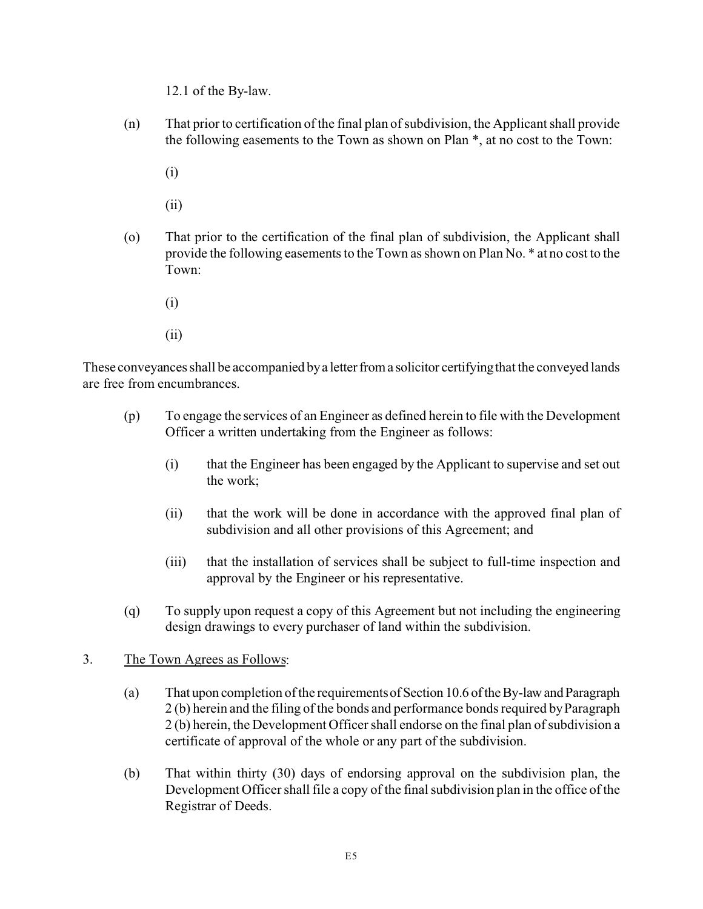12.1 of the By-law.

(n) That prior to certification of the final plan of subdivision, the Applicant shall provide the following easements to the Town as shown on Plan \*, at no cost to the Town:

(i)

(ii)

- (o) That prior to the certification of the final plan of subdivision, the Applicant shall provide the following easements to the Town as shown on Plan No. \* at no cost to the Town:
	- (i)
	- (ii)

These conveyances shall be accompanied by a letter from a solicitor certifying that the conveyed lands are free from encumbrances.

- (p) To engage the services of an Engineer as defined herein to file with the Development Officer a written undertaking from the Engineer as follows:
	- (i) that the Engineer has been engaged by the Applicant to supervise and set out the work;
	- (ii) that the work will be done in accordance with the approved final plan of subdivision and all other provisions of this Agreement; and
	- (iii) that the installation of services shall be subject to full-time inspection and approval by the Engineer or his representative.
- (q) To supply upon request a copy of this Agreement but not including the engineering design drawings to every purchaser of land within the subdivision.

# 3. The Town Agrees as Follows:

- (a) That upon completion of the requirementsofSection 10.6 oftheBy-lawandParagraph 2 (b) herein and the filing of the bonds and performance bonds required by Paragraph 2 (b) herein, the Development Officer shall endorse on the final plan of subdivision a certificate of approval of the whole or any part of the subdivision.
- (b) That within thirty (30) days of endorsing approval on the subdivision plan, the Development Officer shall file a copy of the final subdivision plan in the office of the Registrar of Deeds.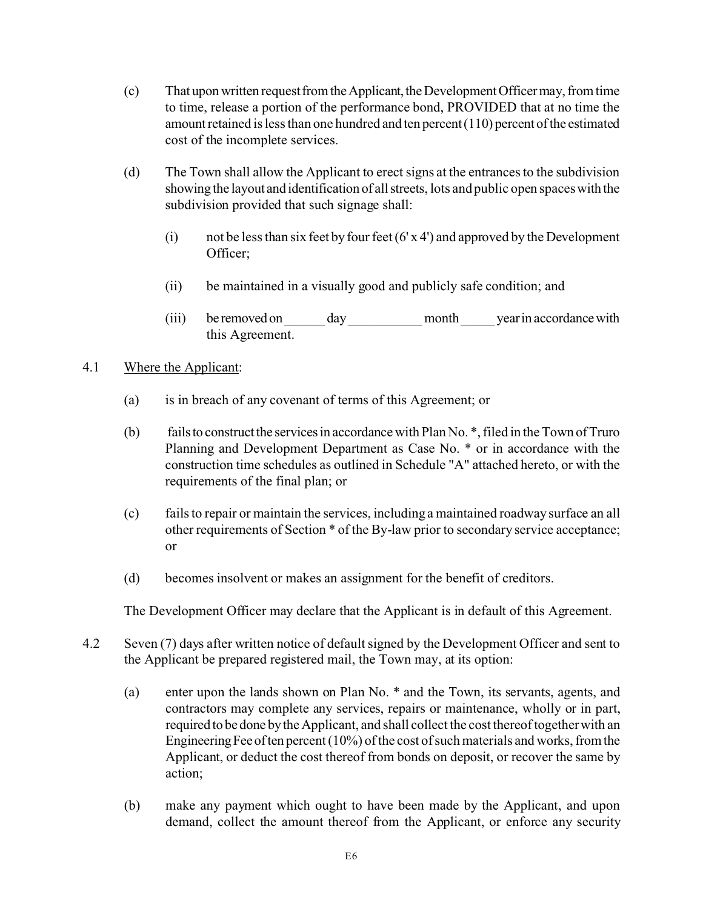- (c) That upon written request from the Applicant, the Development Officer may, from time to time, release a portion of the performance bond, PROVIDED that at no time the amount retained is less than one hundred and ten percent  $(110)$  percent of the estimated cost of the incomplete services.
- (d) The Town shall allow the Applicant to erect signs at the entrances to the subdivision showing the layoutand identification of allstreets, lots and public open spaceswith the subdivision provided that such signage shall:
	- (i) not be less than six feet by four feet (6' x 4') and approved by the Development Officer;
	- (ii) be maintained in a visually good and publicly safe condition; and
	- (iii) be removed on day month year in accordance with this Agreement.

# 4.1 Where the Applicant:

- (a) is in breach of any covenant of terms of this Agreement; or
- (b) fails to construct the services in accordance with Plan No.  $*$ , filed in the Town of Truro Planning and Development Department as Case No. \* or in accordance with the construction time schedules as outlined in Schedule "A" attached hereto, or with the requirements of the final plan; or
- (c) fails to repair or maintain the services, including a maintained roadway surface an all other requirements of Section \* of the By-law prior to secondary service acceptance; or
- (d) becomes insolvent or makes an assignment for the benefit of creditors.

The Development Officer may declare that the Applicant is in default of this Agreement.

- 4.2 Seven (7) days after written notice of default signed by the Development Officer and sent to the Applicant be prepared registered mail, the Town may, at its option:
	- (a) enter upon the lands shown on Plan No. \* and the Town, its servants, agents, and contractors may complete any services, repairs or maintenance, wholly or in part, required to be done by the Applicant, and shall collect the cost thereof together with an Engineering Fee of ten percent  $(10\%)$  of the cost of such materials and works, from the Applicant, or deduct the cost thereof from bonds on deposit, or recover the same by action;
	- (b) make any payment which ought to have been made by the Applicant, and upon demand, collect the amount thereof from the Applicant, or enforce any security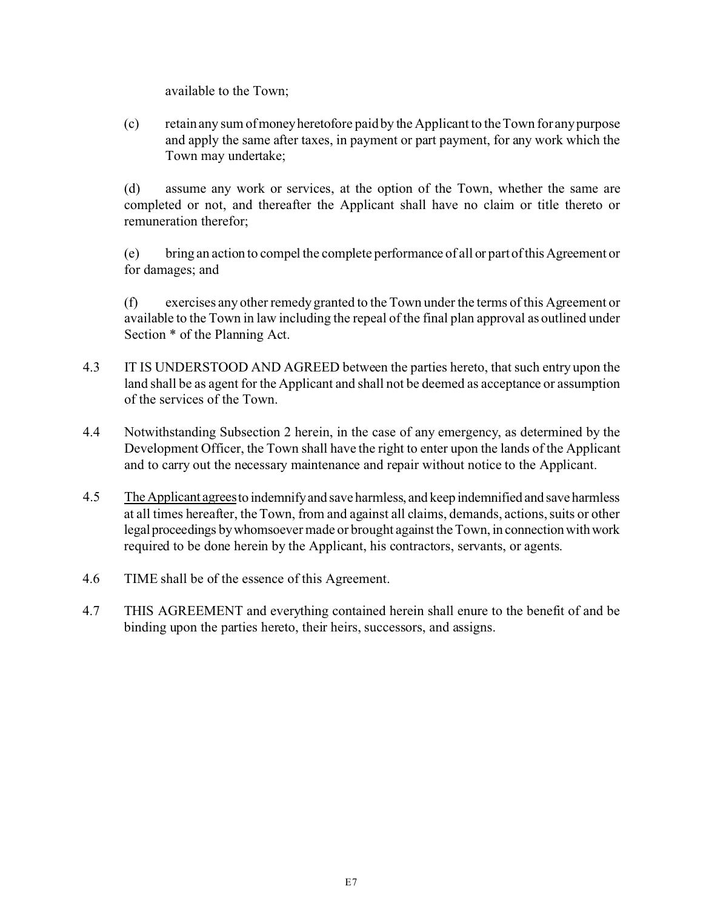available to the Town;

(c) retain any sum of moneyheretofore paid by the Applicant to the Town for any purpose and apply the same after taxes, in payment or part payment, for any work which the Town may undertake;

(d) assume any work or services, at the option of the Town, whether the same are completed or not, and thereafter the Applicant shall have no claim or title thereto or remuneration therefor;

(e) bring an action to compel the complete performance of all or part ofthisAgreement or for damages; and

(f) exercises any other remedy granted to the Town under the terms of this Agreement or available to the Town in law including the repeal of the final plan approval as outlined under Section \* of the Planning Act.

- 4.3 IT IS UNDERSTOOD AND AGREED between the parties hereto, that such entry upon the land shall be as agent for the Applicant and shall not be deemed as acceptance or assumption of the services of the Town.
- 4.4 Notwithstanding Subsection 2 herein, in the case of any emergency, as determined by the Development Officer, the Town shall have the right to enter upon the lands of the Applicant and to carry out the necessary maintenance and repair without notice to the Applicant.
- 4.5 The Applicant agrees to indemnify and save harmless, and keep indemnified and save harmless at all times hereafter, the Town, from and against all claims, demands, actions, suits or other legal proceedings by whomsoever made or brought against the Town, in connection with work required to be done herein by the Applicant, his contractors, servants, or agents.
- 4.6 TIME shall be of the essence of this Agreement.
- 4.7 THIS AGREEMENT and everything contained herein shall enure to the benefit of and be binding upon the parties hereto, their heirs, successors, and assigns.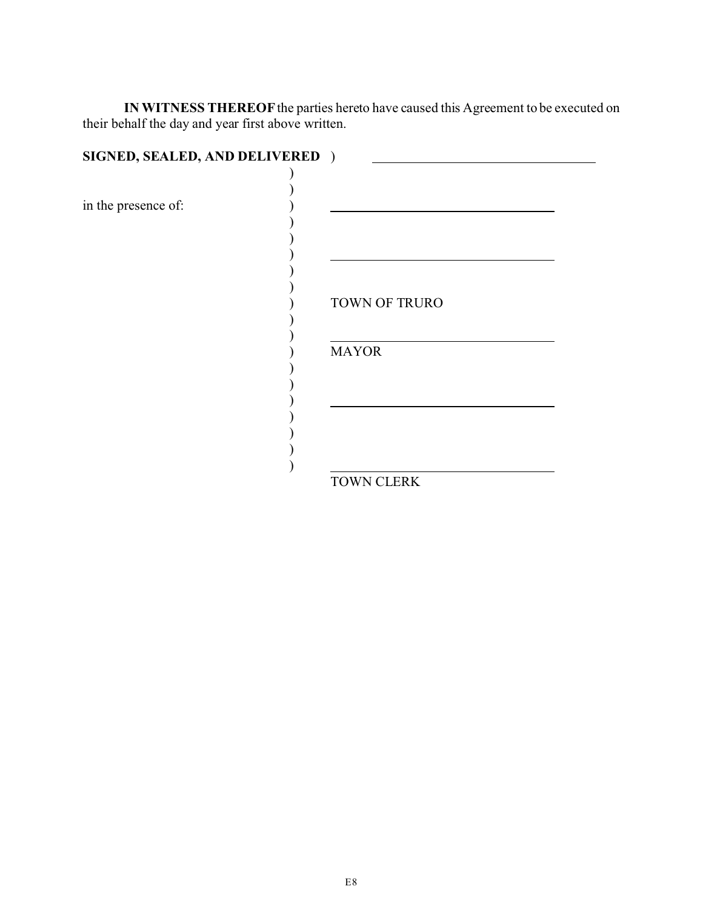**IN WITNESS THEREOF** the parties hereto have caused this Agreement to be executed on their behalf the day and year first above written.

| SIGNED, SEALED, AND DELIVERED ) |               |
|---------------------------------|---------------|
|                                 |               |
| in the presence of:             |               |
|                                 |               |
|                                 |               |
|                                 |               |
|                                 | TOWN OF TRURO |
|                                 | <b>MAYOR</b>  |
|                                 |               |
|                                 |               |
|                                 |               |
|                                 | TOWN CLERK    |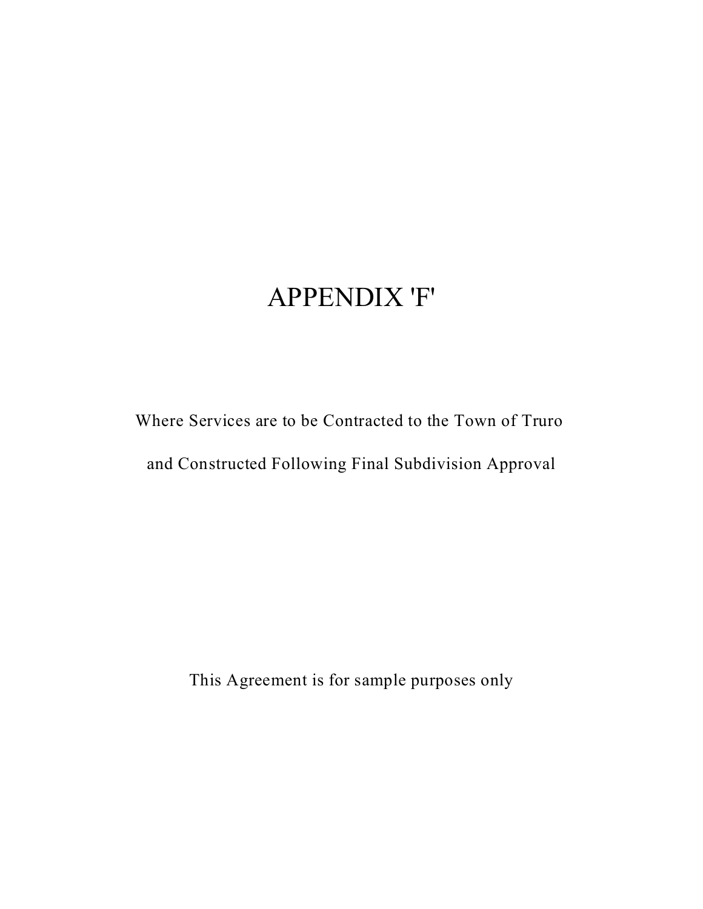# APPENDIX 'F'

Where Services are to be Contracted to the Town of Truro

and Constructed Following Final Subdivision Approval

This Agreement is for sample purposes only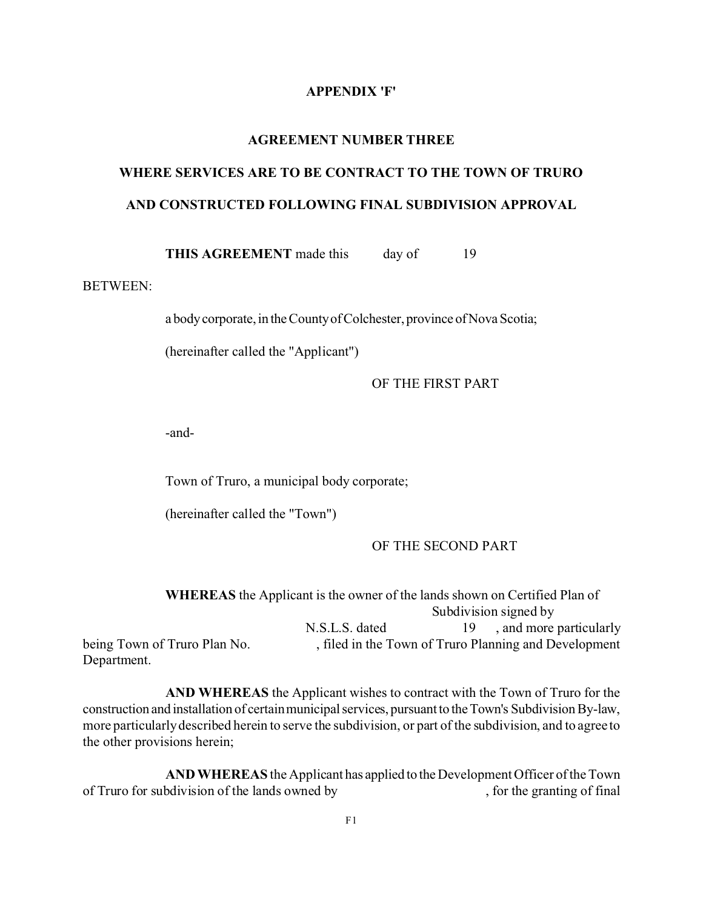#### **APPENDIX 'F'**

#### **AGREEMENT NUMBER THREE**

# **WHERE SERVICES ARE TO BE CONTRACT TO THE TOWN OF TRURO AND CONSTRUCTED FOLLOWING FINAL SUBDIVISION APPROVAL**

**THIS AGREEMENT** made this day of 19

# BETWEEN:

a body corporate, in the County of Colchester, province of Nova Scotia;

(hereinafter called the "Applicant")

OF THE FIRST PART

-and-

Town of Truro, a municipal body corporate;

(hereinafter called the "Town")

#### OF THE SECOND PART

|                              | <b>WHEREAS</b> the Applicant is the owner of the lands shown on Certified Plan of |                                                       |
|------------------------------|-----------------------------------------------------------------------------------|-------------------------------------------------------|
|                              |                                                                                   | Subdivision signed by                                 |
|                              | N.S.L.S. dated                                                                    | 19, and more particularly                             |
| being Town of Truro Plan No. |                                                                                   | , filed in the Town of Truro Planning and Development |
| Department.                  |                                                                                   |                                                       |

**AND WHEREAS** the Applicant wishes to contract with the Town of Truro for the construction and installation of certain municipal services, pursuant to the Town's Subdivision By-law, more particularly described herein to serve the subdivision, or part of the subdivision, and to agree to the other provisions herein;

**AND WHEREAS** the Applicant has applied to the Development Officer of the Town of Truro for subdivision of the lands owned by , for the granting of final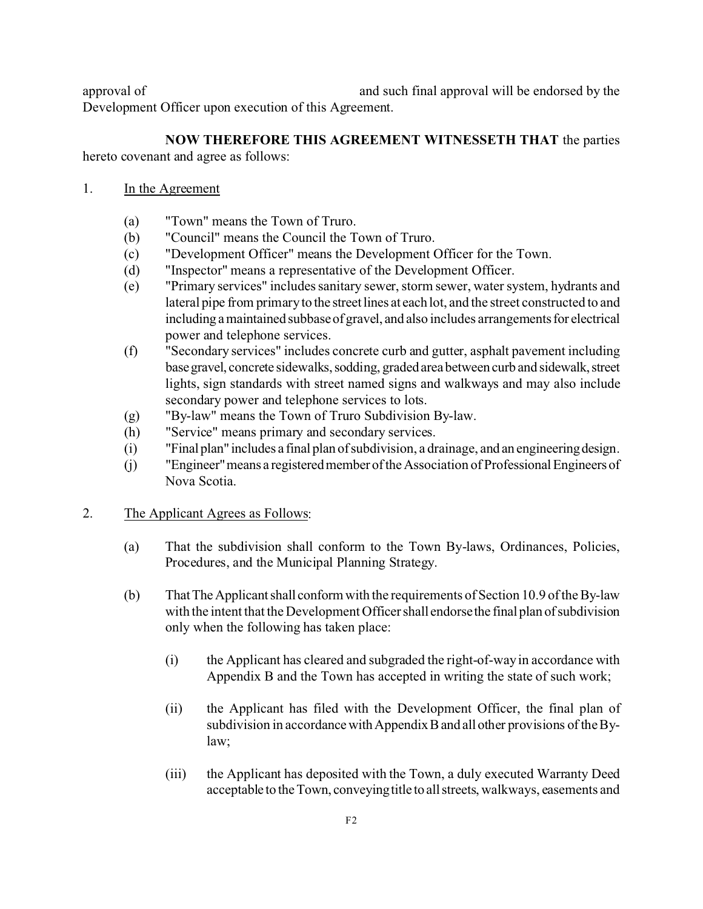approval of and such final approval will be endorsed by the Development Officer upon execution of this Agreement.

**NOW THEREFORE THIS AGREEMENT WITNESSETH THAT** the parties hereto covenant and agree as follows:

- 1. In the Agreement
	- (a) "Town" means the Town of Truro.
	- (b) "Council" means the Council the Town of Truro.
	- (c) "Development Officer" means the Development Officer for the Town.
	- (d) "Inspector" means a representative of the Development Officer.
	- (e) "Primary services" includes sanitary sewer, storm sewer, water system, hydrants and lateral pipe from primary to the street lines at each lot, and the street constructed to and including a maintained subbase of gravel, and also includes arrangements for electrical power and telephone services.
	- (f) "Secondary services" includes concrete curb and gutter, asphalt pavement including base gravel, concrete sidewalks, sodding, graded area between curb and sidewalk, street lights, sign standards with street named signs and walkways and may also include secondary power and telephone services to lots.
	- (g) "By-law" means the Town of Truro Subdivision By-law.
	- (h) "Service" means primary and secondary services.
	- (i) "Final plan" includes a final plan ofsubdivision, a drainage, and an engineeringdesign.
	- (j) "Engineer" means a registered member of the Association of Professional Engineers of Nova Scotia.
- 2. The Applicant Agrees as Follows:
	- (a) That the subdivision shall conform to the Town By-laws, Ordinances, Policies, Procedures, and the Municipal Planning Strategy.
	- (b) ThatTheApplicantshall conform with the requirements of Section 10.9 of the By-law with the intent that the Development Officer shall endorse the final plan of subdivision only when the following has taken place:
		- (i) the Applicant has cleared and subgraded the right-of-way in accordance with Appendix B and the Town has accepted in writing the state of such work;
		- (ii) the Applicant has filed with the Development Officer, the final plan of subdivision in accordance with Appendix B and all other provisions of the Bylaw;
		- (iii) the Applicant has deposited with the Town, a duly executed Warranty Deed acceptable to theTown, conveyingtitle to allstreets, walkways, easements and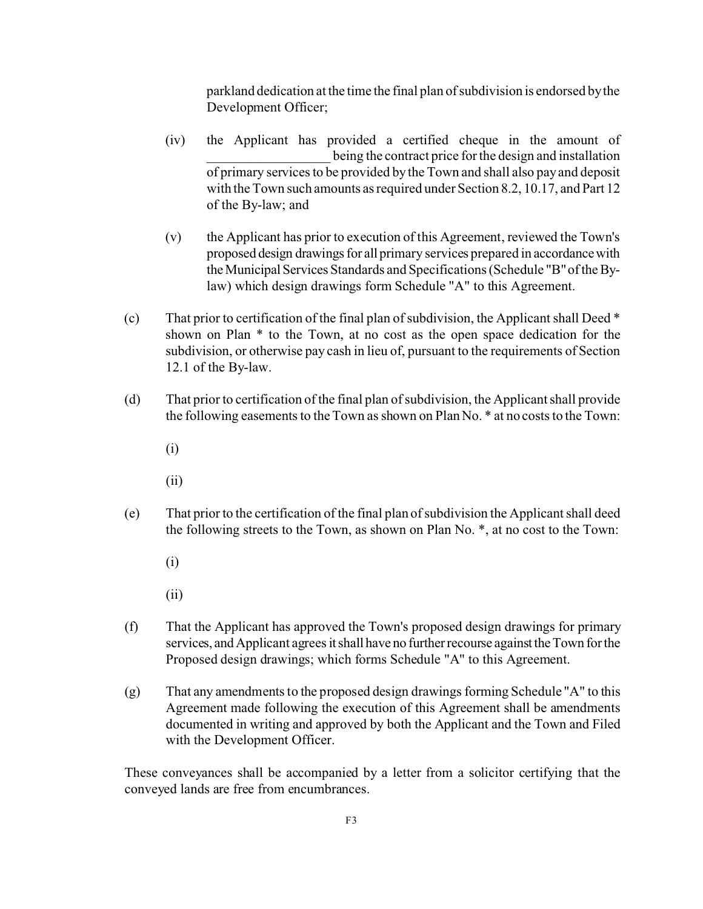parkland dedication at the time the final plan of subdivision is endorsed by the Development Officer;

- (iv) the Applicant has provided a certified cheque in the amount of being the contract price for the design and installation of primary services to be provided by the Town and shall also pay and deposit with the Town such amounts as required under Section 8.2, 10.17, and Part 12 of the By-law; and
- (v) the Applicant has prior to execution of this Agreement, reviewed the Town's proposed design drawings for all primary services prepared in accordance with theMunicipal Services Standards and Specifications (Schedule "B" of the Bylaw) which design drawings form Schedule "A" to this Agreement.
- (c) That prior to certification of the final plan of subdivision, the Applicant shall Deed \* shown on Plan \* to the Town, at no cost as the open space dedication for the subdivision, or otherwise pay cash in lieu of, pursuant to the requirements of Section 12.1 of the By-law.
- (d) That prior to certification of the final plan of subdivision, the Applicant shall provide the following easements to the Town as shown on Plan No. \* at no costs to the Town:
	- (i)
	- (ii)
- (e) That prior to the certification of the final plan of subdivision the Applicant shall deed the following streets to the Town, as shown on Plan No. \*, at no cost to the Town:
	- (i)
	- (ii)
- (f) That the Applicant has approved the Town's proposed design drawings for primary services, and Applicant agrees it shall have no further recourse against the Town for the Proposed design drawings; which forms Schedule "A" to this Agreement.
- (g) That any amendments to the proposed design drawings forming Schedule "A" to this Agreement made following the execution of this Agreement shall be amendments documented in writing and approved by both the Applicant and the Town and Filed with the Development Officer.

These conveyances shall be accompanied by a letter from a solicitor certifying that the conveyed lands are free from encumbrances.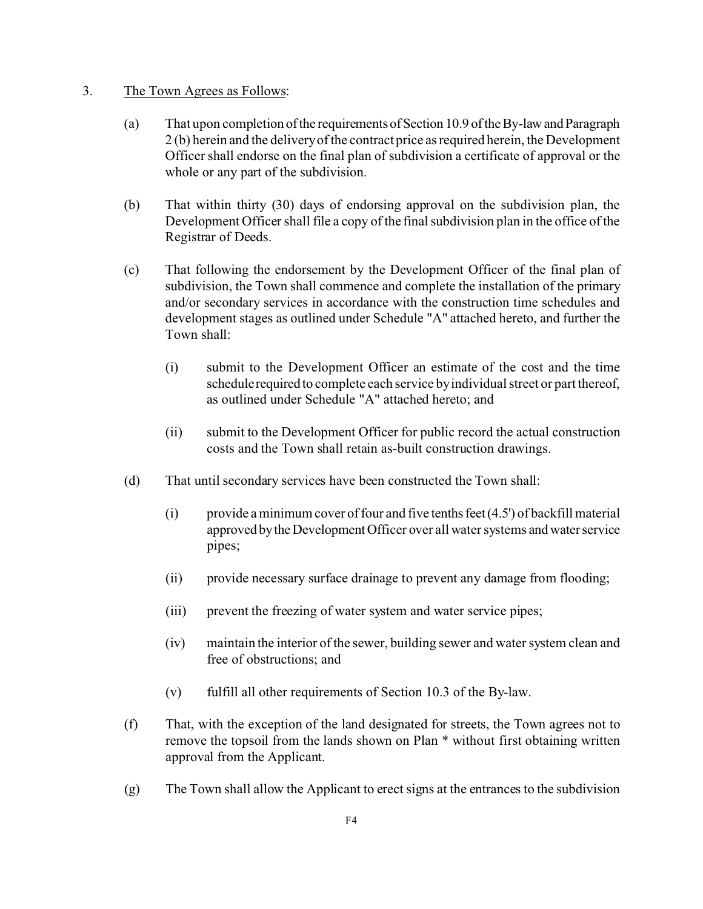# 3. The Town Agrees as Follows:

- (a) That upon completion ofthe requirementsofSection 10.9 oftheBy-lawandParagraph 2 (b) herein and the delivery of the contract price as required herein, the Development Officer shall endorse on the final plan of subdivision a certificate of approval or the whole or any part of the subdivision.
- (b) That within thirty (30) days of endorsing approval on the subdivision plan, the Development Officer shall file a copy of the final subdivision plan in the office of the Registrar of Deeds.
- (c) That following the endorsement by the Development Officer of the final plan of subdivision, the Town shall commence and complete the installation of the primary and/or secondary services in accordance with the construction time schedules and development stages as outlined under Schedule "A" attached hereto, and further the Town shall:
	- (i) submit to the Development Officer an estimate of the cost and the time schedulerequired to complete each service by individual street or part thereof, as outlined under Schedule "A" attached hereto; and
	- (ii) submit to the Development Officer for public record the actual construction costs and the Town shall retain as-built construction drawings.
- (d) That until secondary services have been constructed the Town shall:
	- (i) provide a minimum cover of four and five tenths feet  $(4.5')$  of backfill material approved by the Development Officer over all water systems and water service pipes;
	- (ii) provide necessary surface drainage to prevent any damage from flooding;
	- (iii) prevent the freezing of water system and water service pipes;
	- (iv) maintain the interior of the sewer, building sewer and water system clean and free of obstructions; and
	- (v) fulfill all other requirements of Section 10.3 of the By-law.
- (f) That, with the exception of the land designated for streets, the Town agrees not to remove the topsoil from the lands shown on Plan \* without first obtaining written approval from the Applicant.
- (g) The Town shall allow the Applicant to erect signs at the entrances to the subdivision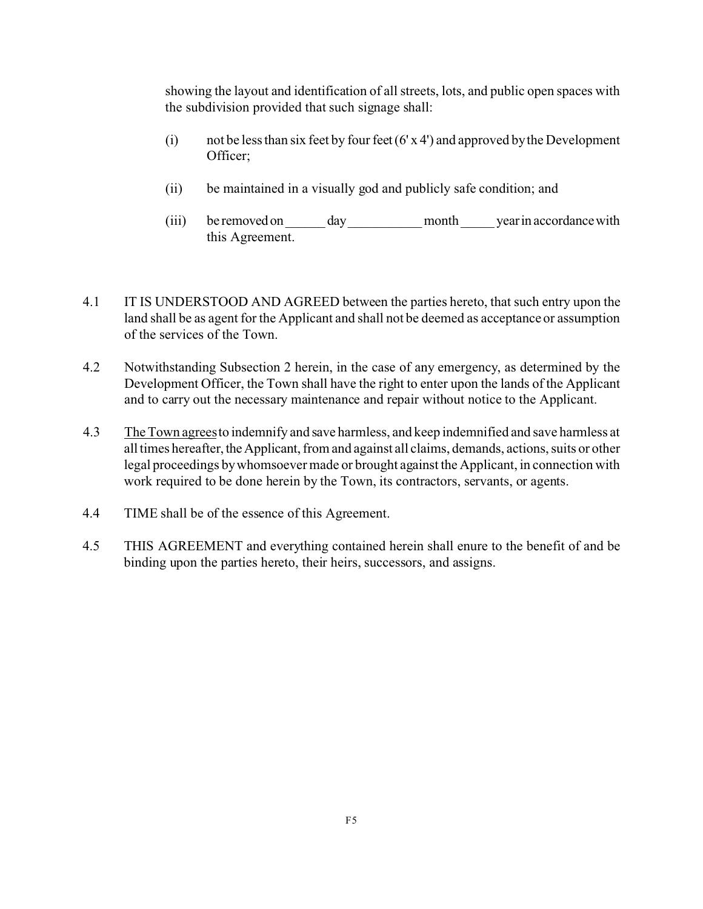showing the layout and identification of all streets, lots, and public open spaces with the subdivision provided that such signage shall:

- (i) not be less than six feet by four feet  $(6' \times 4')$  and approved by the Development Officer;
- (ii) be maintained in a visually god and publicly safe condition; and
- (iii) be removed on \_\_\_\_\_\_ day\_\_\_\_\_\_\_\_\_\_\_month\_\_\_\_\_ yearin accordancewith this Agreement.
- 4.1 IT IS UNDERSTOOD AND AGREED between the parties hereto, that such entry upon the land shall be as agent for the Applicant and shall not be deemed as acceptance or assumption of the services of the Town.
- 4.2 Notwithstanding Subsection 2 herein, in the case of any emergency, as determined by the Development Officer, the Town shall have the right to enter upon the lands of the Applicant and to carry out the necessary maintenance and repair without notice to the Applicant.
- 4.3 The Town agrees to indemnify and save harmless, and keep indemnified and save harmless at all times hereafter, the Applicant, from and against all claims, demands, actions, suits or other legal proceedings by whomsoever made or brought against the Applicant, in connection with work required to be done herein by the Town, its contractors, servants, or agents.
- 4.4 TIME shall be of the essence of this Agreement.
- 4.5 THIS AGREEMENT and everything contained herein shall enure to the benefit of and be binding upon the parties hereto, their heirs, successors, and assigns.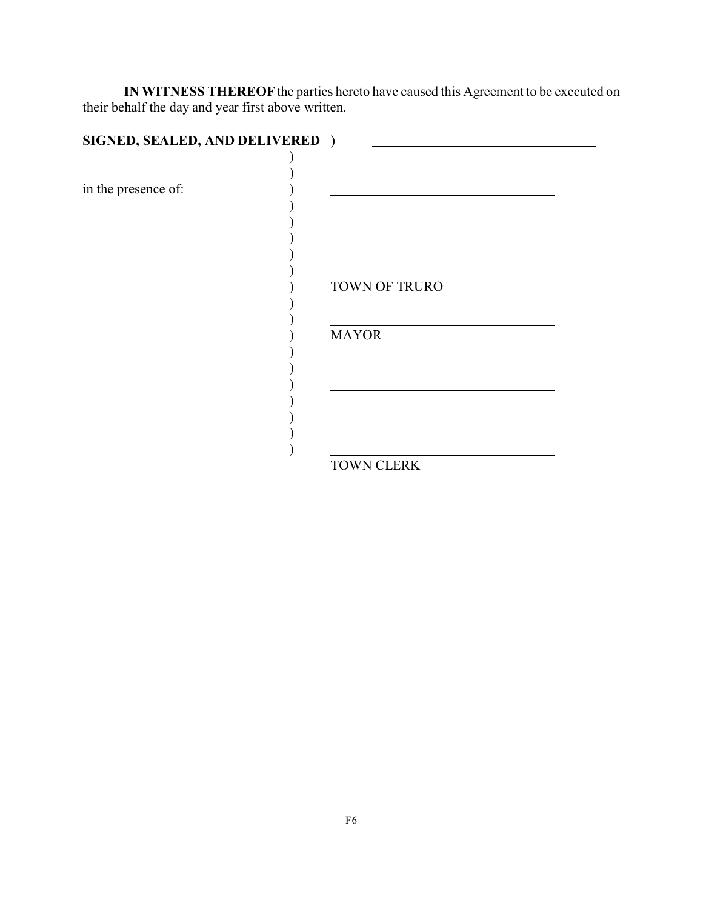**IN WITNESS THEREOF** the parties hereto have caused this Agreement to be executed on their behalf the day and year first above written.

| SIGNED, SEALED, AND DELIVERED ) |               |
|---------------------------------|---------------|
|                                 |               |
| in the presence of:             |               |
|                                 |               |
|                                 |               |
|                                 | TOWN OF TRURO |
|                                 | <b>MAYOR</b>  |
|                                 |               |
|                                 |               |
|                                 | TOWN CLERK    |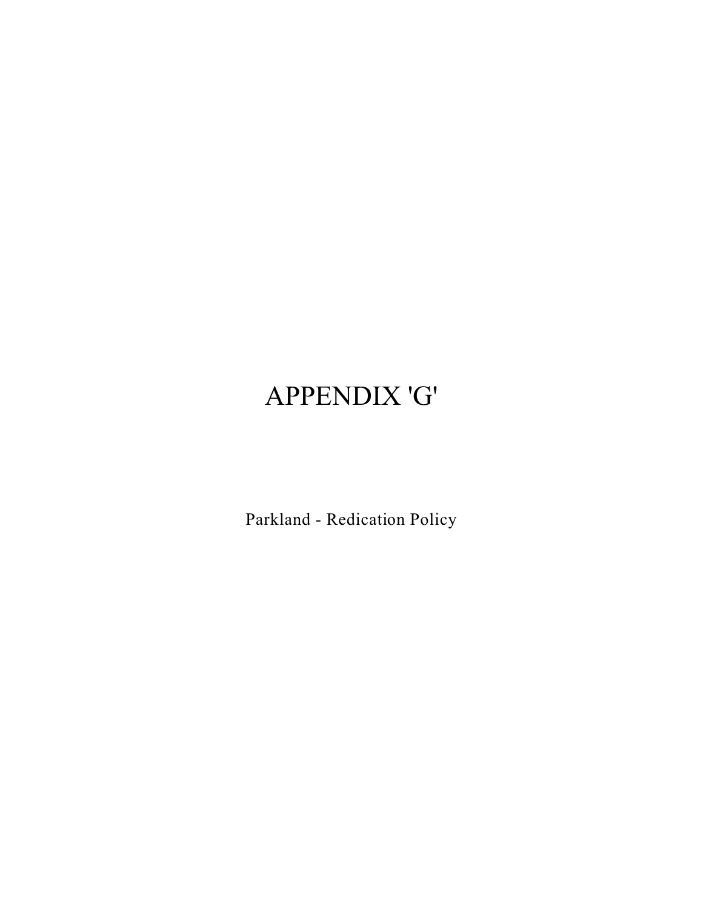# APPENDIX 'G'

Parkland - Redication Policy